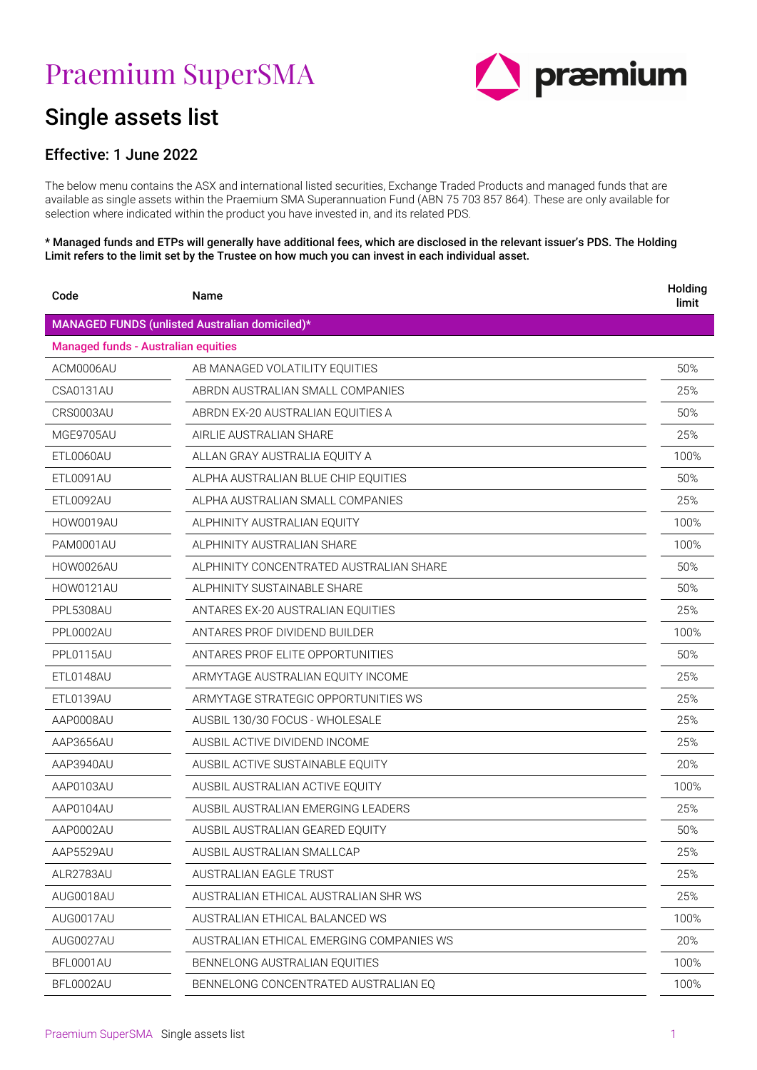# Praemium SuperSMA



# Single assets list

## Effective: 1 June 2022

The below menu contains the ASX and international listed securities, Exchange Traded Products and managed funds that are available as single assets within the Praemium SMA Superannuation Fund (ABN 75 703 857 864). These are only available for selection where indicated within the product you have invested in, and its related PDS.

#### \* Managed funds and ETPs will generally have additional fees, which are disclosed in the relevant issuer's PDS. The Holding Limit refers to the limit set by the Trustee on how much you can invest in each individual asset.

| Code                                       | Name                                           | Holding<br>limit |
|--------------------------------------------|------------------------------------------------|------------------|
|                                            | MANAGED FUNDS (unlisted Australian domiciled)* |                  |
| <b>Managed funds - Australian equities</b> |                                                |                  |
| ACM0006AU                                  | AB MANAGED VOLATILITY EQUITIES                 | 50%              |
| CSA0131AU                                  | ABRDN AUSTRALIAN SMALL COMPANIES               | 25%              |
| CRS0003AU                                  | ABRDN EX-20 AUSTRALIAN EQUITIES A              | 50%              |
| MGE9705AU                                  | AIRLIE AUSTRALIAN SHARE                        | 25%              |
| ETL0060AU                                  | ALLAN GRAY AUSTRALIA EQUITY A                  | 100%             |
| ETL0091AU                                  | ALPHA AUSTRALIAN BLUE CHIP EQUITIES            | 50%              |
| ETL0092AU                                  | ALPHA AUSTRALIAN SMALL COMPANIES               | 25%              |
| <b>HOW0019AU</b>                           | ALPHINITY AUSTRALIAN EQUITY                    | 100%             |
| <b>PAM0001AU</b>                           | ALPHINITY AUSTRALIAN SHARE                     | 100%             |
| HOW0026AU                                  | ALPHINITY CONCENTRATED AUSTRALIAN SHARE        | 50%              |
| HOW0121AU                                  | ALPHINITY SUSTAINABLE SHARE                    | 50%              |
| PPL5308AU                                  | ANTARES EX-20 AUSTRALIAN EQUITIES              | 25%              |
| PPL0002AU                                  | ANTARES PROF DIVIDEND BUILDER                  | 100%             |
| PPL0115AU                                  | ANTARES PROF ELITE OPPORTUNITIES               | 50%              |
| ETL0148AU                                  | ARMYTAGE AUSTRALIAN EQUITY INCOME              | 25%              |
| ETL0139AU                                  | ARMYTAGE STRATEGIC OPPORTUNITIES WS            | 25%              |
| AAP0008AU                                  | AUSBIL 130/30 FOCUS - WHOLESALE                | 25%              |
| AAP3656AU                                  | AUSBIL ACTIVE DIVIDEND INCOME                  | 25%              |
| AAP3940AU                                  | AUSBIL ACTIVE SUSTAINABLE EQUITY               | 20%              |
| AAP0103AU                                  | AUSBIL AUSTRALIAN ACTIVE EQUITY                | 100%             |
| AAP0104AU                                  | AUSBIL AUSTRALIAN EMERGING LEADERS             | 25%              |
| AAP0002AU                                  | AUSBIL AUSTRALIAN GEARED EQUITY                | 50%              |
| AAP5529AU                                  | AUSBIL AUSTRALIAN SMALLCAP                     | 25%              |
| ALR2783AU                                  | AUSTRALIAN EAGLE TRUST                         | 25%              |
| AUG0018AU                                  | AUSTRALIAN ETHICAL AUSTRALIAN SHR WS           | 25%              |
| AUG0017AU                                  | AUSTRALIAN ETHICAL BALANCED WS                 | 100%             |
| AUG0027AU                                  | AUSTRALIAN ETHICAL EMERGING COMPANIES WS       | 20%              |
| BFL0001AU                                  | BENNELONG AUSTRALIAN EQUITIES                  | 100%             |
| BFL0002AU                                  | BENNELONG CONCENTRATED AUSTRALIAN EQ           | 100%             |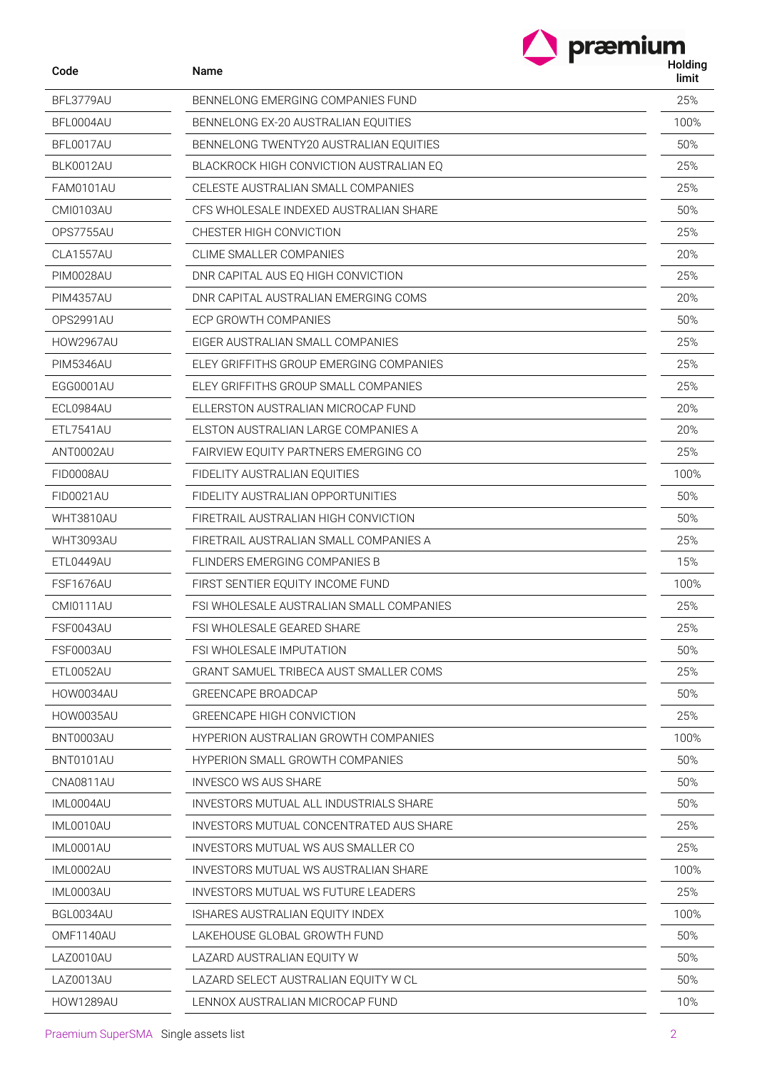| Code             | Name                                        | præmium<br>Holding<br>limit |
|------------------|---------------------------------------------|-----------------------------|
| BFL3779AU        | BENNELONG EMERGING COMPANIES FUND           | 25%                         |
| BFL0004AU        | BENNELONG EX-20 AUSTRALIAN EQUITIES         | 100%                        |
| BFL0017AU        | BENNELONG TWENTY20 AUSTRALIAN EQUITIES      | 50%                         |
| BLK0012AU        | BLACKROCK HIGH CONVICTION AUSTRALIAN EQ     | 25%                         |
| FAM0101AU        | CELESTE AUSTRALIAN SMALL COMPANIES          | 25%                         |
| CMI0103AU        | CFS WHOLESALE INDEXED AUSTRALIAN SHARE      | 50%                         |
| OPS7755AU        | CHESTER HIGH CONVICTION                     | 25%                         |
| CLA1557AU        | CLIME SMALLER COMPANIES                     | 20%                         |
| PIM0028AU        | DNR CAPITAL AUS EQ HIGH CONVICTION          | 25%                         |
| <b>PIM4357AU</b> | DNR CAPITAL AUSTRALIAN EMERGING COMS        | 20%                         |
| OPS2991AU        | ECP GROWTH COMPANIES                        | 50%                         |
| HOW2967AU        | EIGER AUSTRALIAN SMALL COMPANIES            | 25%                         |
| PIM5346AU        | ELEY GRIFFITHS GROUP EMERGING COMPANIES     | 25%                         |
| EGG0001AU        | ELEY GRIFFITHS GROUP SMALL COMPANIES        | 25%                         |
| ECL0984AU        | ELLERSTON AUSTRALIAN MICROCAP FUND          | 20%                         |
| <b>ETL7541AU</b> | ELSTON AUSTRALIAN LARGE COMPANIES A         | 20%                         |
| ANT0002AU        | FAIRVIEW EQUITY PARTNERS EMERGING CO        | 25%                         |
| FID0008AU        | FIDELITY AUSTRALIAN EQUITIES                | 100%                        |
| FID0021AU        | FIDELITY AUSTRALIAN OPPORTUNITIES           | 50%                         |
| WHT3810AU        | FIRETRAIL AUSTRALIAN HIGH CONVICTION        | 50%                         |
| WHT3093AU        | FIRETRAIL AUSTRALIAN SMALL COMPANIES A      | 25%                         |
| ETL0449AU        | FLINDERS EMERGING COMPANIES B               | 15%                         |
| FSF1676AU        | FIRST SENTIER EQUITY INCOME FUND            | 100%                        |
| <b>CMI0111AU</b> | FSI WHOLESALE AUSTRALIAN SMALL COMPANIES    | 25%                         |
| FSF0043AU        | FSI WHOLESALE GEARED SHARE                  | 25%                         |
| FSF0003AU        | <b>FSI WHOLESALE IMPUTATION</b>             | 50%                         |
| ETL0052AU        | GRANT SAMUEL TRIBECA AUST SMALLER COMS      | 25%                         |
| HOW0034AU        | GREENCAPE BROADCAP                          | 50%                         |
| HOW0035AU        | <b>GREENCAPE HIGH CONVICTION</b>            | 25%                         |
| BNT0003AU        | <b>HYPERION AUSTRALIAN GROWTH COMPANIES</b> | 100%                        |
| BNT0101AU        | <b>HYPERION SMALL GROWTH COMPANIES</b>      | 50%                         |
| CNA0811AU        | <b>INVESCO WS AUS SHARE</b>                 | 50%                         |
| IML0004AU        | INVESTORS MUTUAL ALL INDUSTRIALS SHARE      | 50%                         |
| IML0010AU        | INVESTORS MUTUAL CONCENTRATED AUS SHARE     | 25%                         |
| IML0001AU        | INVESTORS MUTUAL WS AUS SMALLER CO          | 25%                         |
| IML0002AU        | <b>INVESTORS MUTUAL WS AUSTRALIAN SHARE</b> | 100%                        |
| IML0003AU        | INVESTORS MUTUAL WS FUTURE LEADERS          | 25%                         |
| BGL0034AU        | ISHARES AUSTRALIAN EQUITY INDEX             | 100%                        |
| OMF1140AU        | LAKEHOUSE GLOBAL GROWTH FUND                | 50%                         |
| LAZ0010AU        | LAZARD AUSTRALIAN EQUITY W                  | 50%                         |
| LAZ0013AU        | LAZARD SELECT AUSTRALIAN EQUITY W CL        | 50%                         |
| HOW1289AU        | LENNOX AUSTRALIAN MICROCAP FUND             | 10%                         |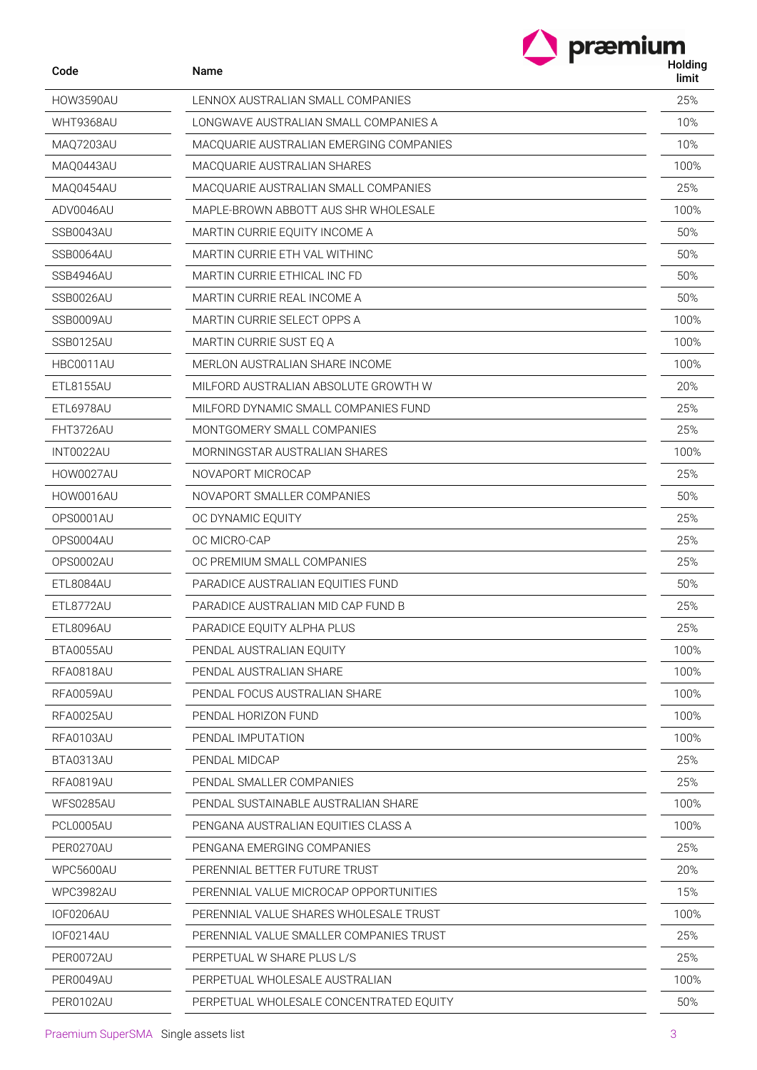| Code             | Name                                    | Holding<br>limit |
|------------------|-----------------------------------------|------------------|
| <b>HOW3590AU</b> | LENNOX AUSTRALIAN SMALL COMPANIES       | 25%              |
| WHT9368AU        | LONGWAVE AUSTRALIAN SMALL COMPANIES A   | 10%              |
| <b>MAQ7203AU</b> | MACOUARIE AUSTRALIAN EMERGING COMPANIES | 10%              |
| MAQ0443AU        | MACQUARIE AUSTRALIAN SHARES             | 100%             |
| MAQ0454AU        | MACOUARIE AUSTRALIAN SMALL COMPANIES    | 25%              |
| ADV0046AU        | MAPLE-BROWN ABBOTT AUS SHR WHOLESALE    | 100%             |
| SSB0043AU        | MARTIN CURRIE EQUITY INCOME A           | 50%              |
| SSB0064AU        | MARTIN CURRIE ETH VAL WITHING           | 50%              |
| SSB4946AU        | MARTIN CURRIE ETHICAL INC FD            | 50%              |
| SSB0026AU        | MARTIN CURRIE REAL INCOME A             | 50%              |
| SSB0009AU        | MARTIN CURRIE SELECT OPPS A             | 100%             |
| SSB0125AU        | MARTIN CURRIE SUST EQ A                 | 100%             |
| HBC0011AU        | MERLON AUSTRALIAN SHARE INCOME          | 100%             |
| <b>ETL8155AU</b> | MILFORD AUSTRALIAN ABSOLUTE GROWTH W    | 20%              |
| ETL6978AU        | MILFORD DYNAMIC SMALL COMPANIES FUND    | 25%              |
| FHT3726AU        | MONTGOMERY SMALL COMPANIES              | 25%              |
| INT0022AU        | MORNINGSTAR AUSTRALIAN SHARES           | 100%             |
| HOW0027AU        | NOVAPORT MICROCAP                       | 25%              |
| HOW0016AU        | NOVAPORT SMALLER COMPANIES              | 50%              |
| OPS0001AU        | OC DYNAMIC EQUITY                       | 25%              |
| OPS0004AU        | OC MICRO-CAP                            | 25%              |
| OPS0002AU        | OC PREMIUM SMALL COMPANIES              | 25%              |
| ETL8084AU        | PARADICE AUSTRALIAN EQUITIES FUND       | 50%              |
| ETL8772AU        | PARADICE AUSTRALIAN MID CAP FUND B      | 25%              |
| ETL8096AU        | PARADICE EQUITY ALPHA PLUS              | 25%              |
| BTA0055AU        | PENDAL AUSTRALIAN EQUITY                | 100%             |
| RFA0818AU        | PENDAL AUSTRALIAN SHARE                 | 100%             |
| RFA0059AU        | PENDAL FOCUS AUSTRALIAN SHARE           | 100%             |
| <b>RFA0025AU</b> | PENDAL HORIZON FUND                     | 100%             |
| RFA0103AU        | PENDAL IMPUTATION                       | 100%             |
| BTA0313AU        | PENDAL MIDCAP                           | 25%              |
| RFA0819AU        | PENDAL SMALLER COMPANIES                | 25%              |
| WFS0285AU        | PENDAL SUSTAINABLE AUSTRALIAN SHARE     | 100%             |
| PCL0005AU        | PENGANA AUSTRALIAN EQUITIES CLASS A     | 100%             |
| PER0270AU        | PENGANA EMERGING COMPANIES              | 25%              |
| WPC5600AU        | PERENNIAL BETTER FUTURE TRUST           | 20%              |
| WPC3982AU        | PERENNIAL VALUE MICROCAP OPPORTUNITIES  | 15%              |
| <b>IOF0206AU</b> | PERENNIAL VALUE SHARES WHOLESALE TRUST  | 100%             |
| IOF0214AU        | PERENNIAL VALUE SMALLER COMPANIES TRUST | 25%              |
| PER0072AU        | PERPETUAL W SHARE PLUS L/S              | 25%              |
| PER0049AU        | PERPETUAL WHOLESALE AUSTRALIAN          | 100%             |
| PER0102AU        | PERPETUAL WHOLESALE CONCENTRATED EQUITY | 50%              |

 $\overline{a}$  $\overline{a}$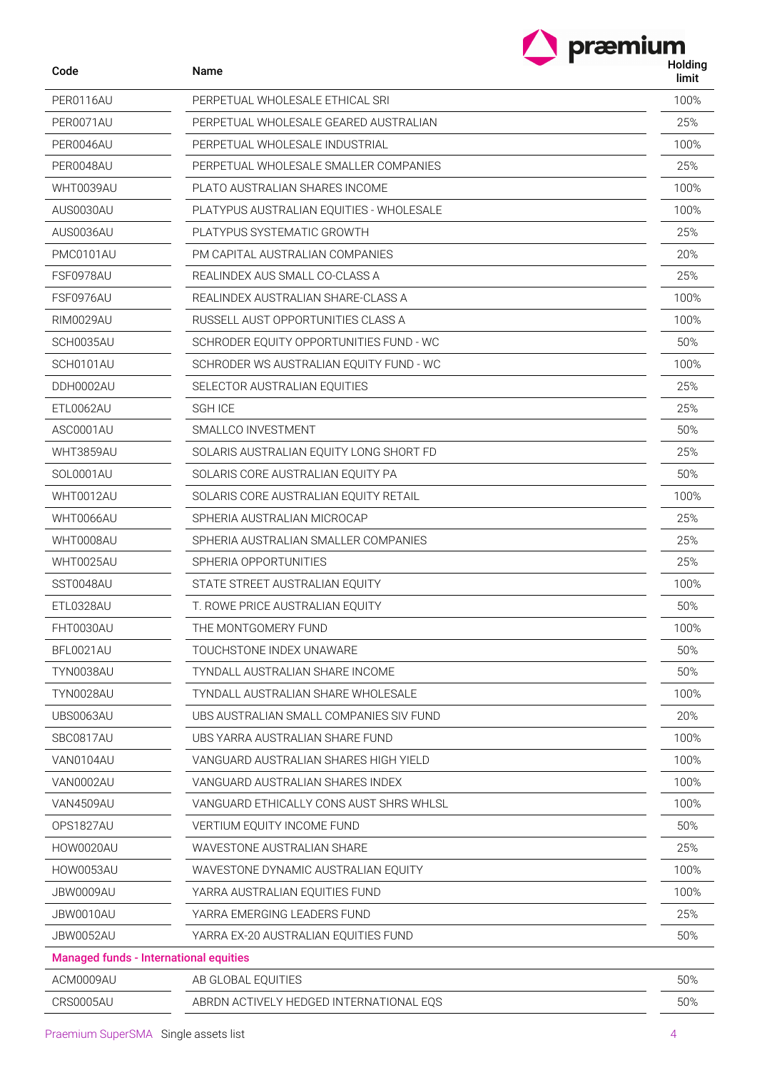| Code                                          | Name                                      | <b>HOIGHI</b><br>limit |
|-----------------------------------------------|-------------------------------------------|------------------------|
| PER0116AU                                     | PERPETUAL WHOLESALE ETHICAL SRI           | 100%                   |
| PER0071AU                                     | PERPETUAL WHOLESALE GEARED AUSTRALIAN     | 25%                    |
| PER0046AU                                     | PERPETUAL WHOLESALE INDUSTRIAL            | 100%                   |
| PER0048AU                                     | PERPETUAL WHOLESALE SMALLER COMPANIES     | 25%                    |
| WHT0039AU                                     | PLATO AUSTRALIAN SHARES INCOME            | 100%                   |
| AUS0030AU                                     | PLATYPUS AUSTRALIAN EQUITIES - WHOLESALE  | 100%                   |
| AUS0036AU                                     | PLATYPUS SYSTEMATIC GROWTH                | 25%                    |
| PMC0101AU                                     | PM CAPITAL AUSTRALIAN COMPANIES           | 20%                    |
| FSF0978AU                                     | REALINDEX AUS SMALL CO-CLASS A            | 25%                    |
| FSF0976AU                                     | REALINDEX AUSTRALIAN SHARE-CLASS A        | 100%                   |
| RIM0029AU                                     | RUSSELL AUST OPPORTUNITIES CLASS A        | 100%                   |
| SCH0035AU                                     | SCHRODER EQUITY OPPORTUNITIES FUND - WC   | 50%                    |
| SCH0101AU                                     | SCHRODER WS AUSTRALIAN EQUITY FUND - WC   | 100%                   |
| DDH0002AU                                     | SELECTOR AUSTRALIAN EQUITIES              | 25%                    |
| ETL0062AU                                     | <b>SGH ICE</b>                            | 25%                    |
| ASC0001AU                                     | SMALLCO INVESTMENT                        | 50%                    |
| WHT3859AU                                     | SOLARIS AUSTRALIAN EQUITY LONG SHORT FD   | 25%                    |
| SOL0001AU                                     | SOLARIS CORE AUSTRALIAN EQUITY PA         | 50%                    |
| WHT0012AU                                     | SOLARIS CORE AUSTRALIAN EQUITY RETAIL     | 100%                   |
| WHT0066AU                                     | SPHERIA AUSTRALIAN MICROCAP               | 25%                    |
| WHT0008AU                                     | SPHERIA AUSTRALIAN SMALLER COMPANIES      | 25%                    |
| WHT0025AU                                     | SPHERIA OPPORTUNITIES                     | 25%                    |
| SST0048AU                                     | STATE STREET AUSTRALIAN EQUITY            | 100%                   |
| ETL0328AU                                     | T. ROWE PRICE AUSTRALIAN EQUITY           | 50%                    |
| FHT0030AU                                     | THE MONTGOMERY FUND                       | 100%                   |
| BFL0021AU                                     | TOUCHSTONE INDEX UNAWARE                  | 50%                    |
| <b>TYN0038AU</b>                              | TYNDALL AUSTRALIAN SHARE INCOME           | 50%                    |
| <b>TYN0028AU</b>                              | <b>TYNDALL AUSTRALIAN SHARE WHOLESALE</b> | 100%                   |
| UBS0063AU                                     | UBS AUSTRALIAN SMALL COMPANIES SIV FUND   | 20%                    |
| SBC0817AU                                     | UBS YARRA AUSTRALIAN SHARE FUND           | 100%                   |
| VAN0104AU                                     | VANGUARD AUSTRALIAN SHARES HIGH YIELD     | 100%                   |
| VAN0002AU                                     | VANGUARD AUSTRALIAN SHARES INDEX          | 100%                   |
| VAN4509AU                                     | VANGUARD ETHICALLY CONS AUST SHRS WHLSL   | 100%                   |
| OPS1827AU                                     | VERTIUM EQUITY INCOME FUND                | 50%                    |
| HOW0020AU                                     | WAVESTONE AUSTRALIAN SHARE                | 25%                    |
| HOW0053AU                                     | WAVESTONE DYNAMIC AUSTRALIAN EQUITY       | 100%                   |
| JBW0009AU                                     | YARRA AUSTRALIAN EQUITIES FUND            | 100%                   |
| JBW0010AU                                     | YARRA EMERGING LEADERS FUND               | 25%                    |
| JBW0052AU                                     | YARRA EX-20 AUSTRALIAN EQUITIES FUND      | 50%                    |
| <b>Managed funds - International equities</b> |                                           |                        |
| ACM0009AU                                     | AB GLOBAL EQUITIES                        | 50%                    |
| CRS0005AU                                     | ABRDN ACTIVELY HEDGED INTERNATIONAL EQS   | 50%                    |

### Praemium SuperSMA Single assets list 4 April 2012 12:30 April 2013 12:46 April 2013 12:46 April 2013 12:46 April 2013 12:46 April 2013 12:46 April 2013 12:46 April 2013 12:46 April 2013 12:46 April 2013 12:46 April 2013 12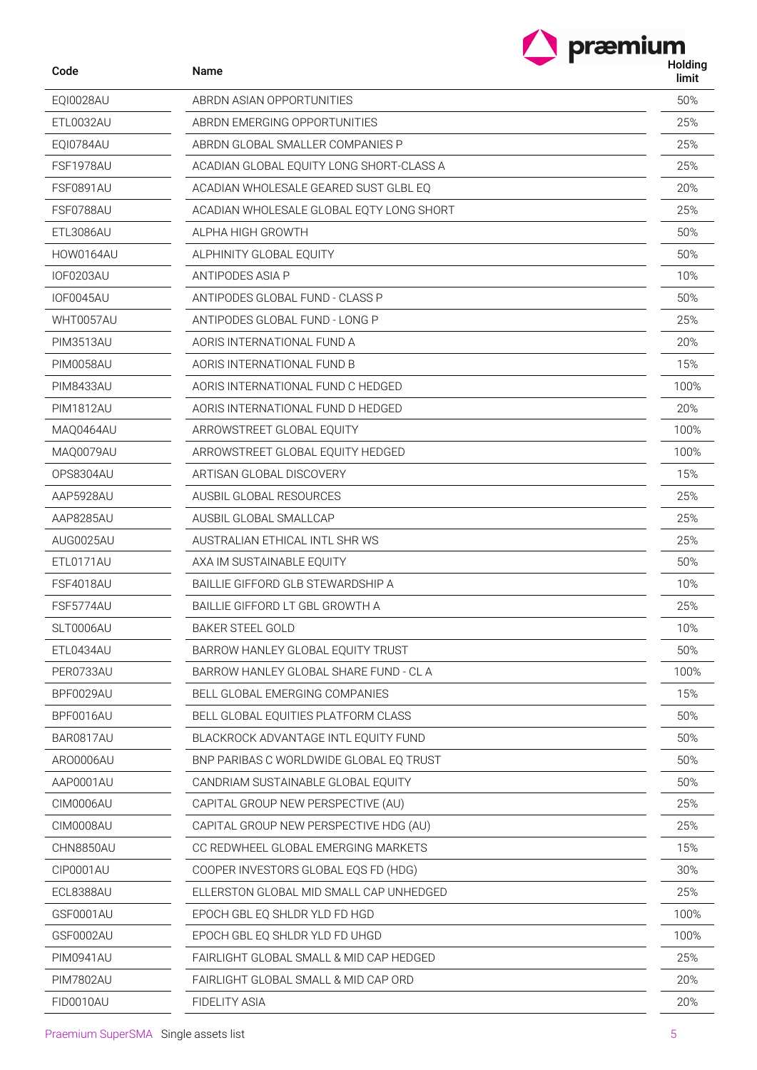| Code             | Name                                     | præmium<br>Holding<br>limit |
|------------------|------------------------------------------|-----------------------------|
| EQI0028AU        | ABRDN ASIAN OPPORTUNITIES                | 50%                         |
| ETL0032AU        | ABRDN EMERGING OPPORTUNITIES             | 25%                         |
| EQI0784AU        | ABRDN GLOBAL SMALLER COMPANIES P         | 25%                         |
| FSF1978AU        | ACADIAN GLOBAL EQUITY LONG SHORT-CLASS A | 25%                         |
| <b>FSF0891AU</b> | ACADIAN WHOLESALE GEARED SUST GLBL EQ    | 20%                         |
| FSF0788AU        | ACADIAN WHOLESALE GLOBAL EQTY LONG SHORT | 25%                         |
| ETL3086AU        | ALPHA HIGH GROWTH                        | 50%                         |
| HOW0164AU        | ALPHINITY GLOBAL EQUITY                  | 50%                         |
| <b>IOF0203AU</b> | ANTIPODES ASIA P                         | 10%                         |
| <b>IOF0045AU</b> | ANTIPODES GLOBAL FUND - CLASS P          | 50%                         |
| WHT0057AU        | ANTIPODES GLOBAL FUND - LONG P           | 25%                         |
| <b>PIM3513AU</b> | AORIS INTERNATIONAL FUND A               | 20%                         |
| <b>PIM0058AU</b> | AORIS INTERNATIONAL FUND B               | 15%                         |
| PIM8433AU        | AORIS INTERNATIONAL FUND C HEDGED        | 100%                        |
| <b>PIM1812AU</b> | AORIS INTERNATIONAL FUND D HEDGED        | 20%                         |
| MAQ0464AU        | ARROWSTREET GLOBAL EQUITY                | 100%                        |
| MAQ0079AU        | ARROWSTREET GLOBAL EQUITY HEDGED         | 100%                        |
| <b>OPS8304AU</b> | ARTISAN GLOBAL DISCOVERY                 | 15%                         |
| AAP5928AU        | AUSBIL GLOBAL RESOURCES                  | 25%                         |
| AAP8285AU        | AUSBIL GLOBAL SMALLCAP                   | 25%                         |
| AUG0025AU        | AUSTRALIAN ETHICAL INTL SHR WS           | 25%                         |
| ETL0171AU        | AXA IM SUSTAINABLE EQUITY                | 50%                         |
| FSF4018AU        | BAILLIE GIFFORD GLB STEWARDSHIP A        | 10%                         |
| FSF5774AU        | BAILLIE GIFFORD LT GBL GROWTH A          | 25%                         |
| SLT0006AU        | <b>BAKER STEEL GOLD</b>                  | 10%                         |
| ETL0434AU        | BARROW HANLEY GLOBAL EQUITY TRUST        | 50%                         |
| PER0733AU        | BARROW HANLEY GLOBAL SHARE FUND - CL A   | 100%                        |
| BPF0029AU        | BELL GLOBAL EMERGING COMPANIES           | 15%                         |
| BPF0016AU        | BELL GLOBAL EQUITIES PLATFORM CLASS      | 50%                         |
| BAR0817AU        | BLACKROCK ADVANTAGE INTL EQUITY FUND     | 50%                         |
| ARO0006AU        | BNP PARIBAS C WORLDWIDE GLOBAL EQ TRUST  | 50%                         |
| AAP0001AU        | CANDRIAM SUSTAINABLE GLOBAL EQUITY       | 50%                         |
| CIM0006AU        | CAPITAL GROUP NEW PERSPECTIVE (AU)       | 25%                         |
| <b>CIM0008AU</b> | CAPITAL GROUP NEW PERSPECTIVE HDG (AU)   | 25%                         |
| CHN8850AU        | CC REDWHEEL GLOBAL EMERGING MARKETS      | 15%                         |
| CIP0001AU        | COOPER INVESTORS GLOBAL EQS FD (HDG)     | 30%                         |
| ECL8388AU        | ELLERSTON GLOBAL MID SMALL CAP UNHEDGED  | 25%                         |
| GSF0001AU        | EPOCH GBL EQ SHLDR YLD FD HGD            | 100%                        |
| GSF0002AU        | EPOCH GBL EQ SHLDR YLD FD UHGD           | 100%                        |
| <b>PIM0941AU</b> | FAIRLIGHT GLOBAL SMALL & MID CAP HEDGED  | 25%                         |
| <b>PIM7802AU</b> | FAIRLIGHT GLOBAL SMALL & MID CAP ORD     | 20%                         |
| FID0010AU        | FIDELITY ASIA                            | 20%                         |

L.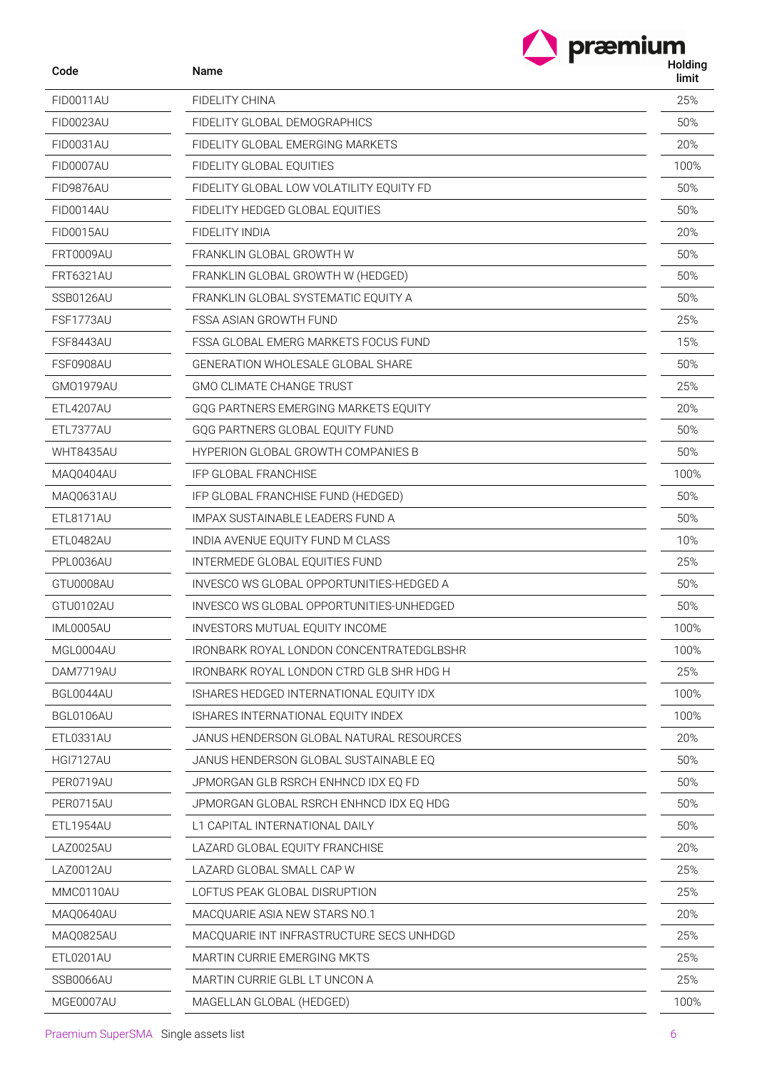|                  | præmium                                   |                  |
|------------------|-------------------------------------------|------------------|
| Code             | <b>Name</b>                               | Holding<br>limit |
| FID0011AU        | FIDELITY CHINA                            | 25%              |
| FID0023AU        | FIDELITY GLOBAL DEMOGRAPHICS              | 50%              |
| FID0031AU        | FIDELITY GLOBAL EMERGING MARKETS          | 20%              |
| FID0007AU        | FIDELITY GLOBAL EQUITIES                  | 100%             |
| FID9876AU        | FIDELITY GLOBAL LOW VOLATILITY EQUITY FD  | 50%              |
| FID0014AU        | FIDELITY HEDGED GLOBAL EQUITIES           | 50%              |
| <b>FID0015AU</b> | FIDELITY INDIA                            | 20%              |
| FRT0009AU        | FRANKLIN GLOBAL GROWTH W                  | 50%              |
| <b>FRT6321AU</b> | FRANKLIN GLOBAL GROWTH W (HEDGED)         | 50%              |
| SSB0126AU        | FRANKLIN GLOBAL SYSTEMATIC EQUITY A       | 50%              |
| FSF1773AU        | <b>FSSA ASIAN GROWTH FUND</b>             | 25%              |
| <b>FSF8443AU</b> | FSSA GLOBAL EMERG MARKETS FOCUS FUND      | 15%              |
| FSF0908AU        | <b>GENERATION WHOLESALE GLOBAL SHARE</b>  | 50%              |
| GM01979AU        | <b>GMO CLIMATE CHANGE TRUST</b>           | 25%              |
| ETL4207AU        | GQG PARTNERS EMERGING MARKETS EQUITY      | 20%              |
| ETL7377AU        | GQG PARTNERS GLOBAL EQUITY FUND           | 50%              |
| <b>WHT8435AU</b> | <b>HYPERION GLOBAL GROWTH COMPANIES B</b> | 50%              |
| MAQ0404AU        | <b>IFP GLOBAL FRANCHISE</b>               | 100%             |
| MAQ0631AU        | IFP GLOBAL FRANCHISE FUND (HEDGED)        | 50%              |
| <b>ETL8171AU</b> | IMPAX SUSTAINABLE LEADERS FUND A          | 50%              |
| ETL0482AU        | INDIA AVENUE EQUITY FUND M CLASS          | 10%              |
| PPL0036AU        | INTERMEDE GLOBAL EQUITIES FUND            | 25%              |
| GTU0008AU        | INVESCO WS GLOBAL OPPORTUNITIES-HEDGED A  | 50%              |
| GTU0102AU        | INVESCO WS GLOBAL OPPORTUNITIES-UNHEDGED  | 50%              |
| IML0005AU        | INVESTORS MUTUAL EQUITY INCOME            | 100%             |
| MGL0004AU        | IRONBARK ROYAL LONDON CONCENTRATEDGLBSHR  | 100%             |
| DAM7719AU        | IRONBARK ROYAL LONDON CTRD GLB SHR HDG H  | 25%              |
| BGL0044AU        | ISHARES HEDGED INTERNATIONAL EQUITY IDX   | 100%             |
| BGL0106AU        | ISHARES INTERNATIONAL EQUITY INDEX        | 100%             |
| ETL0331AU        | JANUS HENDERSON GLOBAL NATURAL RESOURCES  | 20%              |
| <b>HGI7127AU</b> | JANUS HENDERSON GLOBAL SUSTAINABLE EQ     | 50%              |
| PER0719AU        | JPMORGAN GLB RSRCH ENHNCD IDX EQ FD       | 50%              |
| PER0715AU        | JPMORGAN GLOBAL RSRCH ENHNCD IDX EQ HDG   | 50%              |
| ETL1954AU        | L1 CAPITAL INTERNATIONAL DAILY            | 50%              |
| LAZ0025AU        | LAZARD GLOBAL EQUITY FRANCHISE            | 20%              |
| LAZ0012AU        | LAZARD GLOBAL SMALL CAP W                 | 25%              |
| MMC0110AU        | LOFTUS PEAK GLOBAL DISRUPTION             | 25%              |
| MAQ0640AU        | MACQUARIE ASIA NEW STARS NO.1             | 20%              |
| MAQ0825AU        | MACQUARIE INT INFRASTRUCTURE SECS UNHDGD  | 25%              |
| ETL0201AU        | MARTIN CURRIE EMERGING MKTS               | 25%              |
| SSB0066AU        | MARTIN CURRIE GLBL LT UNCON A             | 25%              |
| MGE0007AU        | MAGELLAN GLOBAL (HEDGED)                  | 100%             |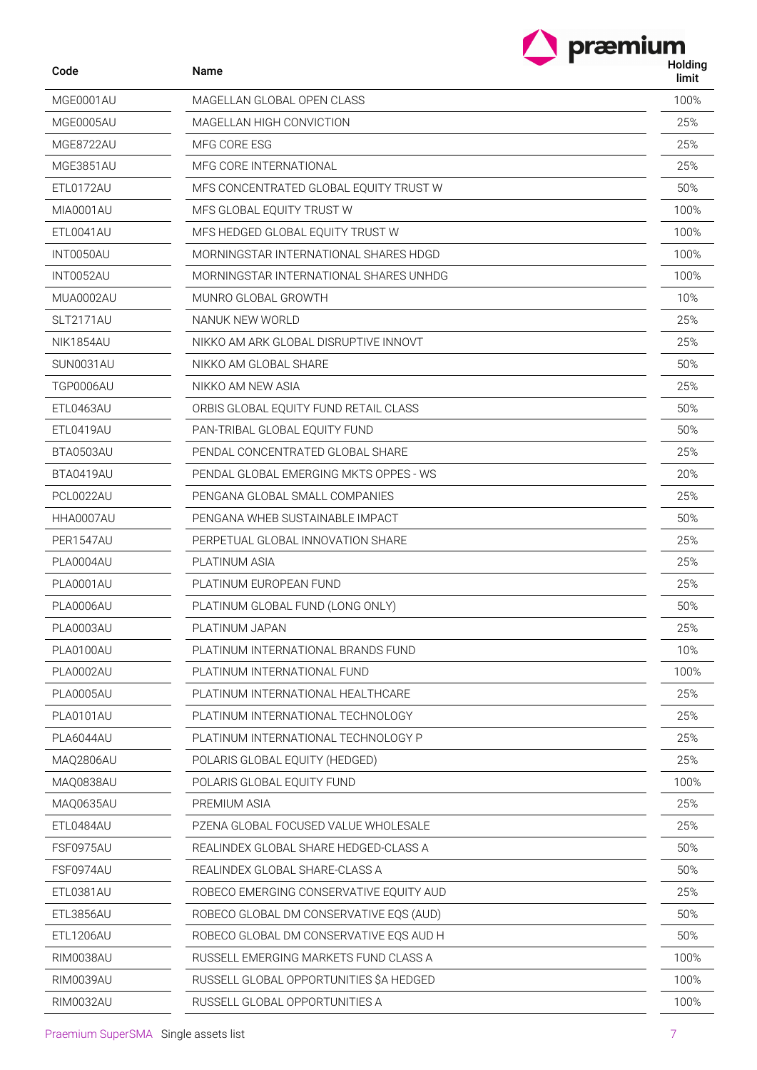| Code              | Name                                   | præmium<br>Holding<br>limit |
|-------------------|----------------------------------------|-----------------------------|
| MGE0001AU         | MAGELLAN GLOBAL OPEN CLASS             | 100%                        |
| MGE0005AU         | MAGELLAN HIGH CONVICTION               | 25%                         |
| MGE8722AU         | MFG CORE ESG                           | 25%                         |
| MGE3851AU         | MFG CORE INTERNATIONAL                 | 25%                         |
| ETL0172AU         | MFS CONCENTRATED GLOBAL EQUITY TRUST W | 50%                         |
| MIA0001AU         | MFS GLOBAL EQUITY TRUST W              | 100%                        |
| ETL0041AU         | MFS HEDGED GLOBAL EQUITY TRUST W       | 100%                        |
| INT0050AU         | MORNINGSTAR INTERNATIONAL SHARES HDGD  | 100%                        |
| <b>INT0052AU</b>  | MORNINGSTAR INTERNATIONAL SHARES UNHDG | 100%                        |
| MUA0002AU         | MUNRO GLOBAL GROWTH                    | 10%                         |
| SLT2171AU         | NANUK NEW WORLD                        | 25%                         |
| NIK1854AU         | NIKKO AM ARK GLOBAL DISRUPTIVE INNOVT  | 25%                         |
| SUN0031AU         | NIKKO AM GLOBAL SHARE                  | 50%                         |
| TGP0006AU         | NIKKO AM NEW ASIA                      | 25%                         |
| ETL0463AU         | ORBIS GLOBAL EQUITY FUND RETAIL CLASS  | 50%                         |
| ETL0419AU         | PAN-TRIBAL GLOBAL EQUITY FUND          | 50%                         |
| BTA0503AU         | PENDAL CONCENTRATED GLOBAL SHARE       | 25%                         |
| BTA0419AU         | PENDAL GLOBAL EMERGING MKTS OPPES - WS | 20%                         |
| PCL0022AU         | PENGANA GLOBAL SMALL COMPANIES         | 25%                         |
| HHA0007AU         | PENGANA WHEB SUSTAINABLE IMPACT        | 50%                         |
| PER1547AU         | PERPETUAL GLOBAL INNOVATION SHARE      | 25%                         |
| PLA0004AU         | <b>PLATINUM ASIA</b>                   | 25%                         |
| PLA0001AU         | PLATINUM EUROPEAN FUND                 | 25%                         |
| PLA0006AU         | PLATINUM GLOBAL FUND (LONG ONLY)       | 50%                         |
| PLA0003AU         | PLATINUM JAPAN                         | 25%                         |
| PLA0100AU         | PLATINUM INTERNATIONAL BRANDS FUND     | 10%                         |
| PLA0002AU         | PLATINUM INTERNATIONAL FUND            | 100%                        |
| <b>DUACOOFALL</b> | DUATINIMA INTERNATIONAL LIEALTUQARE    | $\cap$ $\cap$ $\cap$        |

| F LAV I VVAU | FLATINUM INTLKNATIONAL DRANDST UND      | $1 \cup 70$ |
|--------------|-----------------------------------------|-------------|
| PLA0002AU    | PLATINUM INTERNATIONAL FUND             | 100%        |
| PLA0005AU    | PLATINUM INTERNATIONAL HEALTHCARE       | 25%         |
| PLA0101AU    | PLATINUM INTERNATIONAL TECHNOLOGY       | 25%         |
| PLA6044AU    | PLATINUM INTERNATIONAL TECHNOLOGY P     | 25%         |
| MAQ2806AU    | POLARIS GLOBAL EQUITY (HEDGED)          | 25%         |
| MAQ0838AU    | POLARIS GLOBAL EQUITY FUND              | 100%        |
| MAQ0635AU    | PREMIUM ASIA                            | 25%         |
| ETL0484AU    | PZENA GLOBAL FOCUSED VALUE WHOLESALE    | 25%         |
| FSF0975AU    | REALINDEX GLOBAL SHARE HEDGED-CLASS A   | 50%         |
| FSF0974AU    | REALINDEX GLOBAL SHARE-CLASS A          | 50%         |
| ETL0381AU    | ROBECO EMERGING CONSERVATIVE EQUITY AUD | 25%         |
| ETL3856AU    | ROBECO GLOBAL DM CONSERVATIVE EQS (AUD) | 50%         |
| ETL1206AU    | ROBECO GLOBAL DM CONSERVATIVE EQS AUD H | 50%         |
| RIM0038AU    | RUSSELL EMERGING MARKETS FUND CLASS A   | 100%        |
| RIM0039AU    | RUSSELL GLOBAL OPPORTUNITIES \$A HEDGED | 100%        |
| RIM0032AU    | RUSSELL GLOBAL OPPORTUNITIES A          | 100%        |
|              |                                         |             |

Code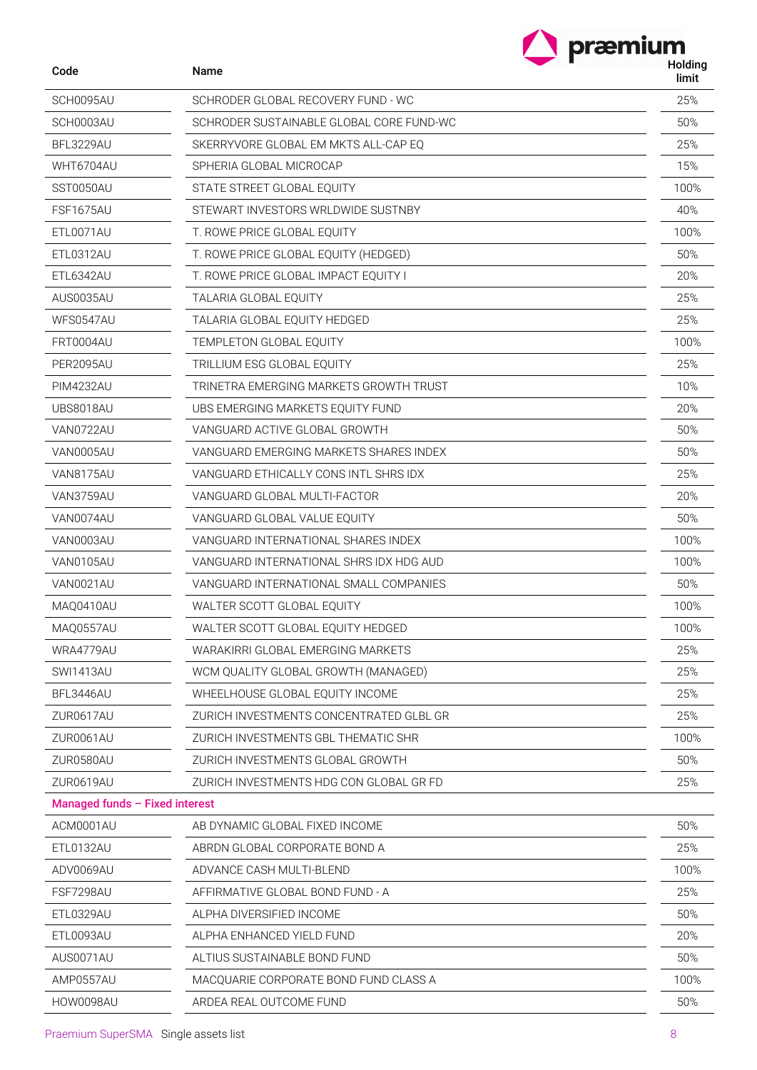| Code                           | Name                                     | præmium<br>Holding<br>limit |
|--------------------------------|------------------------------------------|-----------------------------|
| SCH0095AU                      | SCHRODER GLOBAL RECOVERY FUND - WC       | 25%                         |
| SCH0003AU                      | SCHRODER SUSTAINABLE GLOBAL CORE FUND-WC | 50%                         |
| BFL3229AU                      | SKERRYVORE GLOBAL EM MKTS ALL-CAP EQ     | 25%                         |
| WHT6704AU                      | SPHERIA GLOBAL MICROCAP                  | 15%                         |
| SST0050AU                      | STATE STREET GLOBAL EQUITY               | 100%                        |
| FSF1675AU                      | STEWART INVESTORS WRLDWIDE SUSTNBY       | 40%                         |
| ETL0071AU                      | T. ROWE PRICE GLOBAL EQUITY              | 100%                        |
| ETL0312AU                      | T. ROWE PRICE GLOBAL EQUITY (HEDGED)     | 50%                         |
| ETL6342AU                      | T. ROWE PRICE GLOBAL IMPACT EQUITY I     | 20%                         |
| AUS0035AU                      | TALARIA GLOBAL EQUITY                    | 25%                         |
| WFS0547AU                      | TALARIA GLOBAL EQUITY HEDGED             | 25%                         |
| FRT0004AU                      | TEMPLETON GLOBAL EQUITY                  | 100%                        |
| PER2095AU                      | TRILLIUM ESG GLOBAL EQUITY               | 25%                         |
| <b>PIM4232AU</b>               | TRINETRA EMERGING MARKETS GROWTH TRUST   | 10%                         |
| UBS8018AU                      | UBS EMERGING MARKETS EQUITY FUND         | 20%                         |
| VAN0722AU                      | VANGUARD ACTIVE GLOBAL GROWTH            | 50%                         |
| VAN0005AU                      | VANGUARD EMERGING MARKETS SHARES INDEX   | 50%                         |
| <b>VAN8175AU</b>               | VANGUARD ETHICALLY CONS INTL SHRS IDX    | 25%                         |
| VAN3759AU                      | VANGUARD GLOBAL MULTI-FACTOR             | 20%                         |
| VAN0074AU                      | VANGUARD GLOBAL VALUE EQUITY             | 50%                         |
| VAN0003AU                      | VANGUARD INTERNATIONAL SHARES INDEX      | 100%                        |
| VAN0105AU                      | VANGUARD INTERNATIONAL SHRS IDX HDG AUD  | 100%                        |
| VAN0021AU                      | VANGUARD INTERNATIONAL SMALL COMPANIES   | 50%                         |
| MAQ0410AU                      | WALTER SCOTT GLOBAL EQUITY               | 100%                        |
| MAQ0557AU                      | WALTER SCOTT GLOBAL EQUITY HEDGED        | 100%                        |
| WRA4779AU                      | WARAKIRRI GLOBAL EMERGING MARKETS        | 25%                         |
| SWI1413AU                      | WCM QUALITY GLOBAL GROWTH (MANAGED)      | 25%                         |
| BFL3446AU                      | WHEELHOUSE GLOBAL EQUITY INCOME          | 25%                         |
| ZUR0617AU                      | ZURICH INVESTMENTS CONCENTRATED GLBL GR  | 25%                         |
| ZUR0061AU                      | ZURICH INVESTMENTS GBL THEMATIC SHR      | 100%                        |
| ZUR0580AU                      | ZURICH INVESTMENTS GLOBAL GROWTH         | 50%                         |
| ZUR0619AU                      | ZURICH INVESTMENTS HDG CON GLOBAL GR FD  | 25%                         |
| Managed funds - Fixed interest |                                          |                             |
| ACM0001AU                      | AB DYNAMIC GLOBAL FIXED INCOME           | 50%                         |
| ETL0132AU                      | ABRDN GLOBAL CORPORATE BOND A            | 25%                         |
| ADV0069AU                      | ADVANCE CASH MULTI-BLEND                 | 100%                        |
| FSF7298AU                      | AFFIRMATIVE GLOBAL BOND FUND - A         | 25%                         |
| ETL0329AU                      | ALPHA DIVERSIFIED INCOME                 | 50%                         |
| ETL0093AU                      | ALPHA ENHANCED YIELD FUND                | 20%                         |
| AUS0071AU                      | ALTIUS SUSTAINABLE BOND FUND             | 50%                         |
| AMP0557AU                      | MACQUARIE CORPORATE BOND FUND CLASS A    | 100%                        |
| HOW0098AU                      | ARDEA REAL OUTCOME FUND                  | 50%                         |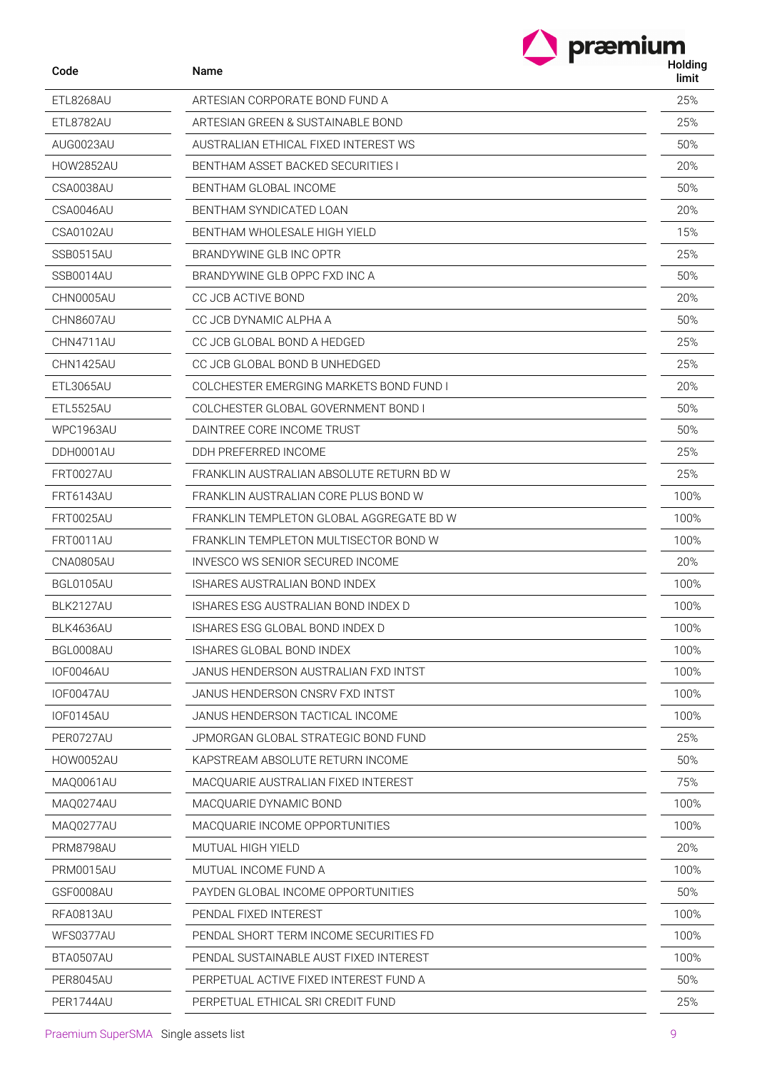| Code             | Name                                     | præmium<br>Holding<br>limit |
|------------------|------------------------------------------|-----------------------------|
| ETL8268AU        | ARTESIAN CORPORATE BOND FUND A           | 25%                         |
| ETL8782AU        | ARTESIAN GREEN & SUSTAINABLE BOND        | 25%                         |
| AUG0023AU        | AUSTRALIAN ETHICAL FIXED INTEREST WS     | 50%                         |
| <b>HOW2852AU</b> | BENTHAM ASSET BACKED SECURITIES I        | 20%                         |
| CSA0038AU        | BENTHAM GLOBAL INCOME                    | 50%                         |
| CSA0046AU        | BENTHAM SYNDICATED LOAN                  | 20%                         |
| CSA0102AU        | <b>BENTHAM WHOLESALE HIGH YIELD</b>      | 15%                         |
| SSB0515AU        | BRANDYWINE GLB INC OPTR                  | 25%                         |
| SSB0014AU        | BRANDYWINE GLB OPPC FXD INC A            | 50%                         |
| CHN0005AU        | CC JCB ACTIVE BOND                       | 20%                         |
| CHN8607AU        | CC JCB DYNAMIC ALPHA A                   | 50%                         |
| CHN4711AU        | CC JCB GLOBAL BOND A HEDGED              | 25%                         |
| CHN1425AU        | CC JCB GLOBAL BOND B UNHEDGED            | 25%                         |
| <b>ETL3065AU</b> | COLCHESTER EMERGING MARKETS BOND FUND I  | 20%                         |
| <b>ETL5525AU</b> | COLCHESTER GLOBAL GOVERNMENT BOND I      | 50%                         |
| <b>WPC1963AU</b> | DAINTREE CORE INCOME TRUST               | 50%                         |
| DDH0001AU        | DDH PREFERRED INCOME                     | 25%                         |
| <b>FRT0027AU</b> | FRANKLIN AUSTRALIAN ABSOLUTE RETURN BD W | 25%                         |
| <b>FRT6143AU</b> | FRANKLIN AUSTRALIAN CORE PLUS BOND W     | 100%                        |
| <b>FRT0025AU</b> | FRANKLIN TEMPLETON GLOBAL AGGREGATE BD W | 100%                        |
| <b>FRT0011AU</b> | FRANKLIN TEMPLETON MULTISECTOR BOND W    | 100%                        |
| <b>CNA0805AU</b> | INVESCO WS SENIOR SECURED INCOME         | 20%                         |
| BGL0105AU        | ISHARES AUSTRALIAN BOND INDEX            | 100%                        |
| BLK2127AU        | ISHARES ESG AUSTRALIAN BOND INDEX D      | 100%                        |
| BLK4636AU        | ISHARES ESG GLOBAL BOND INDEX D          | 100%                        |
| BGL0008AU        | ISHARES GLOBAL BOND INDEX                | 100%                        |
| IOF0046AU        | JANUS HENDERSON AUSTRALIAN FXD INTST     | 100%                        |
| <b>IOF0047AU</b> | JANUS HENDERSON CNSRV FXD INTST          | 100%                        |
| <b>IOF0145AU</b> | JANUS HENDERSON TACTICAL INCOME          | 100%                        |
| PER0727AU        | JPMORGAN GLOBAL STRATEGIC BOND FUND      | 25%                         |
| <b>HOW0052AU</b> | KAPSTREAM ABSOLUTE RETURN INCOME         | 50%                         |
| MAQ0061AU        | MACQUARIE AUSTRALIAN FIXED INTEREST      | 75%                         |
| MAQ0274AU        | MACQUARIE DYNAMIC BOND                   | 100%                        |
| MAQ0277AU        | MACQUARIE INCOME OPPORTUNITIES           | 100%                        |
| PRM8798AU        | <b>MUTUAL HIGH YIELD</b>                 | 20%                         |
| PRM0015AU        | MUTUAL INCOME FUND A                     | 100%                        |
| GSF0008AU        | PAYDEN GLOBAL INCOME OPPORTUNITIES       | 50%                         |
| RFA0813AU        | PENDAL FIXED INTEREST                    | 100%                        |
| WFS0377AU        | PENDAL SHORT TERM INCOME SECURITIES FD   | 100%                        |
| BTA0507AU        | PENDAL SUSTAINABLE AUST FIXED INTEREST   | 100%                        |
| PER8045AU        | PERPETUAL ACTIVE FIXED INTEREST FUND A   | 50%                         |
| PER1744AU        | PERPETUAL ETHICAL SRI CREDIT FUND        | 25%                         |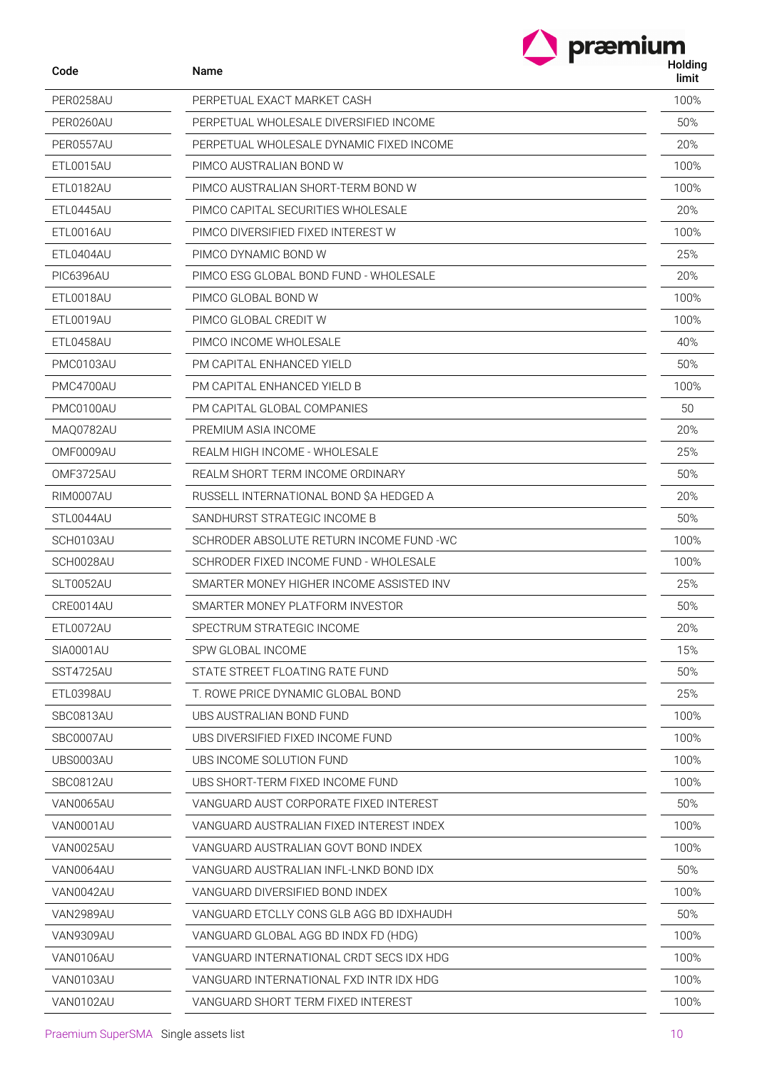| Code             | Name                                     | Holding<br>limit |
|------------------|------------------------------------------|------------------|
| PER0258AU        | PERPETUAL EXACT MARKET CASH              | 100%             |
| PER0260AU        | PERPETUAL WHOLESALE DIVERSIFIED INCOME   | 50%              |
| PER0557AU        | PERPETUAL WHOLESALE DYNAMIC FIXED INCOME | 20%              |
| ETL0015AU        | PIMCO AUSTRALIAN BOND W                  | 100%             |
| ETL0182AU        | PIMCO AUSTRALIAN SHORT-TERM BOND W       | 100%             |
| ETL0445AU        | PIMCO CAPITAL SECURITIES WHOLESALE       | 20%              |
| ETL0016AU        | PIMCO DIVERSIFIED FIXED INTEREST W       | 100%             |
| ETL0404AU        | PIMCO DYNAMIC BOND W                     | 25%              |
| <b>PIC6396AU</b> | PIMCO ESG GLOBAL BOND FUND - WHOLESALE   | 20%              |
| ETL0018AU        | PIMCO GLOBAL BOND W                      | 100%             |
| ETL0019AU        | PIMCO GLOBAL CREDIT W                    | 100%             |
| ETL0458AU        | PIMCO INCOME WHOLESALE                   | 40%              |
| PMC0103AU        | PM CAPITAL ENHANCED YIELD                | 50%              |
| PMC4700AU        | PM CAPITAL ENHANCED YIELD B              | 100%             |
| PMC0100AU        | PM CAPITAL GLOBAL COMPANIES              | 50               |
| MAQ0782AU        | PREMIUM ASIA INCOME                      | 20%              |
| OMF0009AU        | REALM HIGH INCOME - WHOLESALE            | 25%              |
| OMF3725AU        | REALM SHORT TERM INCOME ORDINARY         | 50%              |
| RIM0007AU        | RUSSELL INTERNATIONAL BOND SA HEDGED A   | 20%              |
| STL0044AU        | SANDHURST STRATEGIC INCOME B             | 50%              |
| SCH0103AU        | SCHRODER ABSOLUTE RETURN INCOME FUND -WC | 100%             |
| SCH0028AU        | SCHRODER FIXED INCOME FUND - WHOLESALE   | 100%             |
| SLT0052AU        | SMARTER MONEY HIGHER INCOME ASSISTED INV | 25%              |
| CRE0014AU        | SMARTER MONEY PLATFORM INVESTOR          | 50%              |
| ETL0072AU        | SPECTRUM STRATEGIC INCOME                | 20%              |
| SIA0001AU        | SPW GLOBAL INCOME                        | 15%              |
| SST4725AU        | STATE STREET FLOATING RATE FUND          | 50%              |
| ETL0398AU        | T. ROWE PRICE DYNAMIC GLOBAL BOND        | 25%              |
| SBC0813AU        | UBS AUSTRALIAN BOND FUND                 | 100%             |
| SBC0007AU        | UBS DIVERSIFIED FIXED INCOME FUND        | 100%             |
| UBS0003AU        | UBS INCOME SOLUTION FUND                 | 100%             |
| SBC0812AU        | UBS SHORT-TERM FIXED INCOME FUND         | 100%             |
| VAN0065AU        | VANGUARD AUST CORPORATE FIXED INTEREST   | 50%              |
| VAN0001AU        | VANGUARD AUSTRALIAN FIXED INTEREST INDEX | 100%             |
| VAN0025AU        | VANGUARD AUSTRALIAN GOVT BOND INDEX      | 100%             |
| VAN0064AU        | VANGUARD AUSTRALIAN INFL-LNKD BOND IDX   | 50%              |
| VAN0042AU        | VANGUARD DIVERSIFIED BOND INDEX          | 100%             |
| VAN2989AU        | VANGUARD ETCLLY CONS GLB AGG BD IDXHAUDH | 50%              |
| VAN9309AU        | VANGUARD GLOBAL AGG BD INDX FD (HDG)     | 100%             |
| VAN0106AU        | VANGUARD INTERNATIONAL CRDT SECS IDX HDG | 100%             |
| VAN0103AU        | VANGUARD INTERNATIONAL FXD INTR IDX HDG  | 100%             |
| VAN0102AU        | VANGUARD SHORT TERM FIXED INTEREST       | 100%             |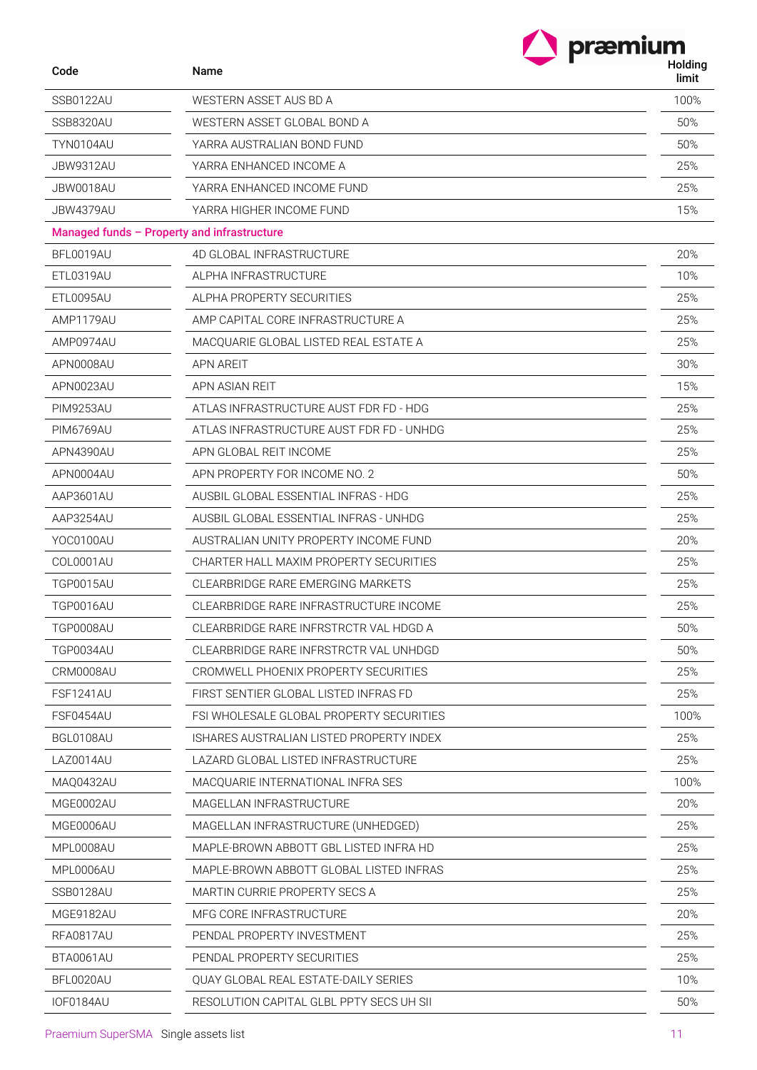|                  | præmium                                     |                  |
|------------------|---------------------------------------------|------------------|
| Code             | Name                                        | Holding<br>limit |
| SSB0122AU        | WESTERN ASSET AUS BD A                      | 100%             |
| <b>SSB8320AU</b> | WESTERN ASSET GLOBAL BOND A                 | 50%              |
| TYN0104AU        | YARRA AUSTRALIAN BOND FUND                  | 50%              |
| JBW9312AU        | YARRA ENHANCED INCOME A                     | 25%              |
| JBW0018AU        | YARRA ENHANCED INCOME FUND                  | 25%              |
| JBW4379AU        | YARRA HIGHER INCOME FUND                    | 15%              |
|                  | Managed funds - Property and infrastructure |                  |
| BFL0019AU        | 4D GLOBAL INFRASTRUCTURE                    | 20%              |
| ETL0319AU        | ALPHA INFRASTRUCTURE                        | 10%              |
| ETL0095AU        | ALPHA PROPERTY SECURITIES                   | 25%              |
| AMP1179AU        | AMP CAPITAL CORE INFRASTRUCTURE A           | 25%              |
| AMP0974AU        | MACQUARIE GLOBAL LISTED REAL ESTATE A       | 25%              |
| APN0008AU        | <b>APN AREIT</b>                            | 30%              |
| APN0023AU        | APN ASIAN REIT                              | 15%              |
| <b>PIM9253AU</b> | ATLAS INFRASTRUCTURE AUST FDR FD - HDG      | 25%              |
| <b>PIM6769AU</b> | ATLAS INFRASTRUCTURE AUST FDR FD - UNHDG    | 25%              |
| APN4390AU        | APN GLOBAL REIT INCOME                      | 25%              |
| APN0004AU        | APN PROPERTY FOR INCOME NO. 2               | 50%              |
| AAP3601AU        | AUSBIL GLOBAL ESSENTIAL INFRAS - HDG        | 25%              |
| AAP3254AU        | AUSBIL GLOBAL ESSENTIAL INFRAS - UNHDG      | 25%              |
| YOC0100AU        | AUSTRALIAN UNITY PROPERTY INCOME FUND       | 20%              |
| COL0001AU        | CHARTER HALL MAXIM PROPERTY SECURITIES      | 25%              |
| <b>TGP0015AU</b> | CLEARBRIDGE RARE EMERGING MARKETS           | 25%              |
| <b>TGP0016AU</b> | CLEARBRIDGE RARE INFRASTRUCTURE INCOME      | 25%              |
| TGP0008AU        | CLEARBRIDGE RARE INFRSTRCTR VAL HDGD A      | 50%              |
| <b>TGP0034AU</b> | CLEARBRIDGE RARE INFRSTRCTR VAL UNHDGD      | 50%              |
| CRM0008AU        | CROMWELL PHOENIX PROPERTY SECURITIES        | 25%              |
| FSF1241AU        | FIRST SENTIER GLOBAL LISTED INFRAS FD       | 25%              |
| FSF0454AU        | FSI WHOLESALE GLOBAL PROPERTY SECURITIES    | 100%             |
| BGL0108AU        | ISHARES AUSTRALIAN LISTED PROPERTY INDEX    | 25%              |
| LAZ0014AU        | LAZARD GLOBAL LISTED INFRASTRUCTURE         | 25%              |
| MAQ0432AU        | MACQUARIE INTERNATIONAL INFRA SES           | 100%             |
| MGE0002AU        | MAGELLAN INFRASTRUCTURE                     | 20%              |
| MGE0006AU        | MAGELLAN INFRASTRUCTURE (UNHEDGED)          | 25%              |
| MPL0008AU        | MAPLE-BROWN ABBOTT GBL LISTED INFRA HD      | 25%              |
| MPL0006AU        | MAPLE-BROWN ABBOTT GLOBAL LISTED INFRAS     | 25%              |
| SSB0128AU        | MARTIN CURRIE PROPERTY SECS A               | 25%              |
| MGE9182AU        | MFG CORE INFRASTRUCTURE                     | 20%              |
| RFA0817AU        | PENDAL PROPERTY INVESTMENT                  | 25%              |
| BTA0061AU        | PENDAL PROPERTY SECURITIES                  | 25%              |
| BFL0020AU        | QUAY GLOBAL REAL ESTATE-DAILY SERIES        | 10%              |
| IOF0184AU        | RESOLUTION CAPITAL GLBL PPTY SECS UH SII    | 50%              |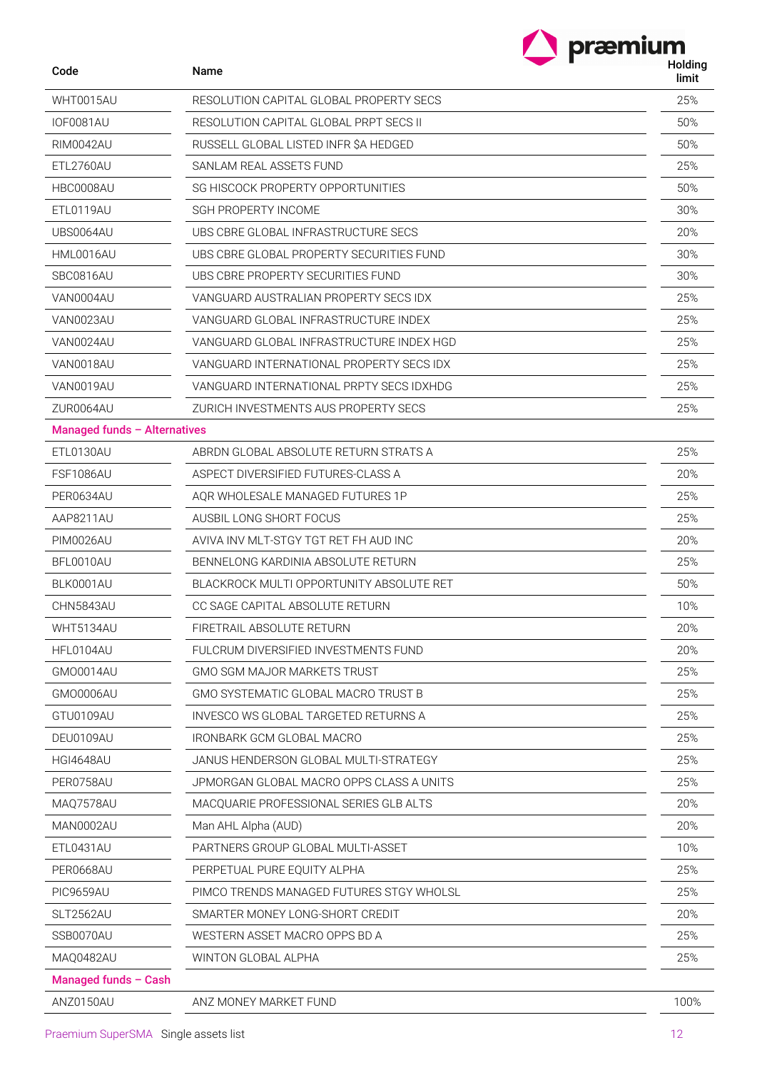| Code                         | Name                                     | Holding<br>limit |
|------------------------------|------------------------------------------|------------------|
| WHT0015AU                    | RESOLUTION CAPITAL GLOBAL PROPERTY SECS  | 25%              |
| <b>IOF0081AU</b>             | RESOLUTION CAPITAL GLOBAL PRPT SECS II   | 50%              |
| <b>RIM0042AU</b>             | RUSSELL GLOBAL LISTED INFR \$A HEDGED    | 50%              |
| ETL2760AU                    | SANLAM REAL ASSETS FUND                  | 25%              |
| HBC0008AU                    | SG HISCOCK PROPERTY OPPORTUNITIES        | 50%              |
| ETL0119AU                    | <b>SGH PROPERTY INCOME</b>               | 30%              |
| UBS0064AU                    | UBS CBRE GLOBAL INFRASTRUCTURE SECS      | 20%              |
| HML0016AU                    | UBS CBRE GLOBAL PROPERTY SECURITIES FUND | 30%              |
| SBC0816AU                    | UBS CBRE PROPERTY SECURITIES FUND        | 30%              |
| VAN0004AU                    | VANGUARD AUSTRALIAN PROPERTY SECS IDX    | 25%              |
| VAN0023AU                    | VANGUARD GLOBAL INFRASTRUCTURE INDEX     | 25%              |
| VAN0024AU                    | VANGUARD GLOBAL INFRASTRUCTURE INDEX HGD | 25%              |
| VAN0018AU                    | VANGUARD INTERNATIONAL PROPERTY SECS IDX | 25%              |
| VAN0019AU                    | VANGUARD INTERNATIONAL PRPTY SECS IDXHDG | 25%              |
| ZUR0064AU                    | ZURICH INVESTMENTS AUS PROPERTY SECS     | 25%              |
| Managed funds - Alternatives |                                          |                  |
| ETL0130AU                    | ABRON GLOBAL ABSOLUTE RETURN STRATS A    | 25%              |
| FSF1086AU                    | ASPECT DIVERSIFIED FUTURES-CLASS A       | 20%              |
| PER0634AU                    | AQR WHOLESALE MANAGED FUTURES 1P         | 25%              |
| AAP8211AU                    | AUSBIL LONG SHORT FOCUS                  | 25%              |
| <b>PIM0026AU</b>             | AVIVA INV MLT-STGY TGT RET FH AUD INC    | 20%              |
| BFL0010AU                    | BENNELONG KARDINIA ABSOLUTE RETURN       | 25%              |
| BLK0001AU                    | BLACKROCK MULTI OPPORTUNITY ABSOLUTE RET | 50%              |
| CHN5843AU                    | CC SAGE CAPITAL ABSOLUTE RETURN          | 10%              |
| WHT5134AU                    | FIRETRAIL ABSOLUTE RETURN                | 20%              |
| HFL0104AU                    | FULCRUM DIVERSIFIED INVESTMENTS FUND     | 20%              |
| <b>GMO0014AU</b>             | <b>GMO SGM MAJOR MARKETS TRUST</b>       | 25%              |
| GMO0006AU                    | GMO SYSTEMATIC GLOBAL MACRO TRUST B      | 25%              |
| GTU0109AU                    | INVESCO WS GLOBAL TARGETED RETURNS A     | 25%              |
| DEU0109AU                    | IRONBARK GCM GLOBAL MACRO                | 25%              |
| <b>HGI4648AU</b>             | JANUS HENDERSON GLOBAL MULTI-STRATEGY    | 25%              |
| PER0758AU                    | JPMORGAN GLOBAL MACRO OPPS CLASS A UNITS | 25%              |
| MAQ7578AU                    | MACQUARIE PROFESSIONAL SERIES GLB ALTS   | 20%              |
| MAN0002AU                    | Man AHL Alpha (AUD)                      | 20%              |
| ETL0431AU                    | PARTNERS GROUP GLOBAL MULTI-ASSET        | 10%              |
| PER0668AU                    | PERPETUAL PURE EQUITY ALPHA              | 25%              |
| PIC9659AU                    | PIMCO TRENDS MANAGED FUTURES STGY WHOLSL | 25%              |
| SLT2562AU                    | SMARTER MONEY LONG-SHORT CREDIT          | 20%              |
| SSB0070AU                    | WESTERN ASSET MACRO OPPS BD A            | 25%              |
| MAQ0482AU                    | WINTON GLOBAL ALPHA                      | 25%              |
| Managed funds - Cash         |                                          |                  |
| ANZ0150AU                    | ANZ MONEY MARKET FUND                    | 100%             |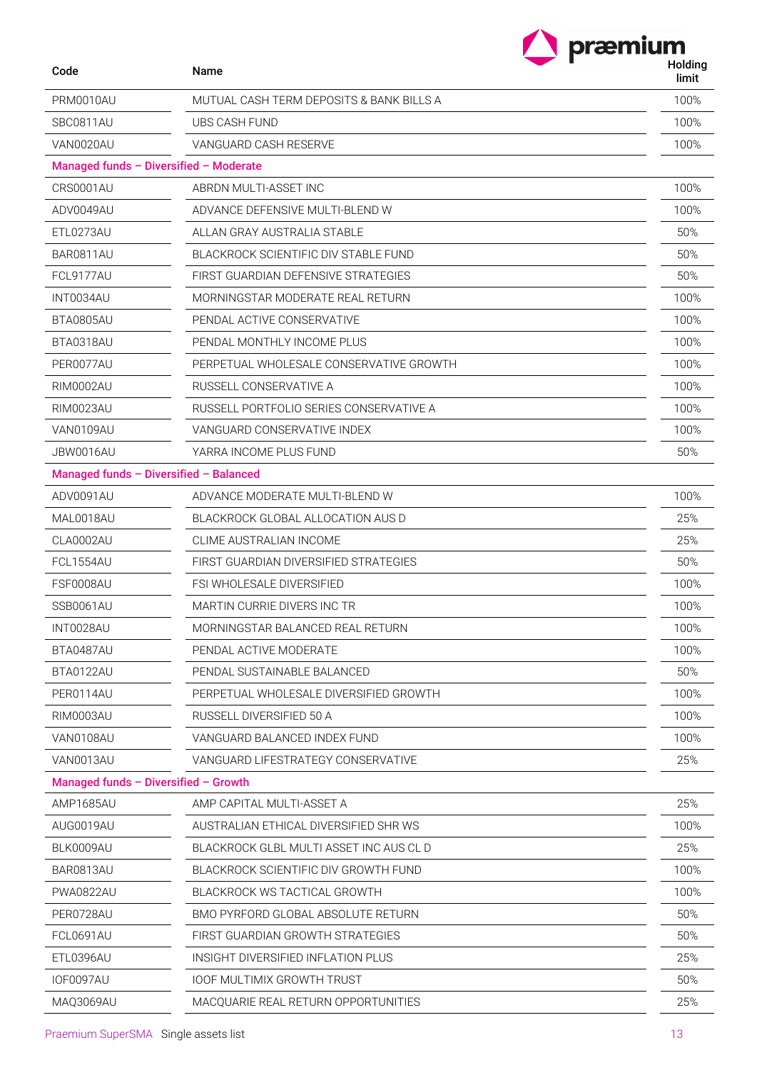|                                      |                                          | præmium          |
|--------------------------------------|------------------------------------------|------------------|
| Code                                 | Name                                     | Holding<br>limit |
| PRM0010AU                            | MUTUAL CASH TERM DEPOSITS & BANK BILLS A | 100%             |
| SBC0811AU                            | UBS CASH FUND                            | 100%             |
| VAN0020AU                            | VANGUARD CASH RESERVE                    | 100%             |
|                                      | Managed funds - Diversified - Moderate   |                  |
| CRS0001AU                            | ABRDN MULTI-ASSET INC                    | 100%             |
| ADV0049AU                            | ADVANCE DEFENSIVE MULTI-BLEND W          | 100%             |
| ETL0273AU                            | ALLAN GRAY AUSTRALIA STABLE              | 50%              |
| BAR0811AU                            | BLACKROCK SCIENTIFIC DIV STABLE FUND     | 50%              |
| <b>FCL9177AU</b>                     | FIRST GUARDIAN DEFENSIVE STRATEGIES      | 50%              |
| INT0034AU                            | MORNINGSTAR MODERATE REAL RETURN         | 100%             |
| BTA0805AU                            | PENDAL ACTIVE CONSERVATIVE               | 100%             |
| BTA0318AU                            | PENDAL MONTHLY INCOME PLUS               | 100%             |
| PER0077AU                            | PERPETUAL WHOLESALE CONSERVATIVE GROWTH  | 100%             |
| <b>RIM0002AU</b>                     | RUSSELL CONSERVATIVE A                   | 100%             |
| RIM0023AU                            | RUSSELL PORTFOLIO SERIES CONSERVATIVE A  | 100%             |
| VAN0109AU                            | VANGUARD CONSERVATIVE INDEX              | 100%             |
| JBW0016AU                            | YARRA INCOME PLUS FUND                   | 50%              |
|                                      | Managed funds - Diversified - Balanced   |                  |
| ADV0091AU                            | ADVANCE MODERATE MULTI-BLEND W           | 100%             |
| MAL0018AU                            | BLACKROCK GLOBAL ALLOCATION AUS D        | 25%              |
| CLA0002AU                            | CLIME AUSTRALIAN INCOME                  | 25%              |
| FCL1554AU                            | FIRST GUARDIAN DIVERSIFIED STRATEGIES    | 50%              |
| FSF0008AU                            | FSI WHOLESALE DIVERSIFIED                | 100%             |
| SSB0061AU                            | MARTIN CURRIE DIVERS INC TR              | 100%             |
| INT0028AU                            | MORNINGSTAR BALANCED REAL RETURN         | 100%             |
| BTA0487AU                            | PENDAL ACTIVE MODERATE                   | 100%             |
| BTA0122AU                            | PENDAL SUSTAINABLE BALANCED              | 50%              |
| PER0114AU                            | PERPETUAL WHOLESALE DIVERSIFIED GROWTH   | 100%             |
| RIM0003AU                            | RUSSELL DIVERSIFIED 50 A                 | 100%             |
| VAN0108AU                            | VANGUARD BALANCED INDEX FUND             | 100%             |
| VAN0013AU                            | VANGUARD LIFESTRATEGY CONSERVATIVE       | 25%              |
| Managed funds - Diversified - Growth |                                          |                  |
| AMP1685AU                            | AMP CAPITAL MULTI-ASSET A                | 25%              |
| AUG0019AU                            | AUSTRALIAN ETHICAL DIVERSIFIED SHR WS    | 100%             |
| BLK0009AU                            | BLACKROCK GLBL MULTI ASSET INC AUS CL D  | 25%              |
| BAR0813AU                            | BLACKROCK SCIENTIFIC DIV GROWTH FUND     | 100%             |
| <b>PWA0822AU</b>                     | BLACKROCK WS TACTICAL GROWTH             | 100%             |
| PER0728AU                            | BMO PYRFORD GLOBAL ABSOLUTE RETURN       | 50%              |
| FCL0691AU                            | FIRST GUARDIAN GROWTH STRATEGIES         | 50%              |
| ETL0396AU                            | INSIGHT DIVERSIFIED INFLATION PLUS       | 25%              |
| IOF0097AU                            | <b>IOOF MULTIMIX GROWTH TRUST</b>        | 50%              |
| MAQ3069AU                            | MACQUARIE REAL RETURN OPPORTUNITIES      | 25%              |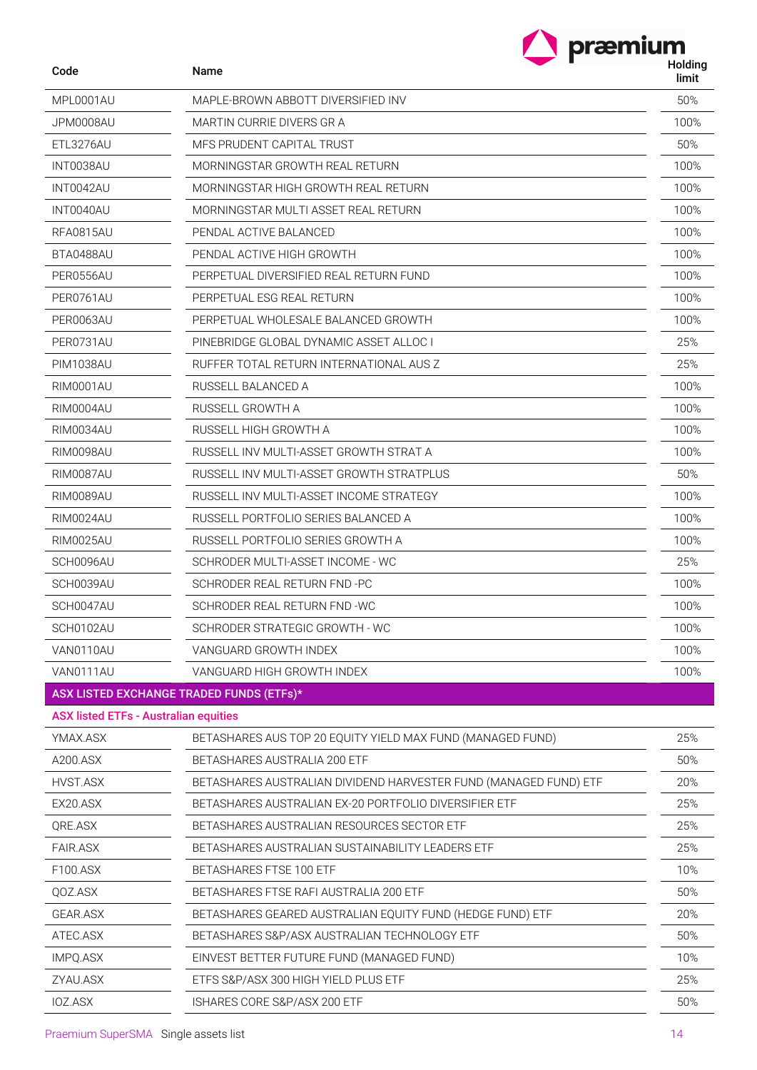| Code                                         | Name                                                             | Holding<br>limit |
|----------------------------------------------|------------------------------------------------------------------|------------------|
| MPL0001AU                                    | MAPLE-BROWN ABBOTT DIVERSIFIED INV                               | 50%              |
| JPM0008AU                                    | MARTIN CURRIE DIVERS GR A                                        | 100%             |
| ETL3276AU                                    | MFS PRUDENT CAPITAL TRUST                                        | 50%              |
| INT0038AU                                    | MORNINGSTAR GROWTH REAL RETURN                                   | 100%             |
| INT0042AU                                    | MORNINGSTAR HIGH GROWTH REAL RETURN                              | 100%             |
| INT0040AU                                    | MORNINGSTAR MULTI ASSET REAL RETURN                              | 100%             |
| <b>RFA0815AU</b>                             | PENDAL ACTIVE BALANCED                                           | 100%             |
| BTA0488AU                                    | PENDAL ACTIVE HIGH GROWTH                                        | 100%             |
| PER0556AU                                    | PERPETUAL DIVERSIFIED REAL RETURN FUND                           | 100%             |
| PER0761AU                                    | PERPETUAL ESG REAL RETURN                                        | 100%             |
| PER0063AU                                    | PERPETUAL WHOLESALE BALANCED GROWTH                              | 100%             |
| PER0731AU                                    | PINEBRIDGE GLOBAL DYNAMIC ASSET ALLOC I                          | 25%              |
| <b>PIM1038AU</b>                             | RUFFER TOTAL RETURN INTERNATIONAL AUS Z                          | 25%              |
| <b>RIM0001AU</b>                             | RUSSELL BALANCED A                                               | 100%             |
| <b>RIM0004AU</b>                             | RUSSELL GROWTH A                                                 | 100%             |
| <b>RIM0034AU</b>                             | RUSSELL HIGH GROWTH A                                            | 100%             |
| <b>RIM0098AU</b>                             | RUSSELL INV MULTI-ASSET GROWTH STRAT A                           | 100%             |
| RIM0087AU                                    | RUSSELL INV MULTI-ASSET GROWTH STRATPLUS                         | 50%              |
| RIM0089AU                                    | RUSSELL INV MULTI-ASSET INCOME STRATEGY                          | 100%             |
| RIM0024AU                                    | RUSSELL PORTFOLIO SERIES BALANCED A                              | 100%             |
| <b>RIM0025AU</b>                             | RUSSELL PORTFOLIO SERIES GROWTH A                                | 100%             |
| SCH0096AU                                    | SCHRODER MULTI-ASSET INCOME - WC                                 | 25%              |
| SCH0039AU                                    | SCHRODER REAL RETURN FND -PC                                     | 100%             |
| SCH0047AU                                    | SCHRODER REAL RETURN FND -WC                                     | 100%             |
| SCH0102AU                                    | SCHRODER STRATEGIC GROWTH - WC                                   | 100%             |
| VAN0110AU                                    | VANGUARD GROWTH INDEX                                            | 100%             |
| VAN0111AU                                    | VANGUARD HIGH GROWTH INDEX                                       | 100%             |
|                                              | ASX LISTED EXCHANGE TRADED FUNDS (ETFs)*                         |                  |
| <b>ASX listed ETFs - Australian equities</b> |                                                                  |                  |
| YMAX.ASX                                     | BETASHARES AUS TOP 20 EQUITY YIELD MAX FUND (MANAGED FUND)       | 25%              |
| A200.ASX                                     | BETASHARES AUSTRALIA 200 ETF                                     | 50%              |
| HVST.ASX                                     | BETASHARES AUSTRALIAN DIVIDEND HARVESTER FUND (MANAGED FUND) ETF | 20%              |
| EX20.ASX                                     | BETASHARES AUSTRALIAN EX-20 PORTFOLIO DIVERSIFIER ETF            | 25%              |
| QRE.ASX                                      | BETASHARES AUSTRALIAN RESOURCES SECTOR ETF                       | 25%              |
| <b>FAIR.ASX</b>                              | BETASHARES AUSTRALIAN SUSTAINABILITY LEADERS ETF                 | 25%              |
| F100.ASX                                     | BETASHARES FTSE 100 ETF                                          | 10%              |
| QOZ.ASX                                      | BETASHARES FTSE RAFI AUSTRALIA 200 ETF                           | 50%              |
| <b>GEAR.ASX</b>                              | BETASHARES GEARED AUSTRALIAN EQUITY FUND (HEDGE FUND) ETF        | 20%              |
| ATEC.ASX                                     | BETASHARES S&P/ASX AUSTRALIAN TECHNOLOGY ETF                     | 50%              |
| IMPQ.ASX                                     | EINVEST BETTER FUTURE FUND (MANAGED FUND)                        | 10%              |
| ZYAU.ASX                                     | ETFS S&P/ASX 300 HIGH YIELD PLUS ETF                             | 25%              |

IOZ.ASX ISHARES CORE S&P/ASX 200 ETF 50%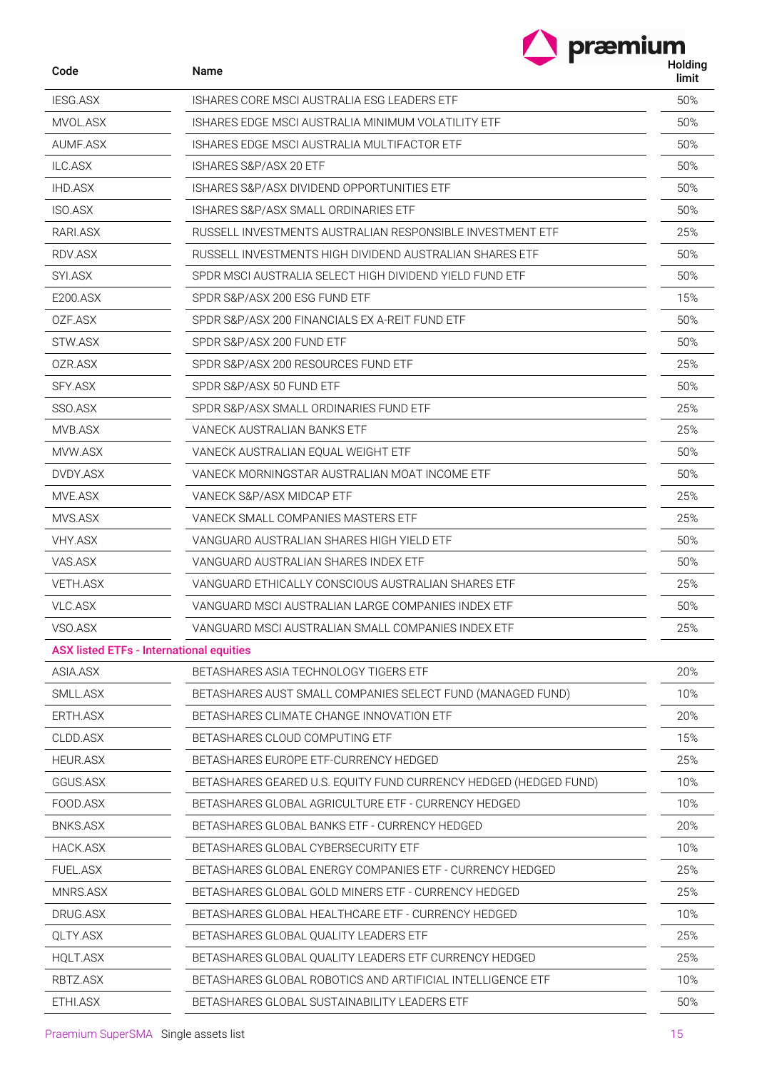|                 | præmium                                                          |                  |
|-----------------|------------------------------------------------------------------|------------------|
| Code            | Name                                                             | Holding<br>limit |
| <b>IESG.ASX</b> | ISHARES CORE MSCLAUSTRALIA ESG LEADERS ETF                       | 50%              |
| MVOL.ASX        | ISHARES EDGE MSCI AUSTRALIA MINIMUM VOLATILITY ETF               | 50%              |
| AUMF.ASX        | ISHARES EDGE MSCI AUSTRALIA MULTIFACTOR ETF                      | 50%              |
| ILC.ASX         | ISHARES S&P/ASX 20 ETF                                           | 50%              |
| <b>IHD.ASX</b>  | ISHARES S&P/ASX DIVIDEND OPPORTUNITIES ETF                       | 50%              |
| <b>ISO.ASX</b>  | ISHARES S&P/ASX SMALL ORDINARIES ETF                             | 50%              |
| RARI.ASX        | RUSSELL INVESTMENTS AUSTRALIAN RESPONSIBLE INVESTMENT ETF        | 25%              |
| RDV.ASX         | RUSSELL INVESTMENTS HIGH DIVIDEND AUSTRALIAN SHARES ETF          | 50%              |
| SYI.ASX         | SPDR MSCI AUSTRALIA SELECT HIGH DIVIDEND YIELD FUND ETF          | 50%              |
| E200.ASX        | SPDR S&P/ASX 200 ESG FUND ETF                                    | 15%              |
| OZF.ASX         | SPDR S&P/ASX 200 FINANCIALS EX A-REIT FUND ETF                   | 50%              |
| STW.ASX         | SPDR S&P/ASX 200 FUND ETF                                        | 50%              |
| OZR.ASX         | SPDR S&P/ASX 200 RESOURCES FUND ETF                              | 25%              |
| SFY.ASX         | SPDR S&P/ASX 50 FUND ETF                                         | 50%              |
| SSO.ASX         | SPDR S&P/ASX SMALL ORDINARIES FUND ETF                           | 25%              |
| MVB.ASX         | VANECK AUSTRALIAN BANKS ETF                                      | 25%              |
| MVW.ASX         | VANECK AUSTRALIAN EQUAL WEIGHT ETF                               | 50%              |
| DVDY.ASX        | VANECK MORNINGSTAR AUSTRALIAN MOAT INCOME ETF                    | 50%              |
| MVE.ASX         | VANECK S&P/ASX MIDCAP ETF                                        | 25%              |
| MVS.ASX         | VANECK SMALL COMPANIES MASTERS ETF                               | 25%              |
| <b>VHY.ASX</b>  | VANGUARD AUSTRALIAN SHARES HIGH YIELD ETF                        | 50%              |
| VAS.ASX         | VANGUARD AUSTRALIAN SHARES INDEX ETF                             | 50%              |
| VETH.ASX        | VANGUARD ETHICALLY CONSCIOUS AUSTRALIAN SHARES ETF               | 25%              |
| <b>VLC.ASX</b>  | VANGUARD MSCI AUSTRALIAN LARGE COMPANIES INDEX ETF               | 50%              |
| VSO.ASX         | VANGUARD MSCI AUSTRALIAN SMALL COMPANIES INDEX ETF               | 25%              |
|                 | <b>ASX listed ETFs - International equities</b>                  |                  |
| ASIA.ASX        | BETASHARES ASIA TECHNOLOGY TIGERS ETF                            | 20%              |
| SMLL.ASX        | BETASHARES AUST SMALL COMPANIES SELECT FUND (MANAGED FUND)       | 10%              |
| ERTH.ASX        | BETASHARES CLIMATE CHANGE INNOVATION ETF                         | 20%              |
| CLDD.ASX        | BETASHARES CLOUD COMPUTING ETF                                   | 15%              |
| <b>HEUR.ASX</b> | BETASHARES EUROPE ETF-CURRENCY HEDGED                            | 25%              |
| GGUS.ASX        | BETASHARES GEARED U.S. EQUITY FUND CURRENCY HEDGED (HEDGED FUND) | 10%              |
| FOOD.ASX        | BETASHARES GLOBAL AGRICULTURE ETF - CURRENCY HEDGED              | 10%              |
| <b>BNKS.ASX</b> | BETASHARES GLOBAL BANKS ETF - CURRENCY HEDGED                    | 20%              |
| HACK.ASX        | BETASHARES GLOBAL CYBERSECURITY ETF                              | 10%              |
| <b>FUEL.ASX</b> | BETASHARES GLOBAL ENERGY COMPANIES ETF - CURRENCY HEDGED         | 25%              |
| MNRS.ASX        | BETASHARES GLOBAL GOLD MINERS ETF - CURRENCY HEDGED              | 25%              |
| DRUG.ASX        | BETASHARES GLOBAL HEALTHCARE ETF - CURRENCY HEDGED               | 10%              |
| QLTY.ASX        | BETASHARES GLOBAL QUALITY LEADERS ETF                            | 25%              |
| <b>HQLT.ASX</b> | BETASHARES GLOBAL QUALITY LEADERS ETF CURRENCY HEDGED            | 25%              |
| RBTZ.ASX        | BETASHARES GLOBAL ROBOTICS AND ARTIFICIAL INTELLIGENCE ETF       | 10%              |
| ETHI.ASX        | BETASHARES GLOBAL SUSTAINABILITY LEADERS ETF                     | 50%              |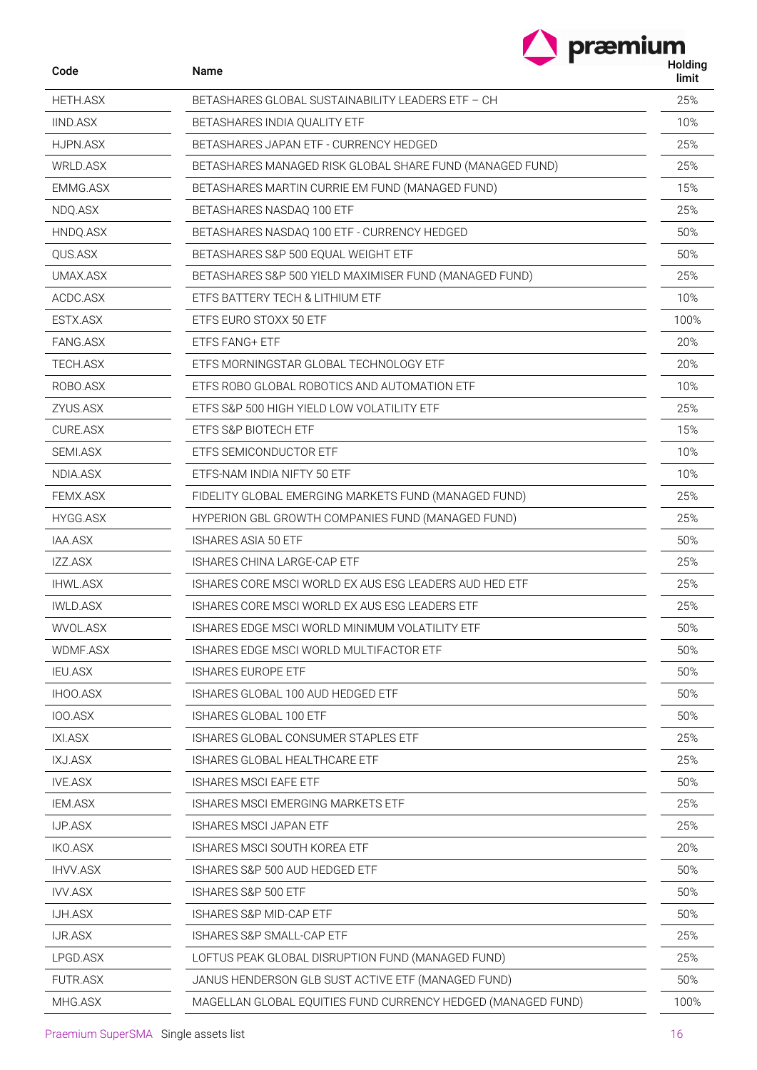| Code            | Name                                                                   | præmium<br>Holding |
|-----------------|------------------------------------------------------------------------|--------------------|
|                 |                                                                        | limit              |
| <b>HETH.ASX</b> | BETASHARES GLOBAL SUSTAINABILITY LEADERS ETF - CH                      | 25%                |
| <b>IIND.ASX</b> | BETASHARES INDIA QUALITY ETF<br>BETASHARES JAPAN ETF - CURRENCY HEDGED | 10%<br>25%         |
| HJPN.ASX        |                                                                        |                    |
| WRLD.ASX        | BETASHARES MANAGED RISK GLOBAL SHARE FUND (MANAGED FUND)               | 25%                |
| EMMG.ASX        | BETASHARES MARTIN CURRIE EM FUND (MANAGED FUND)                        | 15%                |
| NDQ.ASX         | BETASHARES NASDAQ 100 ETF                                              | 25%                |
| HNDQ.ASX        | BETASHARES NASDAQ 100 ETF - CURRENCY HEDGED                            | 50%                |
| QUS.ASX         | BETASHARES S&P 500 EQUAL WEIGHT ETF                                    | 50%                |
| UMAX.ASX        | BETASHARES S&P 500 YIELD MAXIMISER FUND (MANAGED FUND)                 | 25%                |
| ACDC.ASX        | ETFS BATTERY TECH & LITHIUM ETF                                        | 10%                |
| ESTX.ASX        | ETFS EURO STOXX 50 ETF                                                 | 100%               |
| FANG.ASX        | ETFS FANG+ ETF                                                         | 20%                |
| TECH.ASX        | ETFS MORNINGSTAR GLOBAL TECHNOLOGY ETF                                 | 20%                |
| ROBO.ASX        | ETFS ROBO GLOBAL ROBOTICS AND AUTOMATION ETF                           | 10%                |
| ZYUS.ASX        | ETFS S&P 500 HIGH YIELD LOW VOLATILITY ETF                             | 25%                |
| <b>CURE.ASX</b> | ETFS S&P BIOTECH ETF                                                   | 15%                |
| SEMI.ASX        | ETFS SEMICONDUCTOR ETF                                                 | 10%                |
| NDIA.ASX        | ETFS-NAM INDIA NIFTY 50 ETF                                            | 10%                |
| FEMX.ASX        | FIDELITY GLOBAL EMERGING MARKETS FUND (MANAGED FUND)                   | 25%                |
| HYGG.ASX        | HYPERION GBL GROWTH COMPANIES FUND (MANAGED FUND)                      | 25%                |
| IAA.ASX         | ISHARES ASIA 50 ETF                                                    | 50%                |
| IZZ.ASX         | ISHARES CHINA LARGE-CAP ETF                                            | 25%                |
| <b>IHWL.ASX</b> | ISHARES CORE MSCI WORLD EX AUS ESG LEADERS AUD HED ETF                 | 25%                |
| <b>IWLD.ASX</b> | ISHARES CORE MSCI WORLD EX AUS ESG LEADERS ETF                         | 25%                |
| WVOL.ASX        | ISHARES EDGE MSCI WORLD MINIMUM VOLATILITY ETF                         | 50%                |
| WDMF.ASX        | ISHARES EDGE MSCI WORLD MULTIFACTOR ETF                                | 50%                |
| <b>IEU.ASX</b>  | <b>ISHARES EUROPE ETF</b>                                              | 50%                |
| IHOO.ASX        | ISHARES GLOBAL 100 AUD HEDGED ETF                                      | 50%                |
| IOO.ASX         | ISHARES GLOBAL 100 ETF                                                 | 50%                |
| IXI.ASX         | ISHARES GLOBAL CONSUMER STAPLES ETF                                    | 25%                |
| <b>IXJ.ASX</b>  | ISHARES GLOBAL HEALTHCARE ETF                                          | 25%                |
| <b>IVE.ASX</b>  | <b>ISHARES MSCI EAFE ETF</b>                                           | 50%                |
| <b>IEM.ASX</b>  | ISHARES MSCI EMERGING MARKETS ETF                                      | 25%                |
| <b>IJP.ASX</b>  | <b>ISHARES MSCI JAPAN ETF</b>                                          | 25%                |
| <b>IKO.ASX</b>  | ISHARES MSCI SOUTH KOREA ETF                                           | 20%                |
| <b>IHVV.ASX</b> | ISHARES S&P 500 AUD HEDGED ETF                                         | 50%                |
| <b>IVV.ASX</b>  | ISHARES S&P 500 ETF                                                    | 50%                |
| <b>IJH.ASX</b>  | ISHARES S&P MID-CAP ETF                                                | 50%                |
| IJR.ASX         | ISHARES S&P SMALL-CAP ETF                                              | 25%                |
| LPGD.ASX        | LOFTUS PEAK GLOBAL DISRUPTION FUND (MANAGED FUND)                      | 25%                |
| FUTR.ASX        | JANUS HENDERSON GLB SUST ACTIVE ETF (MANAGED FUND)                     | 50%                |
| MHG.ASX         | MAGELLAN GLOBAL EQUITIES FUND CURRENCY HEDGED (MANAGED FUND)           | 100%               |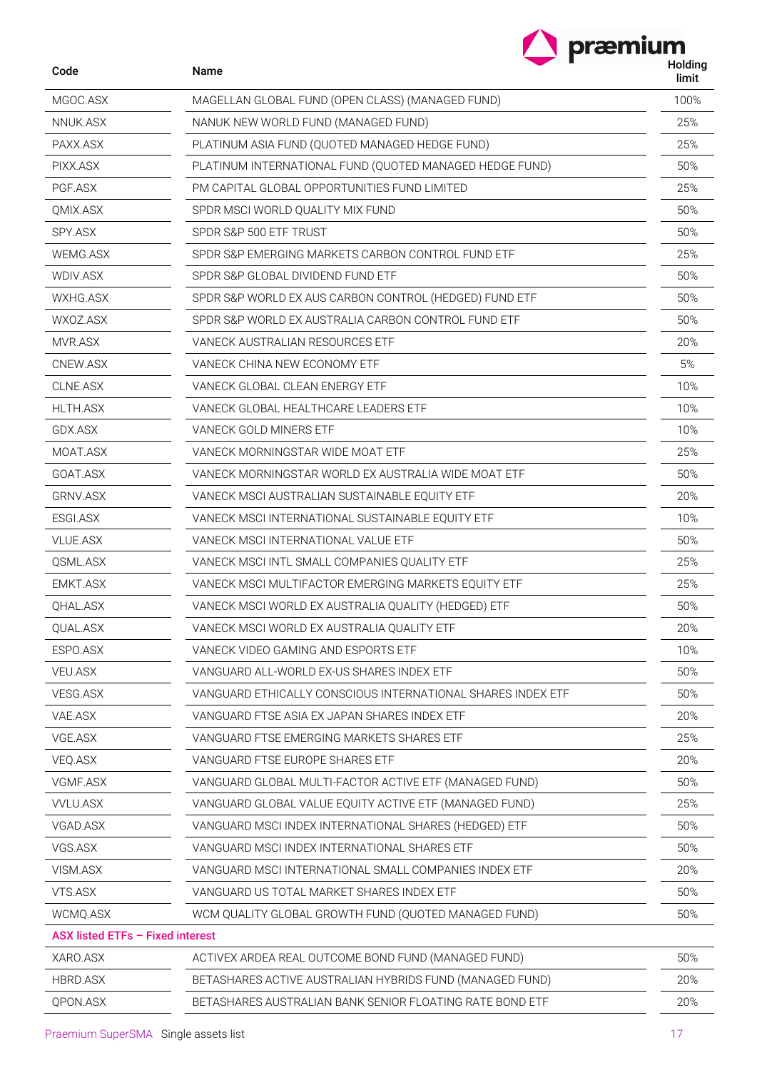| præmium |
|---------|
| Holdi   |

| Code                             | <b>Name</b>                                                 | Holding<br>limit |
|----------------------------------|-------------------------------------------------------------|------------------|
| MGOC.ASX                         | MAGELLAN GLOBAL FUND (OPEN CLASS) (MANAGED FUND)            | 100%             |
| NNUK.ASX                         | NANUK NEW WORLD FUND (MANAGED FUND)                         | 25%              |
| PAXX.ASX                         | PLATINUM ASIA FUND (QUOTED MANAGED HEDGE FUND)              | 25%              |
| PIXX.ASX                         | PLATINUM INTERNATIONAL FUND (QUOTED MANAGED HEDGE FUND)     | 50%              |
| PGF.ASX                          | PM CAPITAL GLOBAL OPPORTUNITIES FUND LIMITED                | 25%              |
| QMIX.ASX                         | SPDR MSCI WORLD QUALITY MIX FUND                            | 50%              |
| SPY.ASX                          | SPDR S&P 500 ETF TRUST                                      | 50%              |
| WEMG.ASX                         | SPDR S&P EMERGING MARKETS CARBON CONTROL FUND ETF           | 25%              |
| WDIV.ASX                         | SPDR S&P GLOBAL DIVIDEND FUND ETF                           | 50%              |
| WXHG.ASX                         | SPDR S&P WORLD EX AUS CARBON CONTROL (HEDGED) FUND ETF      | 50%              |
| WXOZ.ASX                         | SPDR S&P WORLD EX AUSTRALIA CARBON CONTROL FUND ETF         | 50%              |
| MVR.ASX                          | VANECK AUSTRALIAN RESOURCES ETF                             | 20%              |
| CNEW.ASX                         | VANECK CHINA NEW ECONOMY ETF                                | 5%               |
| CLNE.ASX                         | VANECK GLOBAL CLEAN ENERGY ETF                              | 10%              |
| <b>HLTH.ASX</b>                  | VANECK GLOBAL HEALTHCARE LEADERS ETF                        | 10%              |
| GDX.ASX                          | VANECK GOLD MINERS ETF                                      | 10%              |
| MOAT.ASX                         | VANECK MORNINGSTAR WIDE MOAT ETF                            | 25%              |
| GOAT.ASX                         | VANECK MORNINGSTAR WORLD EX AUSTRALIA WIDE MOAT ETF         | 50%              |
| GRNV.ASX                         | VANECK MSCI AUSTRALIAN SUSTAINABLE EQUITY ETF               | 20%              |
| ESGI.ASX                         | VANECK MSCI INTERNATIONAL SUSTAINABLE EQUITY ETF            | 10%              |
| <b>VLUE.ASX</b>                  | VANECK MSCHNTERNATIONAL VALUE ETF                           | 50%              |
| QSML.ASX                         | VANECK MSCHNTL SMALL COMPANIES QUALITY ETF                  | 25%              |
| EMKT.ASX                         | VANECK MSCI MULTIFACTOR EMERGING MARKETS EQUITY ETF         | 25%              |
| QHAL.ASX                         | VANECK MSCI WORLD EX AUSTRALIA QUALITY (HEDGED) ETF         | 50%              |
| QUAL.ASX                         | VANECK MSCI WORLD EX AUSTRALIA QUALITY ETF                  | 20%              |
| ESPO.ASX                         | VANECK VIDEO GAMING AND ESPORTS ETF                         | 10%              |
| VEU.ASX                          | VANGUARD ALL-WORLD EX-US SHARES INDEX ETF                   | 50%              |
| VESG.ASX                         | VANGUARD ETHICALLY CONSCIOUS INTERNATIONAL SHARES INDEX ETF | 50%              |
| VAE.ASX                          | VANGUARD FTSE ASIA EX JAPAN SHARES INDEX ETF                | 20%              |
| VGE.ASX                          | VANGUARD FTSE EMERGING MARKETS SHARES ETF                   | 25%              |
| VEQ.ASX                          | VANGUARD FTSE EUROPE SHARES ETF                             | 20%              |
| VGMF.ASX                         | VANGUARD GLOBAL MULTI-FACTOR ACTIVE ETF (MANAGED FUND)      | 50%              |
| <b>VVLU.ASX</b>                  | VANGUARD GLOBAL VALUE EQUITY ACTIVE ETF (MANAGED FUND)      | 25%              |
| VGAD.ASX                         | VANGUARD MSCI INDEX INTERNATIONAL SHARES (HEDGED) ETF       | 50%              |
| VGS.ASX                          | VANGUARD MSCI INDEX INTERNATIONAL SHARES ETF                | 50%              |
| VISM.ASX                         | VANGUARD MSCI INTERNATIONAL SMALL COMPANIES INDEX ETF       | 20%              |
| VTS.ASX                          | VANGUARD US TOTAL MARKET SHARES INDEX ETF                   | 50%              |
| WCMQ.ASX                         | WCM QUALITY GLOBAL GROWTH FUND (QUOTED MANAGED FUND)        | 50%              |
| ASX listed ETFs - Fixed interest |                                                             |                  |
| XARO.ASX                         | ACTIVEX ARDEA REAL OUTCOME BOND FUND (MANAGED FUND)         | 50%              |
| HBRD.ASX                         | BETASHARES ACTIVE AUSTRALIAN HYBRIDS FUND (MANAGED FUND)    | 20%              |
| QPON.ASX                         | BETASHARES AUSTRALIAN BANK SENIOR FLOATING RATE BOND ETF    | 20%              |

L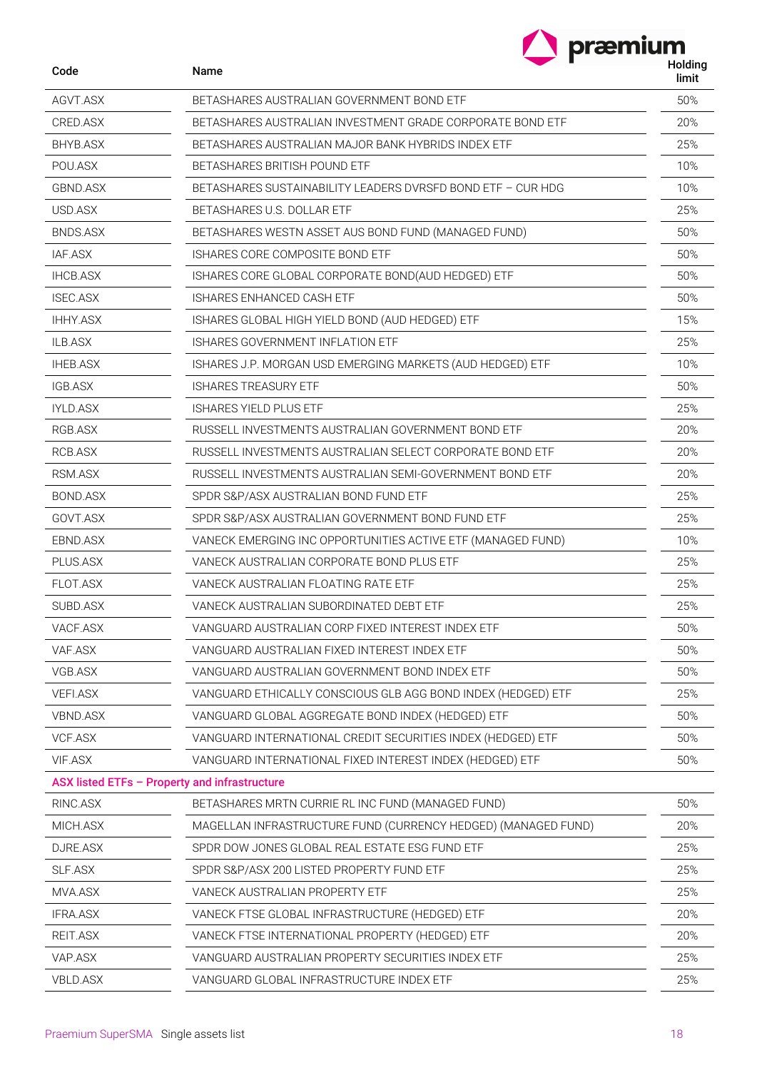| præmium |
|---------|
| Huldi   |

| Code            | Name                                                          | nolully<br>limit |
|-----------------|---------------------------------------------------------------|------------------|
| AGVT.ASX        | BETASHARES AUSTRALIAN GOVERNMENT BOND ETF                     | 50%              |
| CRED.ASX        | BETASHARES AUSTRALIAN INVESTMENT GRADE CORPORATE BOND ETF     | 20%              |
| BHYB.ASX        | BETASHARES AUSTRALIAN MAJOR BANK HYBRIDS INDEX ETF            | 25%              |
| POU.ASX         | BETASHARES BRITISH POUND ETF                                  | 10%              |
| GBND.ASX        | BETASHARES SUSTAINABILITY LEADERS DVRSFD BOND ETF - CUR HDG   | 10%              |
| USD.ASX         | BETASHARES U.S. DOLLAR ETF                                    | 25%              |
| BNDS.ASX        | BETASHARES WESTN ASSET AUS BOND FUND (MANAGED FUND)           | 50%              |
| IAF.ASX         | ISHARES CORE COMPOSITE BOND ETF                               | 50%              |
| <b>IHCB.ASX</b> | ISHARES CORE GLOBAL CORPORATE BOND(AUD HEDGED) ETF            | 50%              |
| <b>ISEC.ASX</b> | ISHARES ENHANCED CASH ETF                                     | 50%              |
| <b>IHHY.ASX</b> | ISHARES GLOBAL HIGH YIELD BOND (AUD HEDGED) ETF               | 15%              |
| ILB.ASX         | ISHARES GOVERNMENT INFLATION ETF                              | 25%              |
| <b>IHEB.ASX</b> | ISHARES J.P. MORGAN USD EMERGING MARKETS (AUD HEDGED) ETF     | 10%              |
| IGB.ASX         | <b>ISHARES TREASURY ETF</b>                                   | 50%              |
| <b>IYLD.ASX</b> | <b>ISHARES YIELD PLUS ETF</b>                                 | 25%              |
| RGB.ASX         | RUSSELL INVESTMENTS AUSTRALIAN GOVERNMENT BOND ETF            | 20%              |
| RCB.ASX         | RUSSELL INVESTMENTS AUSTRALIAN SELECT CORPORATE BOND ETF      | 20%              |
| RSM.ASX         | RUSSELL INVESTMENTS AUSTRALIAN SEMI-GOVERNMENT BOND ETF       | 20%              |
| BOND.ASX        | SPDR S&P/ASX AUSTRALIAN BOND FUND ETF                         | 25%              |
| GOVT.ASX        | SPDR S&P/ASX AUSTRALIAN GOVERNMENT BOND FUND ETF              | 25%              |
| EBND.ASX        | VANECK EMERGING INC OPPORTUNITIES ACTIVE ETF (MANAGED FUND)   | 10%              |
| PLUS.ASX        | VANECK AUSTRALIAN CORPORATE BOND PLUS ETF                     | 25%              |
| FLOT.ASX        | VANECK AUSTRALIAN FLOATING RATE ETF                           | 25%              |
| SUBD.ASX        | VANECK AUSTRALIAN SUBORDINATED DEBT ETF                       | 25%              |
| VACF.ASX        | VANGUARD AUSTRALIAN CORP FIXED INTEREST INDEX ETF             | 50%              |
| VAF.ASX         | VANGUARD AUSTRALIAN FIXED INTEREST INDEX ETF                  | 50%              |
| VGB.ASX         | VANGUARD AUSTRALIAN GOVERNMENT BOND INDEX ETF                 | 50%              |
| <b>VEFI.ASX</b> | VANGUARD ETHICALLY CONSCIOUS GLB AGG BOND INDEX (HEDGED) ETF  | 25%              |
| VBND.ASX        | VANGUARD GLOBAL AGGREGATE BOND INDEX (HEDGED) ETF             | 50%              |
| VCF.ASX         | VANGUARD INTERNATIONAL CREDIT SECURITIES INDEX (HEDGED) ETF   | 50%              |
| VIF.ASX         | VANGUARD INTERNATIONAL FIXED INTEREST INDEX (HEDGED) ETF      | 50%              |
|                 | ASX listed ETFs - Property and infrastructure                 |                  |
| RINC.ASX        | BETASHARES MRTN CURRIE RL INC FUND (MANAGED FUND)             | 50%              |
| MICH.ASX        | MAGELLAN INFRASTRUCTURE FUND (CURRENCY HEDGED) (MANAGED FUND) | 20%              |
| DJRE.ASX        | SPDR DOW JONES GLOBAL REAL ESTATE ESG FUND ETF                | 25%              |
| SLF.ASX         | SPDR S&P/ASX 200 LISTED PROPERTY FUND ETF                     | 25%              |
| MVA.ASX         | VANECK AUSTRALIAN PROPERTY ETF                                | 25%              |
| IFRA.ASX        | VANECK FTSE GLOBAL INFRASTRUCTURE (HEDGED) ETF                | 20%              |
| REIT.ASX        | VANECK FTSE INTERNATIONAL PROPERTY (HEDGED) ETF               | 20%              |
| VAP.ASX         | VANGUARD AUSTRALIAN PROPERTY SECURITIES INDEX ETF             | 25%              |
| VBLD.ASX        | VANGUARD GLOBAL INFRASTRUCTURE INDEX ETF                      | 25%              |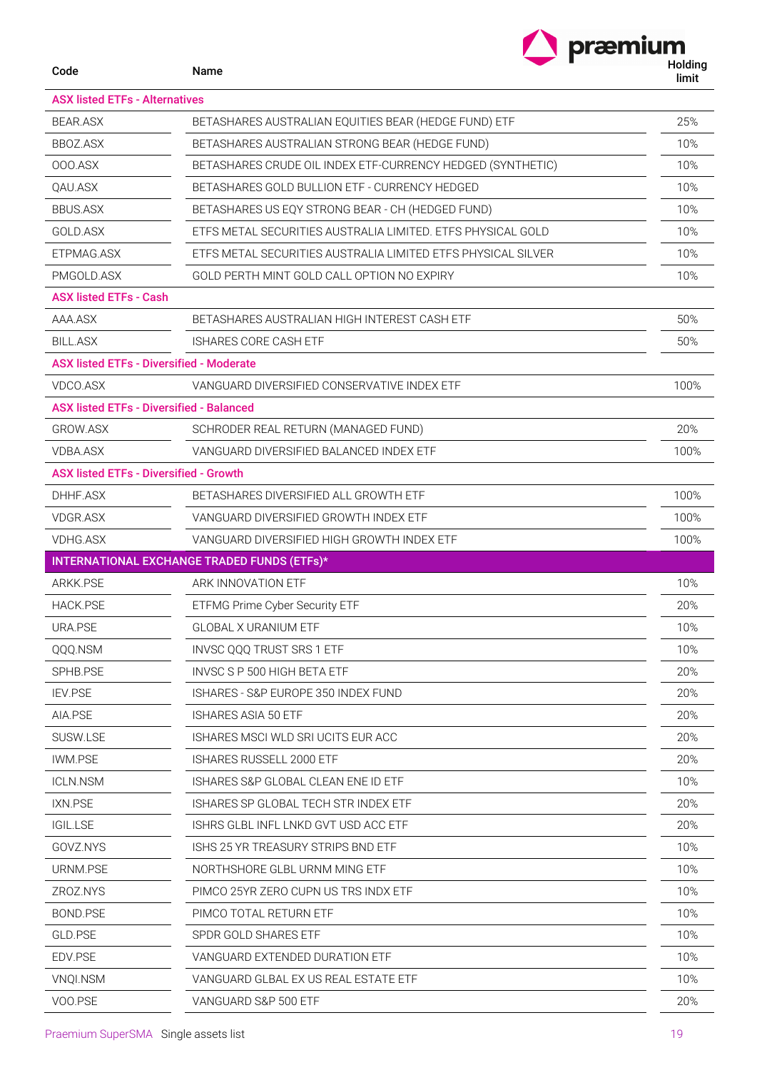| Code                                            | Name                                                         | præmium<br>Holding<br>limit |
|-------------------------------------------------|--------------------------------------------------------------|-----------------------------|
| <b>ASX listed ETFs - Alternatives</b>           |                                                              |                             |
| <b>BEAR.ASX</b>                                 | BETASHARES AUSTRALIAN EQUITIES BEAR (HEDGE FUND) ETF         | 25%                         |
| BBOZ.ASX                                        | BETASHARES AUSTRALIAN STRONG BEAR (HEDGE FUND)               | 10%                         |
| 000.ASX                                         | BETASHARES CRUDE OIL INDEX ETF-CURRENCY HEDGED (SYNTHETIC)   | 10%                         |
| QAU.ASX                                         | BETASHARES GOLD BULLION ETF - CURRENCY HEDGED                | 10%                         |
| <b>BBUS.ASX</b>                                 | BETASHARES US EQY STRONG BEAR - CH (HEDGED FUND)             | 10%                         |
| GOLD.ASX                                        | ETFS METAL SECURITIES AUSTRALIA LIMITED. ETFS PHYSICAL GOLD  | 10%                         |
| ETPMAG.ASX                                      | ETFS METAL SECURITIES AUSTRALIA LIMITED ETFS PHYSICAL SILVER | 10%                         |
| PMGOLD.ASX                                      | GOLD PERTH MINT GOLD CALL OPTION NO EXPIRY                   | 10%                         |
| <b>ASX listed ETFs - Cash</b>                   |                                                              |                             |
| AAA.ASX                                         | BETASHARES AUSTRALIAN HIGH INTEREST CASH ETF                 | 50%                         |
| <b>BILL.ASX</b>                                 | ISHARES CORE CASH ETF                                        | 50%                         |
|                                                 | <b>ASX listed ETFs - Diversified - Moderate</b>              |                             |
| VDCO.ASX                                        | VANGUARD DIVERSIFIED CONSERVATIVE INDEX ETF                  | 100%                        |
| <b>ASX listed ETFs - Diversified - Balanced</b> |                                                              |                             |
| GROW.ASX                                        | SCHRODER REAL RETURN (MANAGED FUND)                          | 20%                         |
| <b>VDBA.ASX</b>                                 | VANGUARD DIVERSIFIED BALANCED INDEX ETF                      | 100%                        |
| <b>ASX listed ETFs - Diversified - Growth</b>   |                                                              |                             |
| DHHF.ASX                                        | BETASHARES DIVERSIFIED ALL GROWTH ETF                        | 100%                        |
| <b>VDGR.ASX</b>                                 | VANGUARD DIVERSIFIED GROWTH INDEX ETF                        | 100%                        |
| <b>VDHG.ASX</b>                                 | VANGUARD DIVERSIFIED HIGH GROWTH INDEX ETF                   | 100%                        |
|                                                 | <b>INTERNATIONAL EXCHANGE TRADED FUNDS (ETFs)*</b>           |                             |
| <b>ARKK.PSE</b>                                 | ARK INNOVATION ETF                                           | 10%                         |
| <b>HACK.PSE</b>                                 | ETFMG Prime Cyber Security ETF                               | 20%                         |
| URA.PSE                                         | <b>GLOBAL X URANIUM ETF</b>                                  | 10%                         |
| QQQ.NSM                                         | <b>INVSC 000 TRUST SRS 1 ETF</b>                             | 10%                         |
| SPHB.PSE                                        | INVSC S P 500 HIGH BETA ETF                                  | 20%                         |
| <b>IEV.PSE</b>                                  | ISHARES - S&P EUROPE 350 INDEX FUND                          | 20%                         |
| AIA.PSE                                         | <b>ISHARES ASIA 50 ETF</b>                                   | 20%                         |
| SUSW.LSE                                        | ISHARES MSCI WLD SRI UCITS EUR ACC                           | 20%                         |
| <b>IWM.PSE</b>                                  | <b>ISHARES RUSSELL 2000 ETF</b>                              | 20%                         |
| <b>ICLN.NSM</b>                                 | ISHARES S&P GLOBAL CLEAN ENE ID ETF                          | 10%                         |
| IXN.PSE                                         | ISHARES SP GLOBAL TECH STR INDEX ETF                         | 20%                         |
| <b>IGIL.LSE</b>                                 | ISHRS GLBL INFL LNKD GVT USD ACC ETF                         | 20%                         |
| GOVZ.NYS                                        | ISHS 25 YR TREASURY STRIPS BND ETF                           | 10%                         |
| URNM.PSE                                        | NORTHSHORE GLBL URNM MING ETF                                | 10%                         |
| ZROZ.NYS                                        | PIMCO 25YR ZERO CUPN US TRS INDX ETF                         | 10%                         |
| BOND.PSE                                        | PIMCO TOTAL RETURN ETF                                       | 10%                         |
| GLD.PSE                                         | SPDR GOLD SHARES ETF                                         | 10%                         |
| EDV.PSE                                         | VANGUARD EXTENDED DURATION ETF                               | 10%                         |
| VNQI.NSM                                        | VANGUARD GLBAL EX US REAL ESTATE ETF                         | 10%                         |
| VOO.PSE                                         | VANGUARD S&P 500 ETF                                         | 20%                         |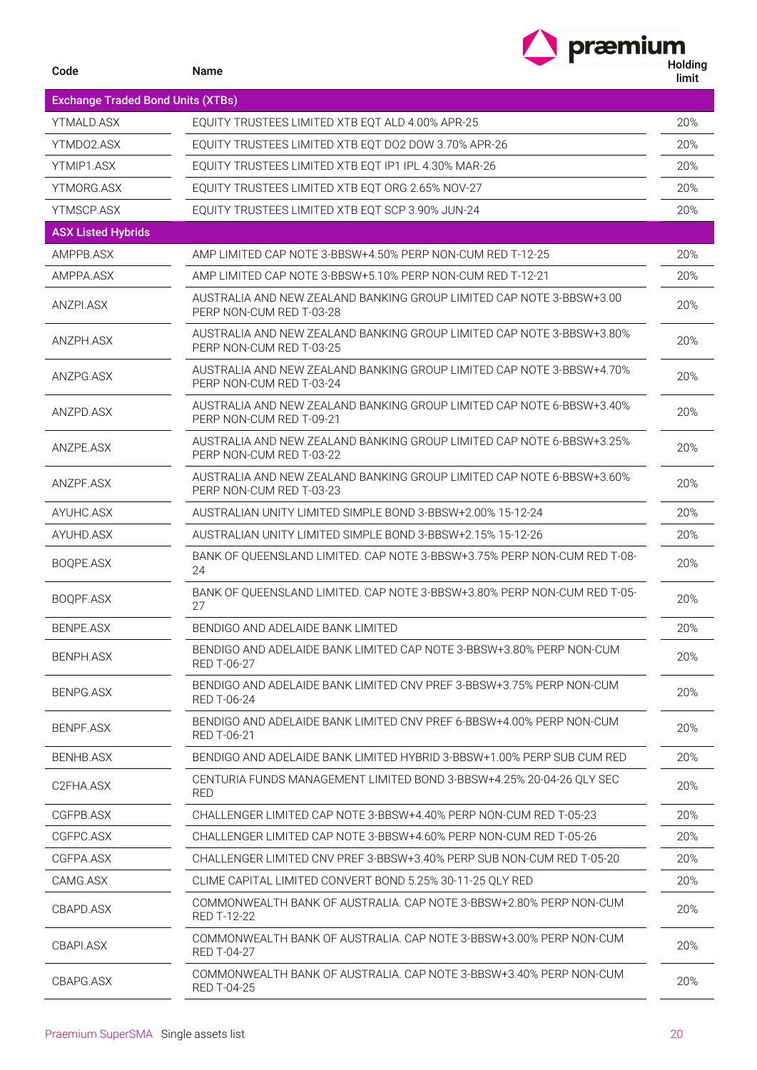|                                          | præmium                                                                                           |                  |
|------------------------------------------|---------------------------------------------------------------------------------------------------|------------------|
| Code                                     | Name                                                                                              | Holding<br>limit |
| <b>Exchange Traded Bond Units (XTBs)</b> |                                                                                                   |                  |
| YTMALD.ASX                               | EQUITY TRUSTEES LIMITED XTB EQT ALD 4.00% APR-25                                                  | 20%              |
| YTMD02.ASX                               | EQUITY TRUSTEES LIMITED XTB EQT DO2 DOW 3.70% APR-26                                              | 20%              |
| YTMIP1.ASX                               | EQUITY TRUSTEES LIMITED XTB EQT IP1 IPL 4.30% MAR-26                                              | 20%              |
| YTMORG.ASX                               | EQUITY TRUSTEES LIMITED XTB EQT ORG 2.65% NOV-27                                                  | 20%              |
| YTMSCP.ASX                               | EQUITY TRUSTEES LIMITED XTB EQT SCP 3.90% JUN-24                                                  | 20%              |
| <b>ASX Listed Hybrids</b>                |                                                                                                   |                  |
| AMPPB.ASX                                | AMP LIMITED CAP NOTE 3-BBSW+4.50% PERP NON-CUM RED T-12-25                                        | 20%              |
| AMPPA.ASX                                | AMP LIMITED CAP NOTE 3-BBSW+5.10% PERP NON-CUM RED T-12-21                                        | 20%              |
| ANZPI.ASX                                | AUSTRALIA AND NEW ZEALAND BANKING GROUP LIMITED CAP NOTE 3-BBSW+3.00<br>PERP NON-CUM RED T-03-28  | 20%              |
| ANZPH.ASX                                | AUSTRALIA AND NEW ZEALAND BANKING GROUP LIMITED CAP NOTE 3-BBSW+3.80%<br>PERP NON-CUM RED T-03-25 | 20%              |
| ANZPG.ASX                                | AUSTRALIA AND NEW ZEALAND BANKING GROUP LIMITED CAP NOTE 3-BBSW+4.70%<br>PERP NON-CUM RED T-03-24 | 20%              |
| ANZPD.ASX                                | AUSTRALIA AND NEW ZEALAND BANKING GROUP LIMITED CAP NOTE 6-BBSW+3.40%<br>PERP NON-CUM RED T-09-21 | 20%              |
| ANZPE.ASX                                | AUSTRALIA AND NEW ZEALAND BANKING GROUP LIMITED CAP NOTE 6-BBSW+3.25%<br>PERP NON-CUM RED T-03-22 | 20%              |
| ANZPF.ASX                                | AUSTRALIA AND NEW ZEALAND BANKING GROUP LIMITED CAP NOTE 6-BBSW+3.60%<br>PERP NON-CUM RED T-03-23 | 20%              |
| AYUHC.ASX                                | AUSTRALIAN UNITY LIMITED SIMPLE BOND 3-BBSW+2.00% 15-12-24                                        | 20%              |
| AYUHD.ASX                                | AUSTRALIAN UNITY LIMITED SIMPLE BOND 3-BBSW+2.15% 15-12-26                                        | 20%              |
| BOQPE.ASX                                | BANK OF QUEENSLAND LIMITED. CAP NOTE 3-BBSW+3.75% PERP NON-CUM RED T-08-<br>24                    | 20%              |
| BOQPF.ASX                                | BANK OF QUEENSLAND LIMITED. CAP NOTE 3-BBSW+3.80% PERP NON-CUM RED T-05-<br>27                    | 20%              |
| BENPE.ASX                                | BENDIGO AND ADELAIDE BANK LIMITED                                                                 | 20%              |
| <b>BENPH.ASX</b>                         | BENDIGO AND ADELAIDE BANK LIMITED CAP NOTE 3-BBSW+3.80% PERP NON-CUM<br>RED T-06-27               | 20%              |
| BENPG.ASX                                | BENDIGO AND ADELAIDE BANK LIMITED CNV PREF 3-BBSW+3.75% PERP NON-CUM<br>RED T-06-24               | 20%              |
| BENPF.ASX                                | BENDIGO AND ADELAIDE BANK LIMITED CNV PREF 6-BBSW+4.00% PERP NON-CUM<br>RED T-06-21               | 20%              |
| BENHB.ASX                                | BENDIGO AND ADELAIDE BANK LIMITED HYBRID 3-BBSW+1.00% PERP SUB CUM RED                            | 20%              |
| C2FHA.ASX                                | CENTURIA FUNDS MANAGEMENT LIMITED BOND 3-BBSW+4.25% 20-04-26 QLY SEC<br><b>RED</b>                | 20%              |
| CGFPB.ASX                                | CHALLENGER LIMITED CAP NOTE 3-BBSW+4.40% PERP NON-CUM RED T-05-23                                 | 20%              |
| CGFPC.ASX                                | CHALLENGER LIMITED CAP NOTE 3-BBSW+4.60% PERP NON-CUM RED T-05-26                                 | 20%              |
| CGFPA.ASX                                | CHALLENGER LIMITED CNV PREF 3-BBSW+3.40% PERP SUB NON-CUM RED T-05-20                             | 20%              |
| CAMG.ASX                                 | CLIME CAPITAL LIMITED CONVERT BOND 5.25% 30-11-25 QLY RED                                         | 20%              |
| CBAPD.ASX                                | COMMONWEALTH BANK OF AUSTRALIA. CAP NOTE 3-BBSW+2.80% PERP NON-CUM<br><b>RED T-12-22</b>          | 20%              |
| CBAPI.ASX                                | COMMONWEALTH BANK OF AUSTRALIA. CAP NOTE 3-BBSW+3.00% PERP NON-CUM<br><b>RED T-04-27</b>          | 20%              |
| CBAPG.ASX                                | COMMONWEALTH BANK OF AUSTRALIA. CAP NOTE 3-BBSW+3.40% PERP NON-CUM<br><b>RED T-04-25</b>          | 20%              |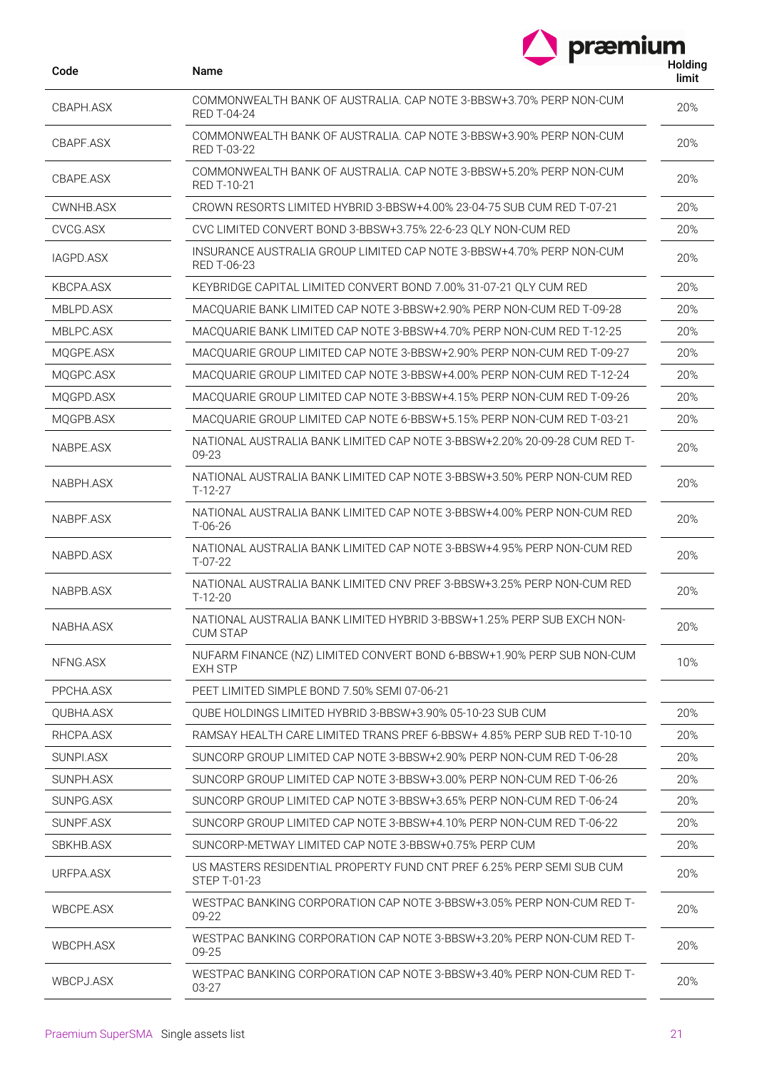| Code             | Name                                                                                       | nolully<br>limit |
|------------------|--------------------------------------------------------------------------------------------|------------------|
| CBAPH.ASX        | COMMONWEALTH BANK OF AUSTRALIA, CAP NOTE 3-BBSW+3.70% PERP NON-CUM<br><b>RED T-04-24</b>   | 20%              |
| CBAPF.ASX        | COMMONWEALTH BANK OF AUSTRALIA, CAP NOTE 3-BBSW+3.90% PERP NON-CUM<br><b>RED T-03-22</b>   | 20%              |
| CBAPE.ASX        | COMMONWEALTH BANK OF AUSTRALIA, CAP NOTE 3-BBSW+5.20% PERP NON-CUM<br>RED T-10-21          | 20%              |
| CWNHB.ASX        | CROWN RESORTS LIMITED HYBRID 3-BBSW+4.00% 23-04-75 SUB CUM RED T-07-21                     | 20%              |
| CVCG.ASX         | CVC LIMITED CONVERT BOND 3-BBSW+3.75% 22-6-23 QLY NON-CUM RED                              | 20%              |
| IAGPD.ASX        | INSURANCE AUSTRALIA GROUP LIMITED CAP NOTE 3-BBSW+4.70% PERP NON-CUM<br><b>RED T-06-23</b> | 20%              |
| KBCPA.ASX        | KEYBRIDGE CAPITAL LIMITED CONVERT BOND 7.00% 31-07-21 QLY CUM RED                          | 20%              |
| MBLPD.ASX        | MACQUARIE BANK LIMITED CAP NOTE 3-BBSW+2.90% PERP NON-CUM RED T-09-28                      | 20%              |
| MBLPC.ASX        | MACOUARIE BANK LIMITED CAP NOTE 3-BBSW+4.70% PERP NON-CUM RED T-12-25                      | 20%              |
| MQGPE.ASX        | MACQUARIE GROUP LIMITED CAP NOTE 3-BBSW+2.90% PERP NON-CUM RED T-09-27                     | 20%              |
| MQGPC.ASX        | MACQUARIE GROUP LIMITED CAP NOTE 3-BBSW+4.00% PERP NON-CUM RED T-12-24                     | 20%              |
| MQGPD.ASX        | MACQUARIE GROUP LIMITED CAP NOTE 3-BBSW+4.15% PERP NON-CUM RED T-09-26                     | 20%              |
| MQGPB.ASX        | MACOUARIE GROUP LIMITED CAP NOTE 6-BBSW+5.15% PERP NON-CUM RED T-03-21                     | 20%              |
| NABPE.ASX        | NATIONAL AUSTRALIA BANK LIMITED CAP NOTE 3-BBSW+2.20% 20-09-28 CUM RED T-<br>09-23         | 20%              |
| NABPH.ASX        | NATIONAL AUSTRALIA BANK LIMITED CAP NOTE 3-BBSW+3.50% PERP NON-CUM RED<br>T-12-27          | 20%              |
| NABPF.ASX        | NATIONAL AUSTRALIA BANK LIMITED CAP NOTE 3-BBSW+4.00% PERP NON-CUM RED<br>$T-06-26$        | 20%              |
| NABPD.ASX        | NATIONAL AUSTRALIA BANK LIMITED CAP NOTE 3-BBSW+4.95% PERP NON-CUM RED<br>$T-07-22$        | 20%              |
| NABPB.ASX        | NATIONAL AUSTRALIA BANK LIMITED CNV PREF 3-BBSW+3.25% PERP NON-CUM RED<br>$T-12-20$        | 20%              |
| NABHA.ASX        | NATIONAL AUSTRALIA BANK LIMITED HYBRID 3-BBSW+1.25% PERP SUB EXCH NON-<br><b>CUM STAP</b>  | 20%              |
| NFNG.ASX         | NUFARM FINANCE (NZ) LIMITED CONVERT BOND 6-BBSW+1.90% PERP SUB NON-CUM<br><b>EXH STP</b>   | 10%              |
| PPCHA.ASX        | PEET LIMITED SIMPLE BOND 7.50% SEMI 07-06-21                                               |                  |
| QUBHA.ASX        | QUBE HOLDINGS LIMITED HYBRID 3-BBSW+3.90% 05-10-23 SUB CUM                                 | 20%              |
| RHCPA.ASX        | RAMSAY HEALTH CARE LIMITED TRANS PREF 6-BBSW+ 4.85% PERP SUB RED T-10-10                   | 20%              |
| SUNPI.ASX        | SUNCORP GROUP LIMITED CAP NOTE 3-BBSW+2.90% PERP NON-CUM RED T-06-28                       | 20%              |
| SUNPH.ASX        | SUNCORP GROUP LIMITED CAP NOTE 3-BBSW+3.00% PERP NON-CUM RED T-06-26                       | 20%              |
| SUNPG.ASX        | SUNCORP GROUP LIMITED CAP NOTE 3-BBSW+3.65% PERP NON-CUM RED T-06-24                       | 20%              |
| SUNPF.ASX        | SUNCORP GROUP LIMITED CAP NOTE 3-BBSW+4.10% PERP NON-CUM RED T-06-22                       | 20%              |
| SBKHB.ASX        | SUNCORP-METWAY LIMITED CAP NOTE 3-BBSW+0.75% PERP CUM                                      | 20%              |
| URFPA.ASX        | US MASTERS RESIDENTIAL PROPERTY FUND CNT PREF 6.25% PERP SEMI SUB CUM<br>STEP T-01-23      | 20%              |
| <b>WBCPE.ASX</b> | WESTPAC BANKING CORPORATION CAP NOTE 3-BBSW+3.05% PERP NON-CUM RED T-<br>09-22             | 20%              |
| WBCPH.ASX        | WESTPAC BANKING CORPORATION CAP NOTE 3-BBSW+3.20% PERP NON-CUM RED T-<br>09-25             | 20%              |
| WBCPJ.ASX        | WESTPAC BANKING CORPORATION CAP NOTE 3-BBSW+3.40% PERP NON-CUM RED T-<br>03-27             | 20%              |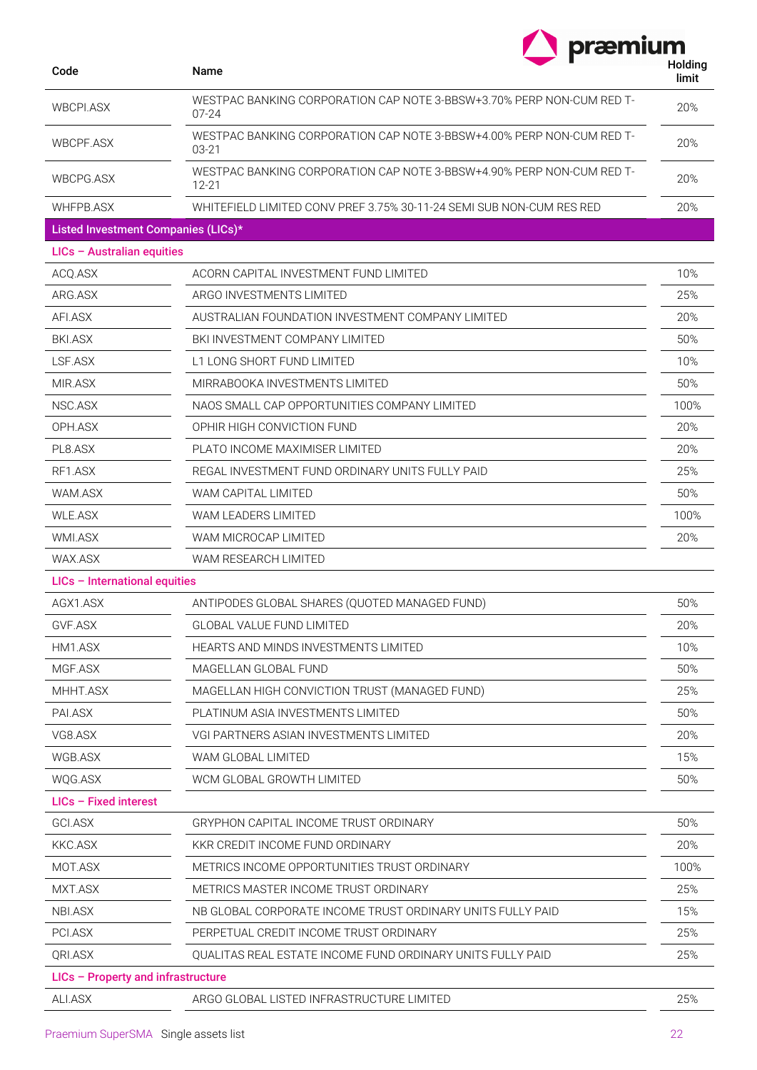| Code                                | Name<br>WESTPAC BANKING CORPORATION CAP NOTE 3-BBSW+3.70% PERP NON-CUM RED T-<br>$07 - 24$ |      |
|-------------------------------------|--------------------------------------------------------------------------------------------|------|
| <b>WBCPLASX</b>                     |                                                                                            |      |
| WBCPF.ASX                           | WESTPAC BANKING CORPORATION CAP NOTE 3-BBSW+4.00% PERP NON-CUM RED T-<br>$03 - 21$         |      |
| WBCPG.ASX                           | WESTPAC BANKING CORPORATION CAP NOTE 3-BBSW+4.90% PERP NON-CUM RED T-<br>$12 - 21$         | 20%  |
| WHFPB.ASX                           | WHITEFIELD LIMITED CONV PREF 3.75% 30-11-24 SEMI SUB NON-CUM RES RED                       | 20%  |
| Listed Investment Companies (LICs)* |                                                                                            |      |
| LICs - Australian equities          |                                                                                            |      |
| ACQ.ASX                             | ACORN CAPITAL INVESTMENT FUND LIMITED                                                      | 10%  |
| ARG.ASX                             | ARGO INVESTMENTS LIMITED                                                                   | 25%  |
| AFI.ASX                             | AUSTRALIAN FOUNDATION INVESTMENT COMPANY LIMITED                                           | 20%  |
| <b>BKI.ASX</b>                      | BKI INVESTMENT COMPANY LIMITED                                                             | 50%  |
| LSF.ASX                             | L1 LONG SHORT FUND LIMITED                                                                 | 10%  |
| MIR.ASX                             | MIRRABOOKA INVESTMENTS LIMITED                                                             | 50%  |
| NSC.ASX                             | NAOS SMALL CAP OPPORTUNITIES COMPANY LIMITED                                               | 100% |
| OPH.ASX                             | OPHIR HIGH CONVICTION FUND                                                                 | 20%  |
| PL8.ASX                             | PLATO INCOME MAXIMISER LIMITED                                                             | 20%  |
| RF1.ASX                             | REGAL INVESTMENT FUND ORDINARY UNITS FULLY PAID                                            | 25%  |
| WAM.ASX                             | WAM CAPITAL LIMITED                                                                        | 50%  |
| <b>WLE.ASX</b>                      | <b>WAM LEADERS LIMITED</b>                                                                 | 100% |
| WMI.ASX                             | WAM MICROCAP LIMITED                                                                       | 20%  |
| WAX.ASX                             | WAM RESEARCH LIMITED                                                                       |      |
| LICs - International equities       |                                                                                            |      |
| AGX1.ASX                            | ANTIPODES GLOBAL SHARES (QUOTED MANAGED FUND)                                              | 50%  |
| GVF.ASX                             | GLOBAL VALUE FUND LIMITED                                                                  | 20%  |
| HM1.ASX                             | HEARTS AND MINDS INVESTMENTS LIMITED                                                       | 10%  |
| MGF.ASX                             | MAGELLAN GLOBAL FUND                                                                       | 50%  |
| MHHT.ASX                            | MAGELLAN HIGH CONVICTION TRUST (MANAGED FUND)                                              | 25%  |
| PAI.ASX                             | PLATINUM ASIA INVESTMENTS LIMITED                                                          | 50%  |
| VG8.ASX                             | VGI PARTNERS ASIAN INVESTMENTS LIMITED                                                     | 20%  |
| WGB.ASX                             | WAM GLOBAL LIMITED                                                                         | 15%  |
| WQG.ASX                             | WCM GLOBAL GROWTH LIMITED                                                                  | 50%  |
| $LICs$ – Fixed interest             |                                                                                            |      |
| <b>GCI.ASX</b>                      | GRYPHON CAPITAL INCOME TRUST ORDINARY                                                      | 50%  |
| KKC.ASX                             | KKR CREDIT INCOME FUND ORDINARY                                                            | 20%  |
| MOT.ASX                             | METRICS INCOME OPPORTUNITIES TRUST ORDINARY                                                | 100% |
| MXT.ASX                             | METRICS MASTER INCOME TRUST ORDINARY                                                       | 25%  |
| NBI.ASX                             | NB GLOBAL CORPORATE INCOME TRUST ORDINARY UNITS FULLY PAID                                 | 15%  |
| PCI.ASX                             | PERPETUAL CREDIT INCOME TRUST ORDINARY                                                     | 25%  |
| QRI.ASX                             | QUALITAS REAL ESTATE INCOME FUND ORDINARY UNITS FULLY PAID                                 |      |
| LICs - Property and infrastructure  |                                                                                            |      |
| ALI.ASX                             | ARGO GLOBAL LISTED INFRASTRUCTURE LIMITED                                                  | 25%  |

Praemium SuperSMA Single assets list 22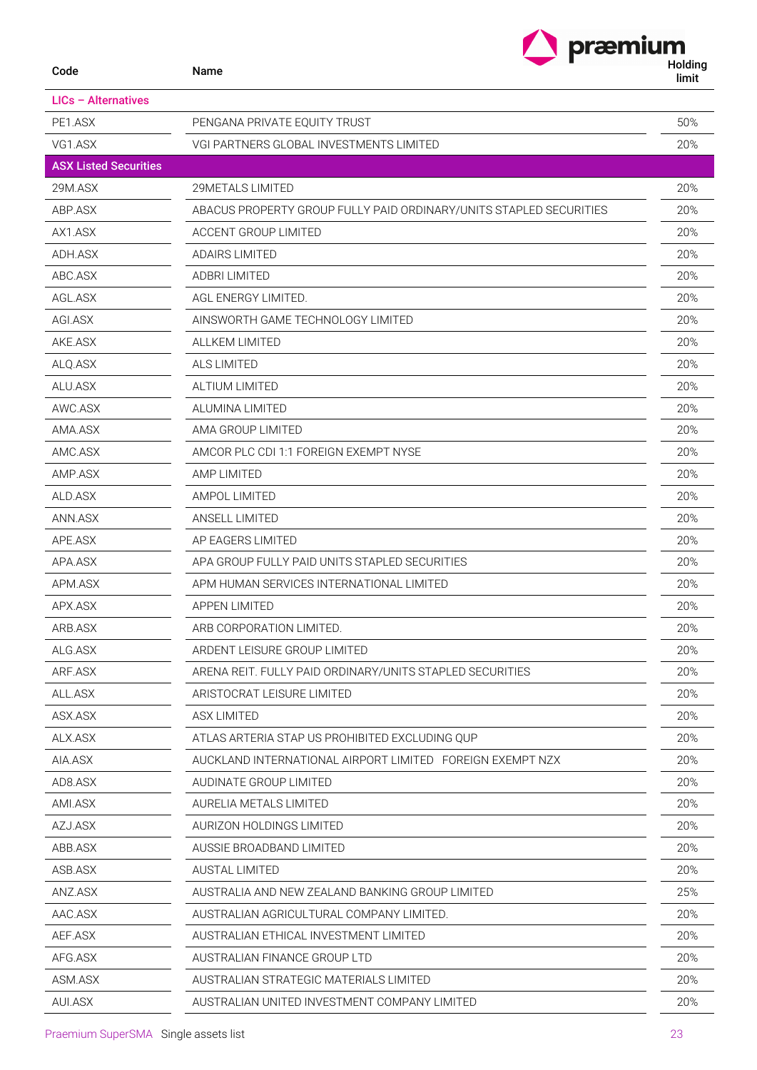| Code                         | præmium<br>Name                                                    | Holding<br>limit |
|------------------------------|--------------------------------------------------------------------|------------------|
| $LICs - Alternatives$        |                                                                    |                  |
| PE1.ASX                      | PENGANA PRIVATE EQUITY TRUST                                       | 50%              |
| VG1.ASX                      | VGI PARTNERS GLOBAL INVESTMENTS LIMITED                            | 20%              |
| <b>ASX Listed Securities</b> |                                                                    |                  |
| 29M.ASX                      | 29METALS LIMITED                                                   | 20%              |
| ABP.ASX                      | ABACUS PROPERTY GROUP FULLY PAID ORDINARY/UNITS STAPLED SECURITIES | 20%              |
| AX1.ASX                      | <b>ACCENT GROUP LIMITED</b>                                        | 20%              |
| ADH.ASX                      | <b>ADAIRS LIMITED</b>                                              | 20%              |
| ABC.ASX                      | <b>ADBRI LIMITED</b>                                               | 20%              |
| AGL.ASX                      | AGL ENERGY LIMITED.                                                | 20%              |
| AGI.ASX                      | AINSWORTH GAME TECHNOLOGY LIMITED                                  | 20%              |
| AKE.ASX                      | <b>ALLKEM LIMITED</b>                                              | 20%              |
| ALQ.ASX                      | <b>ALS LIMITED</b>                                                 | 20%              |
| ALU.ASX                      | ALTIUM LIMITED                                                     | 20%              |
| AWC.ASX                      | ALUMINA LIMITED                                                    | 20%              |
| AMA.ASX                      | AMA GROUP LIMITED                                                  | 20%              |
| AMC.ASX                      | AMCOR PLC CDI 1:1 FOREIGN EXEMPT NYSE                              | 20%              |
| AMP.ASX                      | <b>AMP LIMITED</b>                                                 | 20%              |
| ALD.ASX                      | AMPOL LIMITED                                                      | 20%              |
| ANN.ASX                      | <b>ANSELL LIMITED</b>                                              | 20%              |
| APE ASX                      | AP EAGERS LIMITED                                                  | 20%              |
| APA.ASX                      | APA GROUP FULLY PAID UNITS STAPLED SECURITIES                      | 20%              |
| APM.ASX                      | APM HUMAN SERVICES INTERNATIONAL LIMITED                           | 20%              |
| APX.ASX                      | <b>APPEN LIMITED</b>                                               | 20%              |
| ARB.ASX                      | ARB CORPORATION LIMITED.                                           | 20%              |
| ALG.ASX                      | ARDENT LEISURE GROUP LIMITED                                       | 20%              |
| ARF.ASX                      | ARENA REIT. FULLY PAID ORDINARY/UNITS STAPLED SECURITIES           | 20%              |
| ALL.ASX                      | ARISTOCRAT LEISURE LIMITED                                         | 20%              |
| ASX.ASX                      | <b>ASX LIMITED</b>                                                 | 20%              |
| ALX.ASX                      | ATLAS ARTERIA STAP US PROHIBITED EXCLUDING QUP                     | 20%              |
| AIA.ASX                      | AUCKLAND INTERNATIONAL AIRPORT LIMITED FOREIGN EXEMPT NZX          | 20%              |
| AD8.ASX                      | AUDINATE GROUP LIMITED                                             | 20%              |
| AMI.ASX                      | AURELIA METALS LIMITED                                             | 20%              |
| AZJ.ASX                      | AURIZON HOLDINGS LIMITED                                           | 20%              |
| ABB.ASX                      | AUSSIE BROADBAND LIMITED                                           | 20%              |
| ASB.ASX                      | <b>AUSTAL LIMITED</b>                                              | 20%              |
| ANZ.ASX                      | AUSTRALIA AND NEW ZEALAND BANKING GROUP LIMITED                    | 25%              |
| AAC.ASX                      | AUSTRALIAN AGRICULTURAL COMPANY LIMITED.                           | 20%              |
| AEF.ASX                      | AUSTRALIAN ETHICAL INVESTMENT LIMITED                              | 20%              |
| AFG.ASX                      | AUSTRALIAN FINANCE GROUP LTD                                       | 20%              |
| ASM.ASX                      | AUSTRALIAN STRATEGIC MATERIALS LIMITED                             | 20%              |
| AUI.ASX                      | AUSTRALIAN UNITED INVESTMENT COMPANY LIMITED                       | 20%              |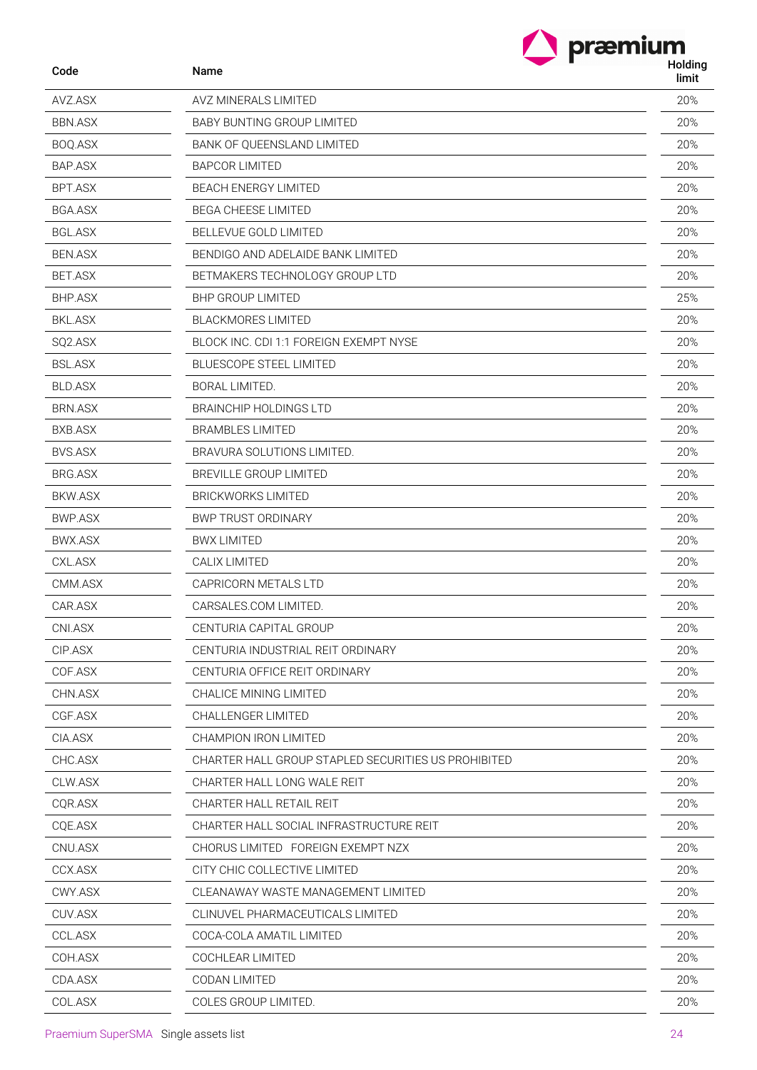| præmium          |
|------------------|
| Holding<br>limit |
|                  |

 $\blacktriangle$ 

| Code           | Name             |
|----------------|------------------|
| AVZ.ASX        | AVZ N            |
| BBN.ASX        | BABY             |
| BOQ.ASX        | BANK             |
| BAP.ASX        | <b>BAPC</b>      |
| <b>BPT.ASX</b> | <b>BEACI</b>     |
| <b>BGA.ASX</b> | BEGA             |
| <b>BGL.ASX</b> | <b>BELLE</b>     |
| <b>BEN.ASX</b> | BEND             |
| <b>BET.ASX</b> | <b>BETM</b>      |
| <b>BHP.ASX</b> | <b>BHP G</b>     |
| BKL.ASX        | <b>BLACI</b>     |
| SQ2.ASX        | <b>BLOCI</b>     |
| <b>BSL.ASX</b> | <b>BLUES</b>     |
| <b>BLD.ASX</b> | <b>BORA</b>      |
| BRN.ASX        | <b>BRAIN</b>     |
| BXB.ASX        | BRAM             |
| <b>BVS.ASX</b> | <b>BRAV</b>      |
| BRG.ASX        | <b>BREVI</b>     |
| <b>BKW.ASX</b> | <b>BRICK</b>     |
| <b>BWP.ASX</b> | BWP <sup>-</sup> |
| <b>BWX.ASX</b> | BWX l            |
| CXL.ASX        | CALIX            |
| CMM.ASX        | CAPR             |
| CAR.ASX        | CARS.            |
| CNI.ASX        | <b>CENT</b>      |
| CIP.ASX        | <b>CENT</b>      |
| COF.ASX        | <b>CENT</b>      |
| CHN.ASX        | CHAL             |
| CGF.ASX        | CHAL             |
| CIA.ASX        | CHAM             |
| CHC.ASX        | CHAR             |
| CLW.ASX        | CHAR             |
| CQR.ASX        | CHAR             |
| CQE.ASX        | CHAR             |
| CNU.ASX        | CHOR             |
| CCX.ASX        | CITY (           |
| CWY.ASX        | CLEAI            |
| CUV.ASX        | CLINL            |
| CCL.ASX        | COCA             |
| COH.ASX        | COCH             |

| Code           | Name                                                | limit |
|----------------|-----------------------------------------------------|-------|
| AVZ.ASX        | AVZ MINERALS LIMITED                                | 20%   |
| <b>BBN.ASX</b> | <b>BABY BUNTING GROUP LIMITED</b>                   | 20%   |
| BOQ.ASX        | <b>BANK OF QUEENSLAND LIMITED</b>                   | 20%   |
| BAP.ASX        | <b>BAPCOR LIMITED</b>                               | 20%   |
| BPT.ASX        | <b>BEACH ENERGY LIMITED</b>                         | 20%   |
| <b>BGA.ASX</b> | <b>BEGA CHEESE LIMITED</b>                          | 20%   |
| <b>BGL.ASX</b> | BELLEVUE GOLD LIMITED                               | 20%   |
| <b>BEN.ASX</b> | BENDIGO AND ADELAIDE BANK LIMITED                   | 20%   |
| BET.ASX        | BETMAKERS TECHNOLOGY GROUP LTD                      | 20%   |
| <b>BHP.ASX</b> | <b>BHP GROUP LIMITED</b>                            | 25%   |
| <b>BKL.ASX</b> | <b>BLACKMORES LIMITED</b>                           | 20%   |
| SQ2.ASX        | BLOCK INC. CDI 1:1 FOREIGN EXEMPT NYSE              | 20%   |
| <b>BSL.ASX</b> | <b>BLUESCOPE STEEL LIMITED</b>                      | 20%   |
| <b>BLD.ASX</b> | BORAL LIMITED.                                      | 20%   |
| <b>BRN.ASX</b> | <b>BRAINCHIP HOLDINGS LTD</b>                       | 20%   |
| BXB.ASX        | <b>BRAMBLES LIMITED</b>                             | 20%   |
| BVS.ASX        | BRAVURA SOLUTIONS LIMITED.                          | 20%   |
| BRG.ASX        | <b>BREVILLE GROUP LIMITED</b>                       | 20%   |
| BKW.ASX        | <b>BRICKWORKS LIMITED</b>                           | 20%   |
| BWP.ASX        | <b>BWP TRUST ORDINARY</b>                           | 20%   |
| BWX.ASX        | <b>BWX LIMITED</b>                                  | 20%   |
| CXL.ASX        | CALIX LIMITED                                       | 20%   |
| CMM.ASX        | CAPRICORN METALS LTD                                | 20%   |
| CAR.ASX        | CARSALES.COM LIMITED.                               | 20%   |
| CNI.ASX        | CENTURIA CAPITAL GROUP                              | 20%   |
| CIP.ASX        | CENTURIA INDUSTRIAL REIT ORDINARY                   | 20%   |
| COF.ASX        | CENTURIA OFFICE REIT ORDINARY                       | 20%   |
| CHN.ASX        | CHALICE MINING LIMITED                              | 20%   |
| CGF.ASX        | CHALLENGER LIMITED                                  | 20%   |
| CIA.ASX        | CHAMPION IRON LIMITED                               | 20%   |
| CHC.ASX        | CHARTER HALL GROUP STAPLED SECURITIES US PROHIBITED | 20%   |
| CLW.ASX        | CHARTER HALL LONG WALE REIT                         | 20%   |
| CQR.ASX        | CHARTER HALL RETAIL REIT                            | 20%   |
| CQE.ASX        | CHARTER HALL SOCIAL INFRASTRUCTURE REIT             | 20%   |
| CNU.ASX        | CHORUS LIMITED FOREIGN EXEMPT NZX                   | 20%   |
| CCX.ASX        | CITY CHIC COLLECTIVE LIMITED                        | 20%   |
| CWY.ASX        | CLEANAWAY WASTE MANAGEMENT LIMITED                  | 20%   |
| CUV.ASX        | CLINUVEL PHARMACEUTICALS LIMITED                    | 20%   |
| CCL.ASX        | COCA-COLA AMATIL LIMITED                            | 20%   |
| COH.ASX        | COCHLEAR LIMITED                                    | 20%   |
| CDA.ASX        | CODAN LIMITED                                       | 20%   |
| COL.ASX        | COLES GROUP LIMITED.                                | 20%   |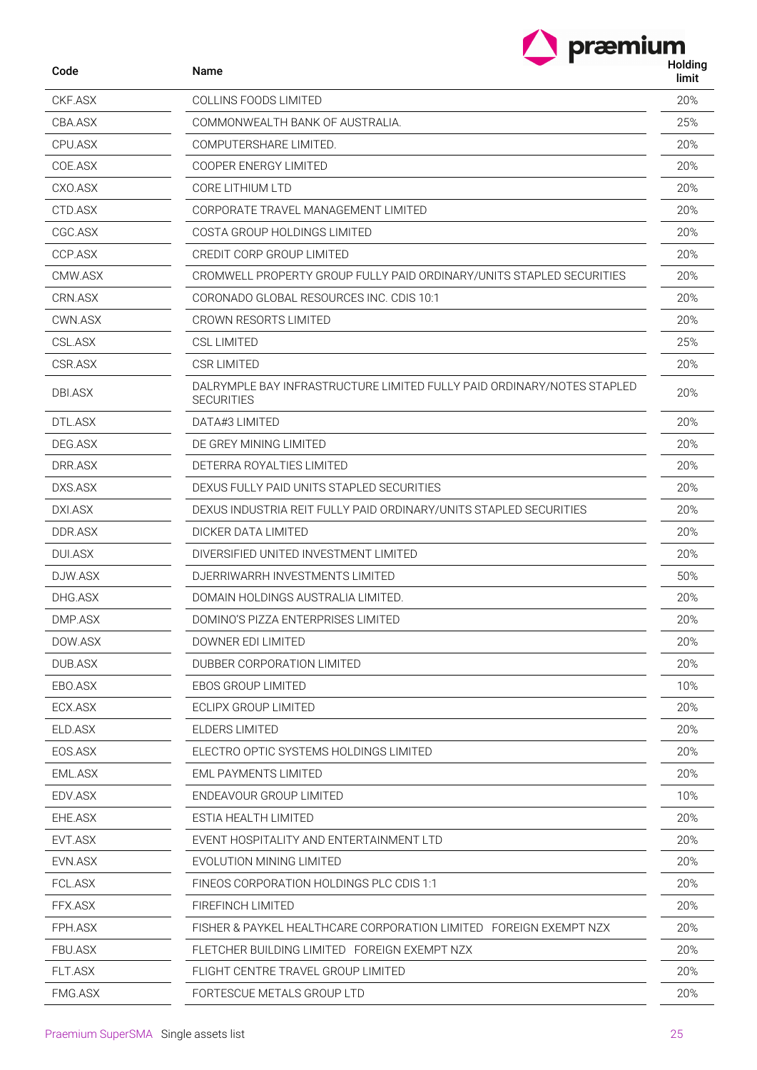|                | præmium                                                                                     |                  |
|----------------|---------------------------------------------------------------------------------------------|------------------|
| Code           | Name                                                                                        | Holding<br>limit |
| CKF.ASX        | <b>COLLINS FOODS LIMITED</b>                                                                | 20%              |
| CBA.ASX        | COMMONWEALTH BANK OF AUSTRALIA.                                                             |                  |
| CPU.ASX        | COMPUTERSHARE LIMITED.                                                                      | 20%              |
| COE.ASX        | COOPER ENERGY LIMITED                                                                       | 20%              |
| CXO.ASX        | CORE LITHIUM LTD                                                                            | 20%              |
| CTD.ASX        | CORPORATE TRAVEL MANAGEMENT LIMITED                                                         | 20%              |
| CGC.ASX        | COSTA GROUP HOLDINGS LIMITED                                                                | 20%              |
| CCP.ASX        | CREDIT CORP GROUP LIMITED                                                                   | 20%              |
| CMW.ASX        | CROMWELL PROPERTY GROUP FULLY PAID ORDINARY/UNITS STAPLED SECURITIES                        | 20%              |
| CRN.ASX        | CORONADO GLOBAL RESOURCES INC. CDIS 10:1                                                    | 20%              |
| CWN.ASX        | CROWN RESORTS LIMITED                                                                       | 20%              |
| CSL.ASX        | <b>CSL LIMITED</b>                                                                          | 25%              |
| CSR.ASX        | <b>CSR LIMITED</b>                                                                          | 20%              |
| DBI.ASX        | DALRYMPLE BAY INFRASTRUCTURE LIMITED FULLY PAID ORDINARY/NOTES STAPLED<br><b>SECURITIES</b> | 20%              |
| DTL.ASX        | DATA#3 LIMITED                                                                              | 20%              |
| DEG.ASX        | DE GREY MINING LIMITED                                                                      | 20%              |
| DRR.ASX        | DETERRA ROYALTIES LIMITED                                                                   | 20%              |
| DXS.ASX        | DEXUS FULLY PAID UNITS STAPLED SECURITIES                                                   | 20%              |
| DXI.ASX        | DEXUS INDUSTRIA REIT FULLY PAID ORDINARY/UNITS STAPLED SECURITIES                           | 20%              |
| DDR.ASX        | DICKER DATA LIMITED                                                                         | 20%              |
| <b>DUI.ASX</b> | DIVERSIFIED UNITED INVESTMENT LIMITED                                                       | 20%              |
| DJW.ASX        | DJERRIWARRH INVESTMENTS LIMITED                                                             |                  |
| DHG.ASX        | DOMAIN HOLDINGS AUSTRALIA LIMITED.                                                          | 20%              |
| DMP.ASX        | DOMINO'S PIZZA ENTERPRISES LIMITED                                                          | 20%              |
| DOW.ASX        | DOWNER EDI LIMITED                                                                          | 20%              |
| DUB.ASX        | DUBBER CORPORATION LIMITED                                                                  | 20%              |
| EBO.ASX        | EBOS GROUP LIMITED                                                                          | 10%              |
| ECX.ASX        | ECLIPX GROUP LIMITED                                                                        | 20%              |
| ELD.ASX        | ELDERS LIMITED                                                                              | 20%              |
| EOS.ASX        | ELECTRO OPTIC SYSTEMS HOLDINGS LIMITED                                                      | 20%              |
| EML.ASX        | EML PAYMENTS LIMITED                                                                        | 20%              |
| EDV.ASX        | ENDEAVOUR GROUP LIMITED                                                                     | 10%              |
| EHE.ASX        | ESTIA HEALTH LIMITED                                                                        | 20%              |
| EVT.ASX        | EVENT HOSPITALITY AND ENTERTAINMENT LTD                                                     | 20%              |
| EVN.ASX        | EVOLUTION MINING LIMITED                                                                    | 20%              |
| FCL.ASX        | FINEOS CORPORATION HOLDINGS PLC CDIS 1:1                                                    | 20%              |
| FFX.ASX        | FIREFINCH LIMITED                                                                           | 20%              |
| FPH.ASX        | FISHER & PAYKEL HEALTHCARE CORPORATION LIMITED FOREIGN EXEMPT NZX                           | 20%              |
| FBU.ASX        | FLETCHER BUILDING LIMITED FOREIGN EXEMPT NZX                                                | 20%              |
| <b>FLT.ASX</b> | FLIGHT CENTRE TRAVEL GROUP LIMITED                                                          | 20%              |
| FMG.ASX        | FORTESCUE METALS GROUP LTD                                                                  |                  |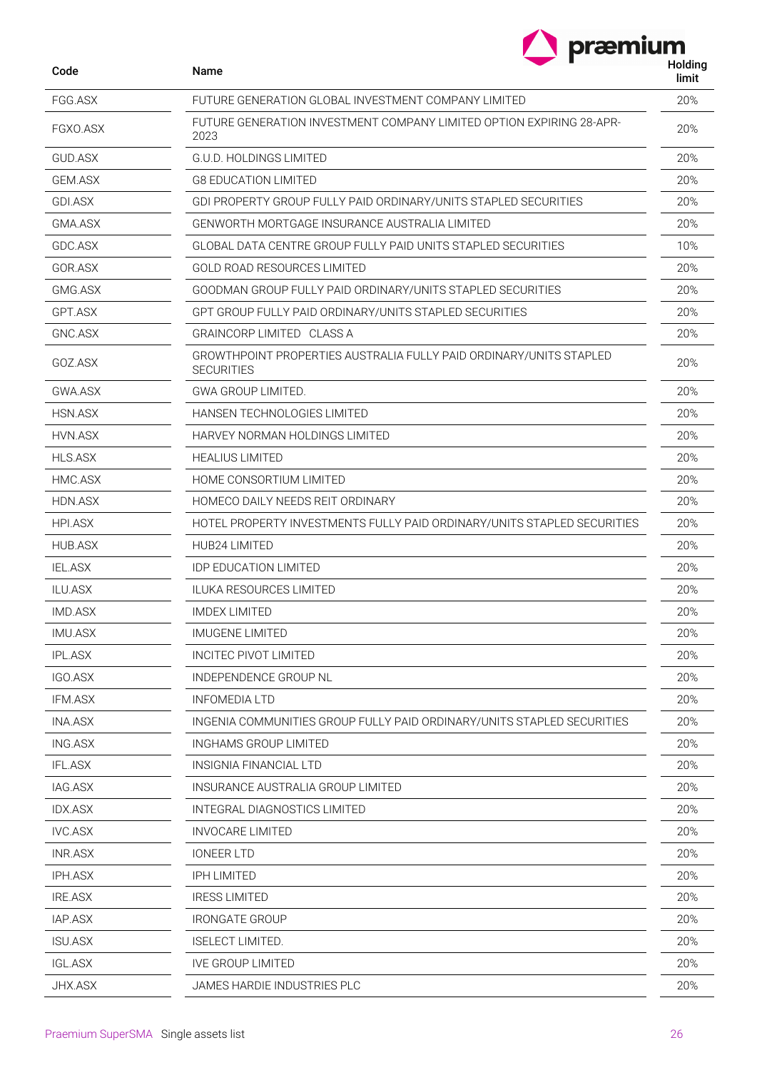|                | præmium                                                                                 |                  |
|----------------|-----------------------------------------------------------------------------------------|------------------|
| Code           | Name                                                                                    | Holding<br>limit |
| FGG.ASX        | FUTURE GENERATION GLOBAL INVESTMENT COMPANY LIMITED                                     | 20%              |
| FGXO.ASX       | FUTURE GENERATION INVESTMENT COMPANY LIMITED OPTION EXPIRING 28-APR-<br>2023            | 20%              |
| GUD ASX        | G.U.D. HOLDINGS LIMITED                                                                 | 20%              |
| <b>GEM.ASX</b> | <b>G8 EDUCATION LIMITED</b>                                                             |                  |
| GDI.ASX        | GDI PROPERTY GROUP FULLY PAID ORDINARY/UNITS STAPLED SECURITIES                         | 20%              |
| GMA.ASX        | GENWORTH MORTGAGE INSURANCE AUSTRALIA LIMITED                                           | 20%              |
| GDC.ASX        | <b>GLOBAL DATA CENTRE GROUP FULLY PAID UNITS STAPLED SECURITIES</b>                     | 10%              |
| GOR.ASX        | <b>GOLD ROAD RESOURCES LIMITED</b>                                                      | 20%              |
| GMG.ASX        | GOODMAN GROUP FULLY PAID ORDINARY/UNITS STAPLED SECURITIES                              | 20%              |
| GPT.ASX        | GPT GROUP FULLY PAID ORDINARY/UNITS STAPLED SECURITIES                                  | 20%              |
| GNC.ASX        | <b>GRAINCORP LIMITED CLASS A</b>                                                        | 20%              |
| GOZ ASX        | GROWTHPOINT PROPERTIES AUSTRALIA FULLY PAID ORDINARY/UNITS STAPLED<br><b>SECURITIES</b> | 20%              |
| GWA.ASX        | <b>GWA GROUP LIMITED.</b>                                                               | 20%              |
| HSN.ASX        | <b>HANSEN TECHNOLOGIES LIMITED</b>                                                      | 20%              |
| HVN.ASX        | HARVEY NORMAN HOLDINGS LIMITED                                                          | 20%              |
| <b>HLS.ASX</b> | <b>HEALIUS LIMITED</b>                                                                  | 20%              |
| HMC.ASX        | HOME CONSORTIUM LIMITED                                                                 | 20%              |
| HDN.ASX        | HOMECO DAILY NEEDS REIT ORDINARY                                                        | 20%              |
| <b>HPI.ASX</b> | HOTEL PROPERTY INVESTMENTS FULLY PAID ORDINARY/UNITS STAPLED SECURITIES                 | 20%              |
| <b>HUB.ASX</b> | HUB24 LIMITED                                                                           | 20%              |
| <b>IEL.ASX</b> | <b>IDP EDUCATION LIMITED</b>                                                            | 20%              |
| <b>ILU.ASX</b> | <b>ILUKA RESOURCES LIMITED</b>                                                          | 20%              |
| IMD.ASX        | <b>IMDEX LIMITED</b>                                                                    | 20%              |
| <b>IMU.ASX</b> | <b>IMUGENE LIMITED</b>                                                                  | 20%              |
| <b>IPL.ASX</b> | <b>INCITEC PIVOT LIMITED</b>                                                            | 20%              |
| IGO.ASX        | INDEPENDENCE GROUP NL                                                                   | 20%              |
| IFM.ASX        | <b>INFOMEDIA LTD</b>                                                                    | 20%              |
| <b>INA.ASX</b> | INGENIA COMMUNITIES GROUP FULLY PAID ORDINARY/UNITS STAPLED SECURITIES                  | 20%              |
| ING.ASX        | INGHAMS GROUP LIMITED                                                                   | 20%              |
| <b>IFL.ASX</b> | INSIGNIA FINANCIAL LTD                                                                  | 20%              |
| IAG.ASX        | INSURANCE AUSTRALIA GROUP LIMITED                                                       | 20%              |
| <b>IDX.ASX</b> | INTEGRAL DIAGNOSTICS LIMITED                                                            | 20%              |
| <b>IVC.ASX</b> | <b>INVOCARE LIMITED</b>                                                                 | 20%              |
| <b>INR.ASX</b> | <b>IONEER LTD</b>                                                                       | 20%              |
| <b>IPH.ASX</b> | <b>IPH LIMITED</b>                                                                      | 20%              |
| <b>IRE.ASX</b> | <b>IRESS LIMITED</b>                                                                    | 20%              |
| IAP.ASX        | <b>IRONGATE GROUP</b>                                                                   | 20%              |
| <b>ISU.ASX</b> | <b>ISELECT LIMITED.</b>                                                                 | 20%              |
| <b>IGL.ASX</b> | <b>IVE GROUP LIMITED</b>                                                                | 20%              |
| JHX.ASX        | JAMES HARDIE INDUSTRIES PLC                                                             | 20%              |
|                |                                                                                         |                  |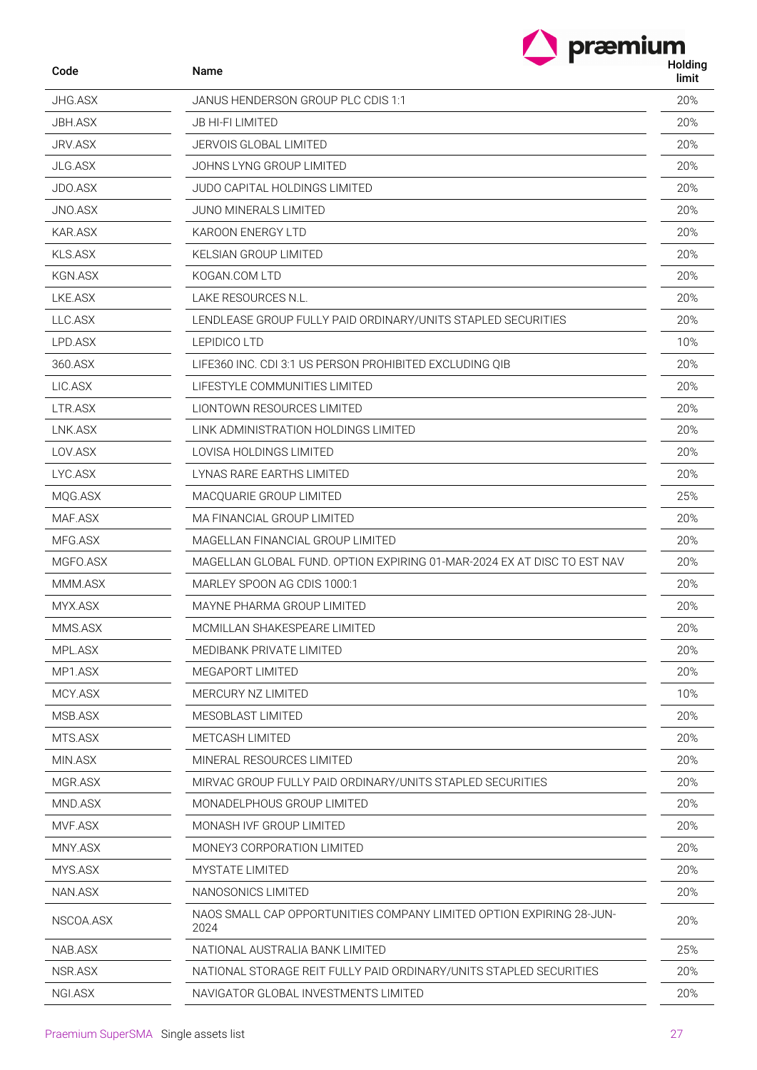|                | præmium                                                                      | Holding |
|----------------|------------------------------------------------------------------------------|---------|
| Code           | Name                                                                         | limit   |
| <b>JHG.ASX</b> | JANUS HENDERSON GROUP PLC CDIS 1:1                                           | 20%     |
| <b>JBH.ASX</b> | JB HI-FI LIMITED                                                             |         |
| JRV.ASX        | <b>JERVOIS GLOBAL LIMITED</b>                                                |         |
| <b>JLG.ASX</b> | JOHNS LYNG GROUP LIMITED                                                     | 20%     |
| JDO.ASX        | <b>JUDO CAPITAL HOLDINGS LIMITED</b>                                         | 20%     |
| JNO.ASX        | JUNO MINERALS LIMITED                                                        |         |
| <b>KAR.ASX</b> | <b>KAROON ENERGY LTD</b>                                                     | 20%     |
| <b>KLS.ASX</b> | <b>KELSIAN GROUP LIMITED</b>                                                 | 20%     |
| <b>KGN.ASX</b> | KOGAN.COM LTD                                                                | 20%     |
| LKE.ASX        | LAKE RESOURCES N.L.                                                          | 20%     |
| LLC.ASX        | LENDLEASE GROUP FULLY PAID ORDINARY/UNITS STAPLED SECURITIES                 | 20%     |
| LPD.ASX        | <b>LEPIDICO LTD</b>                                                          | 10%     |
| 360.ASX        | LIFE360 INC. CDI 3:1 US PERSON PROHIBITED EXCLUDING QIB                      | 20%     |
| LIC.ASX        | LIFESTYLE COMMUNITIES LIMITED                                                | 20%     |
| LTR.ASX        | <b>LIONTOWN RESOURCES LIMITED</b>                                            | 20%     |
| LNK.ASX        | LINK ADMINISTRATION HOLDINGS LIMITED                                         | 20%     |
| LOV.ASX        | <b>LOVISA HOLDINGS LIMITED</b>                                               | 20%     |
| LYC.ASX        | LYNAS RARE EARTHS LIMITED                                                    | 20%     |
| MQG.ASX        | MACQUARIE GROUP LIMITED                                                      | 25%     |
| MAF.ASX        | MA FINANCIAL GROUP LIMITED                                                   |         |
| MFG.ASX        | MAGELLAN FINANCIAL GROUP LIMITED                                             |         |
| MGFO.ASX       | MAGELLAN GLOBAL FUND. OPTION EXPIRING 01-MAR-2024 EX AT DISC TO EST NAV      |         |
| MMM.ASX        | MARLEY SPOON AG CDIS 1000:1                                                  |         |
| MYX.ASX        | MAYNE PHARMA GROUP LIMITED                                                   | 20%     |
| MMS.ASX        | MCMILLAN SHAKESPEARE LIMITED                                                 | 20%     |
| MPL.ASX        | MEDIBANK PRIVATE LIMITED                                                     | 20%     |
| MP1.ASX        | MEGAPORT LIMITED                                                             | 20%     |
| MCY.ASX        | MERCURY NZ LIMITED                                                           | 10%     |
| MSB.ASX        | MESOBLAST LIMITED                                                            | 20%     |
| MTS.ASX        | METCASH LIMITED                                                              | 20%     |
| MIN.ASX        | MINERAL RESOURCES LIMITED                                                    | 20%     |
| MGR.ASX        | MIRVAC GROUP FULLY PAID ORDINARY/UNITS STAPLED SECURITIES                    | 20%     |
| MND.ASX        | MONADELPHOUS GROUP LIMITED                                                   | 20%     |
| MVF.ASX        | MONASH IVF GROUP LIMITED                                                     | 20%     |
| MNY.ASX        | MONEY3 CORPORATION LIMITED                                                   |         |
| MYS.ASX        | MYSTATE LIMITED                                                              |         |
| NAN.ASX        | NANOSONICS LIMITED                                                           |         |
| NSCOA.ASX      | NAOS SMALL CAP OPPORTUNITIES COMPANY LIMITED OPTION EXPIRING 28-JUN-<br>2024 |         |
| NAB.ASX        | NATIONAL AUSTRALIA BANK LIMITED                                              | 25%     |
| NSR.ASX        | NATIONAL STORAGE REIT FULLY PAID ORDINARY/UNITS STAPLED SECURITIES           | 20%     |
| NGI.ASX        | NAVIGATOR GLOBAL INVESTMENTS LIMITED                                         | 20%     |
|                |                                                                              |         |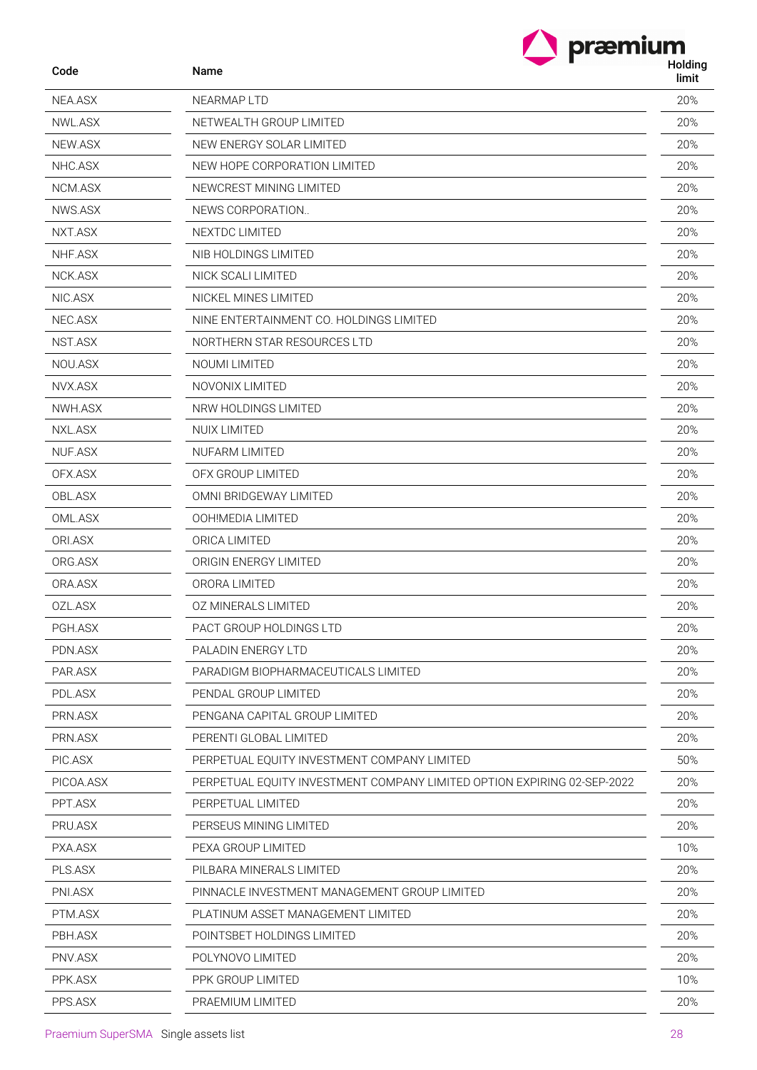| Code      | præmium<br>Name                                                         | Holding |
|-----------|-------------------------------------------------------------------------|---------|
|           |                                                                         | limit   |
| NEA.ASX   | NEARMAP LTD                                                             | 20%     |
| NWL.ASX   | NETWEALTH GROUP LIMITED                                                 | 20%     |
| NEW.ASX   | NEW ENERGY SOLAR LIMITED                                                | 20%     |
| NHC.ASX   | NEW HOPE CORPORATION LIMITED                                            | 20%     |
| NCM.ASX   | NEWCREST MINING LIMITED                                                 | 20%     |
| NWS.ASX   | NEWS CORPORATION                                                        | 20%     |
| NXT.ASX   | <b>NEXTDC LIMITED</b>                                                   | 20%     |
| NHF.ASX   | NIB HOLDINGS LIMITED                                                    | 20%     |
| NCK.ASX   | NICK SCALI LIMITED                                                      | 20%     |
| NIC.ASX   | NICKEL MINES LIMITED                                                    | 20%     |
| NEC.ASX   | NINE ENTERTAINMENT CO. HOLDINGS LIMITED                                 | 20%     |
| NST.ASX   | NORTHERN STAR RESOURCES LTD                                             | 20%     |
| NOU.ASX   | NOUMI LIMITED                                                           | 20%     |
| NVX.ASX   | NOVONIX LIMITED                                                         | 20%     |
| NWH.ASX   | NRW HOLDINGS LIMITED                                                    | 20%     |
| NXL.ASX   | <b>NUIX LIMITED</b>                                                     | 20%     |
| NUF.ASX   | <b>NUFARM LIMITED</b>                                                   | 20%     |
| OFX.ASX   | OFX GROUP LIMITED                                                       | 20%     |
| OBL.ASX   | OMNI BRIDGEWAY LIMITED                                                  | 20%     |
| OML.ASX   | OOH!MEDIA LIMITED                                                       | 20%     |
| ORI.ASX   | ORICA LIMITED                                                           | 20%     |
| ORG.ASX   | ORIGIN ENERGY LIMITED                                                   | 20%     |
| ORA.ASX   | ORORA LIMITED                                                           | 20%     |
| OZL.ASX   | OZ MINERALS LIMITED                                                     | 20%     |
| PGH.ASX   | PACT GROUP HOLDINGS LTD                                                 | 20%     |
| PDN.ASX   | PALADIN ENERGY LTD                                                      | 20%     |
| PAR.ASX   | PARADIGM BIOPHARMACEUTICALS LIMITED                                     | 20%     |
| PDL.ASX   | PENDAL GROUP LIMITED                                                    | 20%     |
| PRN.ASX   | PENGANA CAPITAL GROUP LIMITED                                           | 20%     |
| PRN.ASX   | PERENTI GLOBAL LIMITED                                                  | 20%     |
| PIC.ASX   | PERPETUAL EQUITY INVESTMENT COMPANY LIMITED                             | 50%     |
| PICOA.ASX | PERPETUAL EQUITY INVESTMENT COMPANY LIMITED OPTION EXPIRING 02-SEP-2022 | 20%     |
| PPT.ASX   | PERPETUAL LIMITED                                                       | 20%     |
| PRU.ASX   | PERSEUS MINING LIMITED                                                  | 20%     |
| PXA.ASX   | PEXA GROUP LIMITED                                                      | 10%     |
| PLS.ASX   | PILBARA MINERALS LIMITED                                                | 20%     |
| PNI.ASX   | PINNACLE INVESTMENT MANAGEMENT GROUP LIMITED                            | 20%     |
| PTM.ASX   | PLATINUM ASSET MANAGEMENT LIMITED                                       | 20%     |
| PBH.ASX   | POINTSBET HOLDINGS LIMITED                                              | 20%     |
| PNV.ASX   | POLYNOVO LIMITED                                                        | 20%     |
| PPK.ASX   | PPK GROUP LIMITED                                                       | 10%     |
| PPS.ASX   | PRAEMIUM LIMITED                                                        | 20%     |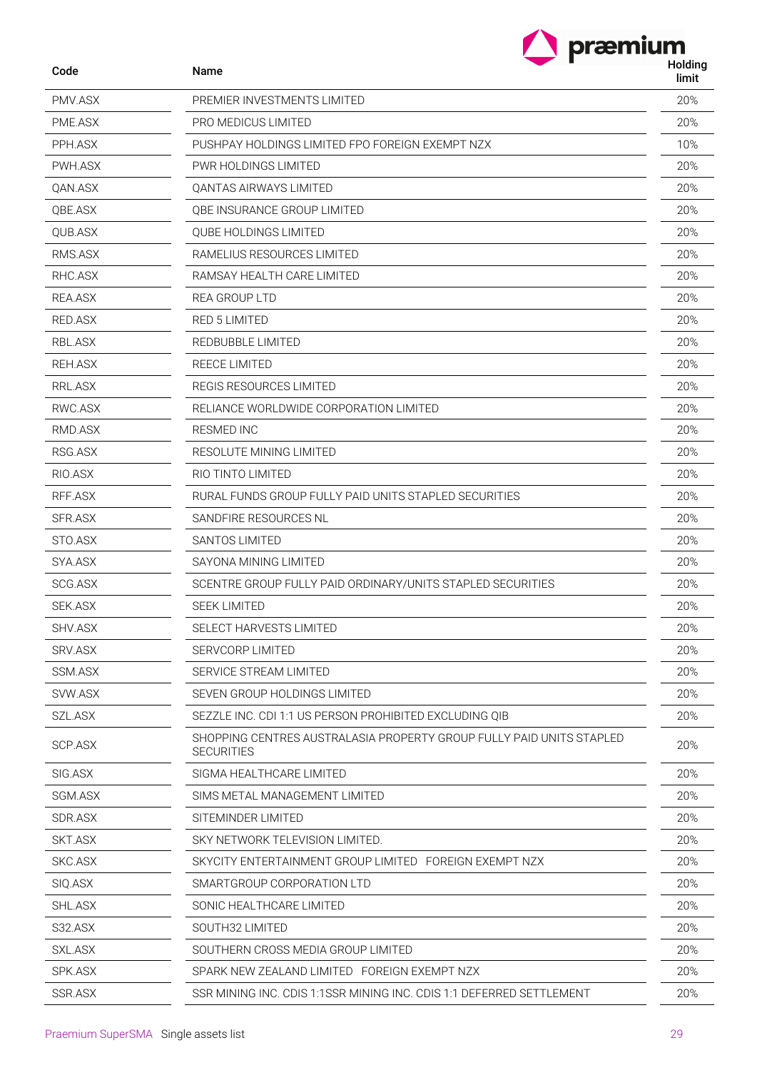| Code           | præmium<br>Name                                                                           | Holding<br>limit |
|----------------|-------------------------------------------------------------------------------------------|------------------|
| PMV.ASX        | PREMIER INVESTMENTS LIMITED                                                               | 20%              |
| PME.ASX        | PRO MEDICUS LIMITED                                                                       | 20%              |
| PPH.ASX        | PUSHPAY HOLDINGS LIMITED FPO FOREIGN EXEMPT NZX                                           | 10%              |
| PWH.ASX        | PWR HOLDINGS LIMITED                                                                      | 20%              |
| QAN.ASX        | <b>QANTAS AIRWAYS LIMITED</b>                                                             | 20%              |
| QBE.ASX        | QBE INSURANCE GROUP LIMITED                                                               | 20%              |
| QUB.ASX        | QUBE HOLDINGS LIMITED                                                                     | 20%              |
| RMS.ASX        | RAMELIUS RESOURCES LIMITED                                                                | 20%              |
| RHC.ASX        | RAMSAY HEALTH CARE LIMITED                                                                | 20%              |
| REA.ASX        | REA GROUP LTD                                                                             | 20%              |
| RED.ASX        | <b>RED 5 LIMITED</b>                                                                      | 20%              |
| RBL.ASX        | REDBUBBLE LIMITED                                                                         | 20%              |
| REH.ASX        | REECE LIMITED                                                                             | 20%              |
| RRL.ASX        | REGIS RESOURCES LIMITED                                                                   | 20%              |
| RWC.ASX        | RELIANCE WORLDWIDE CORPORATION LIMITED                                                    | 20%              |
| RMD.ASX        | RESMED INC                                                                                | 20%              |
| RSG.ASX        | RESOLUTE MINING LIMITED                                                                   | 20%              |
| RIO.ASX        | RIO TINTO LIMITED                                                                         | 20%              |
| RFF.ASX        | RURAL FUNDS GROUP FULLY PAID UNITS STAPLED SECURITIES                                     | 20%              |
| <b>SFR.ASX</b> | SANDFIRE RESOURCES NL                                                                     | 20%              |
| STO.ASX        | SANTOS LIMITED                                                                            | 20%              |
| SYA.ASX        | SAYONA MINING LIMITED                                                                     | 20%              |
| <b>SCG.ASX</b> | SCENTRE GROUP FULLY PAID ORDINARY/UNITS STAPLED SECURITIES                                | 20%              |
| SEK.ASX        | <b>SEEK LIMITED</b>                                                                       | 20%              |
| SHV.ASX        | SELECT HARVESTS LIMITED                                                                   | 20%              |
| SRV.ASX        | <b>SERVCORP LIMITED</b>                                                                   | 20%              |
| SSM.ASX        | SERVICE STREAM LIMITED                                                                    | 20%              |
| SVW.ASX        | SEVEN GROUP HOLDINGS LIMITED                                                              | 20%              |
| SZL.ASX        | SEZZLE INC. CDI 1:1 US PERSON PROHIBITED EXCLUDING OIB                                    | 20%              |
| SCP.ASX        | SHOPPING CENTRES AUSTRALASIA PROPERTY GROUP FULLY PAID UNITS STAPLED<br><b>SECURITIES</b> | 20%              |
| SIG.ASX        | SIGMA HEALTHCARE LIMITED                                                                  | 20%              |
| SGM.ASX        | SIMS METAL MANAGEMENT LIMITED                                                             | 20%              |
| SDR.ASX        | SITEMINDER LIMITED                                                                        | 20%              |
| SKT.ASX        | SKY NETWORK TELEVISION LIMITED.                                                           | 20%              |
| SKC.ASX        | SKYCITY ENTERTAINMENT GROUP LIMITED FOREIGN EXEMPT NZX                                    | 20%              |
| SIQ.ASX        | SMARTGROUP CORPORATION LTD                                                                | 20%              |
| SHL.ASX        | SONIC HEALTHCARE LIMITED                                                                  | 20%              |
| S32.ASX        | SOUTH32 LIMITED                                                                           | 20%              |
| SXL.ASX        | SOUTHERN CROSS MEDIA GROUP LIMITED                                                        | 20%              |
| SPK.ASX        | SPARK NEW ZEALAND LIMITED FOREIGN EXEMPT NZX                                              | 20%              |
| SSR.ASX        | SSR MINING INC. CDIS 1:1SSR MINING INC. CDIS 1:1 DEFERRED SETTLEMENT                      | 20%              |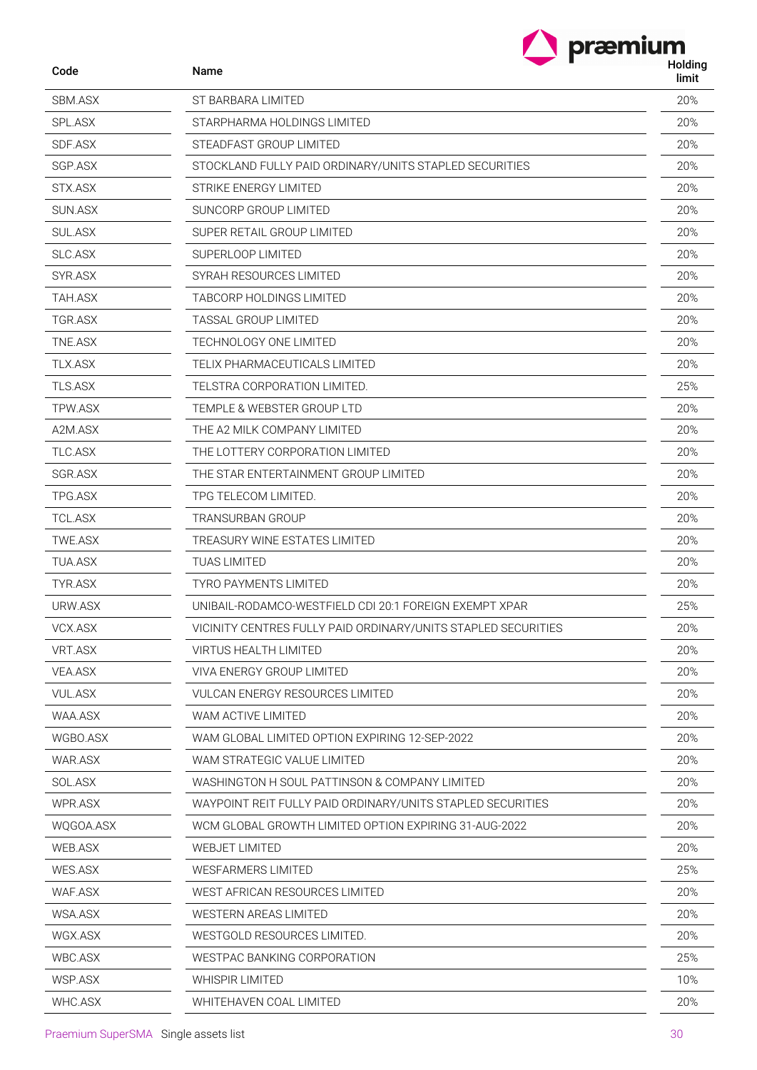| Code           | Name                                                          | præmium<br>Holding<br>limit |
|----------------|---------------------------------------------------------------|-----------------------------|
| SBM.ASX        | ST BARBARA LIMITED                                            | 20%                         |
| SPL.ASX        | STARPHARMA HOLDINGS LIMITED                                   | 20%                         |
| SDF.ASX        | STEADFAST GROUP LIMITED                                       | 20%                         |
| <b>SGP.ASX</b> | STOCKLAND FULLY PAID ORDINARY/UNITS STAPLED SECURITIES        | 20%                         |
| STX.ASX        | STRIKE ENERGY LIMITED                                         | 20%                         |
| SUN.ASX        | SUNCORP GROUP LIMITED                                         | 20%                         |
| <b>SUL.ASX</b> | SUPER RETAIL GROUP LIMITED                                    | 20%                         |
| <b>SLC.ASX</b> | SUPERLOOP LIMITED                                             | 20%                         |
| SYR.ASX        | SYRAH RESOURCES LIMITED                                       | 20%                         |
| TAH.ASX        | TABCORP HOLDINGS LIMITED                                      | 20%                         |
| TGR.ASX        | TASSAL GROUP LIMITED                                          | 20%                         |
| TNE.ASX        | TECHNOLOGY ONE LIMITED                                        | 20%                         |
| <b>TLX.ASX</b> | TELIX PHARMACEUTICALS LIMITED                                 | 20%                         |
| <b>TLS.ASX</b> | TELSTRA CORPORATION LIMITED.                                  | 25%                         |
| TPW.ASX        | TEMPLE & WEBSTER GROUP LTD                                    | 20%                         |
| A2M.ASX        | THE A2 MILK COMPANY LIMITED                                   | 20%                         |
| TLC.ASX        | THE LOTTERY CORPORATION LIMITED                               | 20%                         |
| <b>SGR.ASX</b> | THE STAR ENTERTAINMENT GROUP LIMITED                          | 20%                         |
| TPG.ASX        | TPG TELECOM LIMITED.                                          | 20%                         |
| <b>TCL.ASX</b> | TRANSURBAN GROUP                                              | 20%                         |
| TWE.ASX        | TREASURY WINE ESTATES LIMITED                                 | 20%                         |
| TUA.ASX        | TUAS LIMITED                                                  | 20%                         |
| TYR.ASX        | <b>TYRO PAYMENTS LIMITED</b>                                  | 20%                         |
| URW.ASX        | UNIBAIL-RODAMCO-WESTFIELD CDI 20:1 FOREIGN EXEMPT XPAR        | 25%                         |
| VCX.ASX        | VICINITY CENTRES FULLY PAID ORDINARY/UNITS STAPLED SECURITIES | 20%                         |
| VRT.ASX        | VIRTUS HEALTH LIMITED                                         | 20%                         |
| VEA.ASX        | <b>VIVA ENERGY GROUP LIMITED</b>                              | 20%                         |
| VUL.ASX        | VULCAN ENERGY RESOURCES LIMITED                               | 20%                         |
| WAA.ASX        | WAM ACTIVE LIMITED                                            | 20%                         |
| WGBO.ASX       | WAM GLOBAL LIMITED OPTION EXPIRING 12-SEP-2022                | 20%                         |
| WAR.ASX        | WAM STRATEGIC VALUE LIMITED                                   | 20%                         |
| SOL.ASX        | WASHINGTON H SOUL PATTINSON & COMPANY LIMITED                 | 20%                         |
| WPR.ASX        | WAYPOINT REIT FULLY PAID ORDINARY/UNITS STAPLED SECURITIES    | 20%                         |
| WQGOA.ASX      | WCM GLOBAL GROWTH LIMITED OPTION EXPIRING 31-AUG-2022         | 20%                         |
| WEB.ASX        | WEBJET LIMITED                                                | 20%                         |
| <b>WES.ASX</b> | <b>WESFARMERS LIMITED</b>                                     | 25%                         |
| WAF.ASX        | WEST AFRICAN RESOURCES LIMITED                                | 20%                         |
| WSA.ASX        | <b>WESTERN AREAS LIMITED</b>                                  | 20%                         |
| WGX.ASX        | WESTGOLD RESOURCES LIMITED.                                   | 20%                         |
| WBC.ASX        | <b>WESTPAC BANKING CORPORATION</b>                            | 25%                         |
| WSP.ASX        | WHISPIR LIMITED                                               | 10%                         |

WHC.ASX WHITEHAVEN COAL LIMITED 20%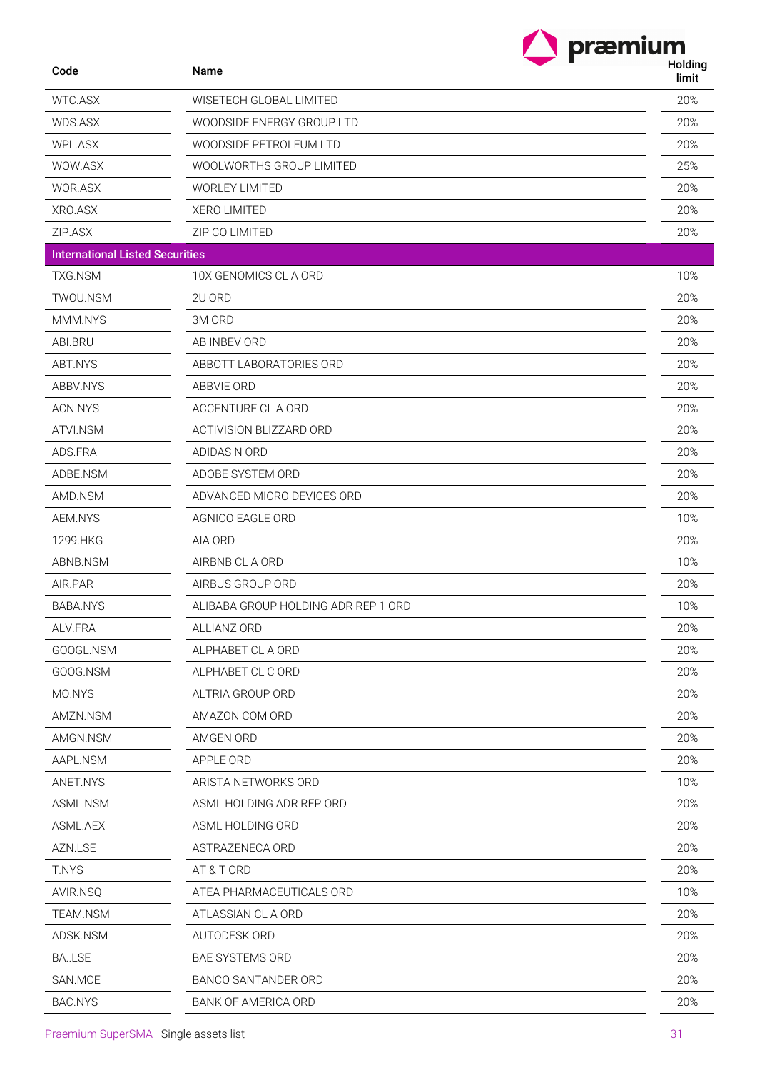|                                        | præmium                             |                  |
|----------------------------------------|-------------------------------------|------------------|
| Code                                   | <b>Name</b>                         | Holding<br>limit |
| WTC.ASX                                | WISETECH GLOBAL LIMITED             | 20%              |
| WDS.ASX                                | WOODSIDE ENERGY GROUP LTD           | 20%              |
| WPL.ASX                                | WOODSIDE PETROLEUM LTD              | 20%              |
| WOW.ASX                                | WOOLWORTHS GROUP LIMITED            | 25%              |
| WOR.ASX                                | <b>WORLEY LIMITED</b>               | 20%              |
| XRO.ASX                                | <b>XERO LIMITED</b>                 | 20%              |
| ZIP.ASX                                | ZIP CO LIMITED                      | 20%              |
| <b>International Listed Securities</b> |                                     |                  |
| <b>TXG.NSM</b>                         | 10X GENOMICS CL A ORD               | 10%              |
| TWOU.NSM                               | 2U ORD                              | 20%              |
| MMM.NYS                                | 3M ORD                              | 20%              |
| ABI.BRU                                | AB INBEV ORD                        | 20%              |
| ABT.NYS                                | ABBOTT LABORATORIES ORD             | 20%              |
| ABBV.NYS                               | ABBVIE ORD                          | 20%              |
| ACN.NYS                                | ACCENTURE CL A ORD                  | 20%              |
| ATVI.NSM                               | ACTIVISION BLIZZARD ORD             | 20%              |
| ADS.FRA                                | ADIDAS N ORD                        | 20%              |
| ADBE.NSM                               | ADOBE SYSTEM ORD                    | 20%              |
| AMD.NSM                                | ADVANCED MICRO DEVICES ORD          | 20%              |
| AEM.NYS                                | AGNICO EAGLE ORD                    | 10%              |
| 1299.HKG                               | AIA ORD                             | 20%              |
| ABNB.NSM                               | AIRBNB CL A ORD                     | 10%              |
| AIR.PAR                                | AIRBUS GROUP ORD                    | 20%              |
| <b>BABA.NYS</b>                        | ALIBABA GROUP HOLDING ADR REP 1 ORD | 10%              |
| ALV.FRA                                | ALLIANZ ORD                         | 20%              |
| GOOGL.NSM                              | ALPHABET CL A ORD                   | 20%              |
| GOOG.NSM                               | ALPHABET CL C ORD                   | 20%              |
| MO.NYS                                 | ALTRIA GROUP ORD                    | 20%              |
| AMZN.NSM                               | AMAZON COM ORD                      | 20%              |
| AMGN.NSM                               | AMGEN ORD                           | 20%              |
| AAPL.NSM                               | APPLE ORD                           | 20%              |
| ANET.NYS                               | ARISTA NETWORKS ORD                 | 10%              |
| ASML.NSM                               | ASML HOLDING ADR REP ORD            | 20%              |
| ASML.AEX                               | ASML HOLDING ORD                    | 20%              |
| AZN.LSE                                | ASTRAZENECA ORD                     | 20%              |
| T.NYS                                  | AT & T ORD                          | 20%              |
| AVIR.NSQ                               | ATEA PHARMACEUTICALS ORD            | 10%              |
| TEAM.NSM                               | ATLASSIAN CL A ORD                  | 20%              |
| ADSK.NSM                               | AUTODESK ORD                        | 20%              |
| <b>BA.LSE</b>                          | <b>BAE SYSTEMS ORD</b>              | 20%              |
| SAN.MCE                                | BANCO SANTANDER ORD                 | 20%              |
| BAC.NYS                                | BANK OF AMERICA ORD                 | 20%              |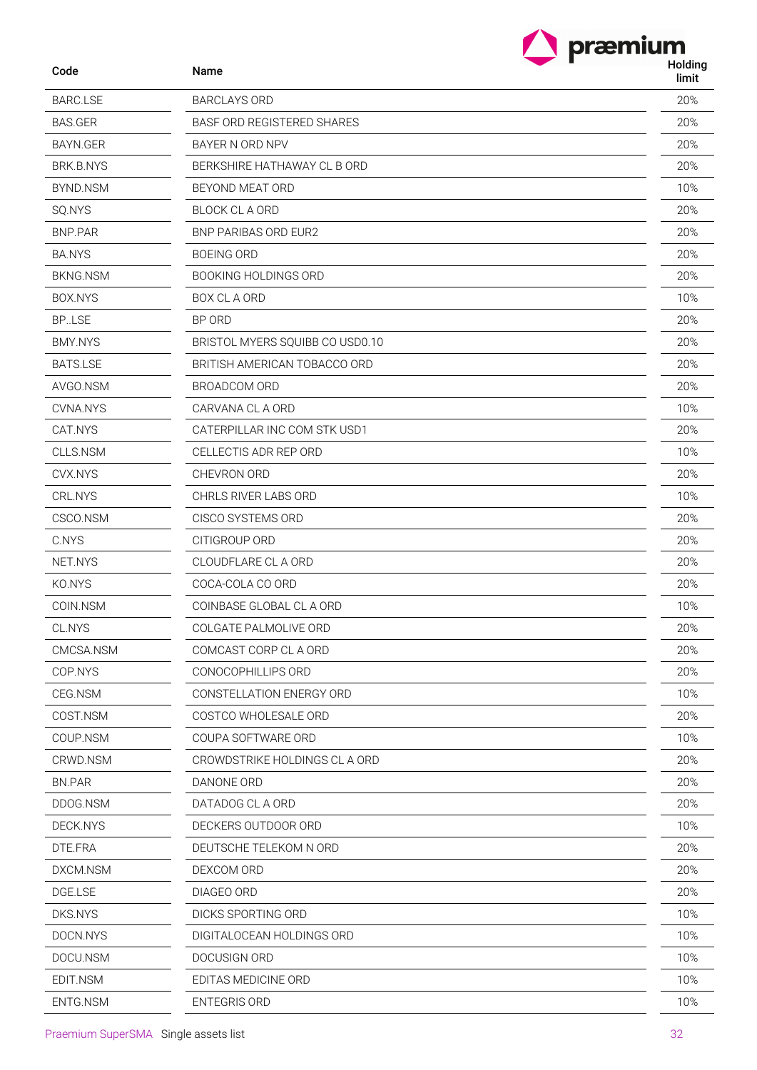$\sum$  præmium

| Code            | Name                            | 1 IVIUII IY<br>limit |
|-----------------|---------------------------------|----------------------|
| <b>BARC.LSE</b> | <b>BARCLAYS ORD</b>             | 20%                  |
| <b>BAS.GER</b>  | BASF ORD REGISTERED SHARES      | 20%                  |
| BAYN.GER        | BAYER N ORD NPV                 | 20%                  |
| BRK.B.NYS       | BERKSHIRE HATHAWAY CL B ORD     | 20%                  |
| BYND.NSM        | BEYOND MEAT ORD                 | 10%                  |
| SQ.NYS          | <b>BLOCK CL A ORD</b>           | 20%                  |
| <b>BNP.PAR</b>  | <b>BNP PARIBAS ORD EUR2</b>     | 20%                  |
| <b>BA.NYS</b>   | <b>BOEING ORD</b>               | 20%                  |
| <b>BKNG.NSM</b> | <b>BOOKING HOLDINGS ORD</b>     | 20%                  |
| BOX.NYS         | BOX CL A ORD                    | 10%                  |
| <b>BP.LSE</b>   | BP ORD                          | 20%                  |
| <b>BMY.NYS</b>  | BRISTOL MYERS SQUIBB CO USD0.10 | 20%                  |
| <b>BATS.LSE</b> | BRITISH AMERICAN TOBACCO ORD    | 20%                  |
| AVGO.NSM        | <b>BROADCOM ORD</b>             | 20%                  |
| CVNA.NYS        | CARVANA CL A ORD                | 10%                  |
| CAT.NYS         | CATERPILLAR INC COM STK USD1    | 20%                  |
| CLLS.NSM        | CELLECTIS ADR REP ORD           | 10%                  |
| CVX.NYS         | CHEVRON ORD                     | 20%                  |
| CRL.NYS         | <b>CHRLS RIVER LABS ORD</b>     | 10%                  |
| CSCO.NSM        | CISCO SYSTEMS ORD               | 20%                  |
| C.NYS           | CITIGROUP ORD                   | 20%                  |
| NET.NYS         | CLOUDFLARE CL A ORD             | 20%                  |
| KO.NYS          | COCA-COLA CO ORD                | 20%                  |
| COIN.NSM        | COINBASE GLOBAL CL A ORD        | 10%                  |
| CL.NYS          | COLGATE PALMOLIVE ORD           | 20%                  |
| CMCSA.NSM       | COMCAST CORP CL A ORD           | 20%                  |
| COP.NYS         | CONOCOPHILLIPS ORD              | 20%                  |
| CEG.NSM         | CONSTELLATION ENERGY ORD        | 10%                  |
| COST.NSM        | COSTCO WHOLESALE ORD            | 20%                  |
| COUP.NSM        | COUPA SOFTWARE ORD              | 10%                  |
| CRWD.NSM        | CROWDSTRIKE HOLDINGS CL A ORD   | 20%                  |
| <b>BN.PAR</b>   | DANONE ORD                      | 20%                  |
| DDOG.NSM        | DATADOG CL A ORD                | 20%                  |
| DECK.NYS        | DECKERS OUTDOOR ORD             | 10%                  |
| DTE.FRA         | DEUTSCHE TELEKOM N ORD          | 20%                  |
| DXCM.NSM        | DEXCOM ORD                      | 20%                  |
| DGE.LSE         | DIAGEO ORD                      | 20%                  |
| DKS.NYS         | DICKS SPORTING ORD              | 10%                  |
| DOCN.NYS        | DIGITALOCEAN HOLDINGS ORD       | 10%                  |
| DOCU.NSM        | DOCUSIGN ORD                    | 10%                  |
| EDIT.NSM        | EDITAS MEDICINE ORD             | 10%                  |
| ENTG.NSM        | <b>ENTEGRIS ORD</b>             | 10%                  |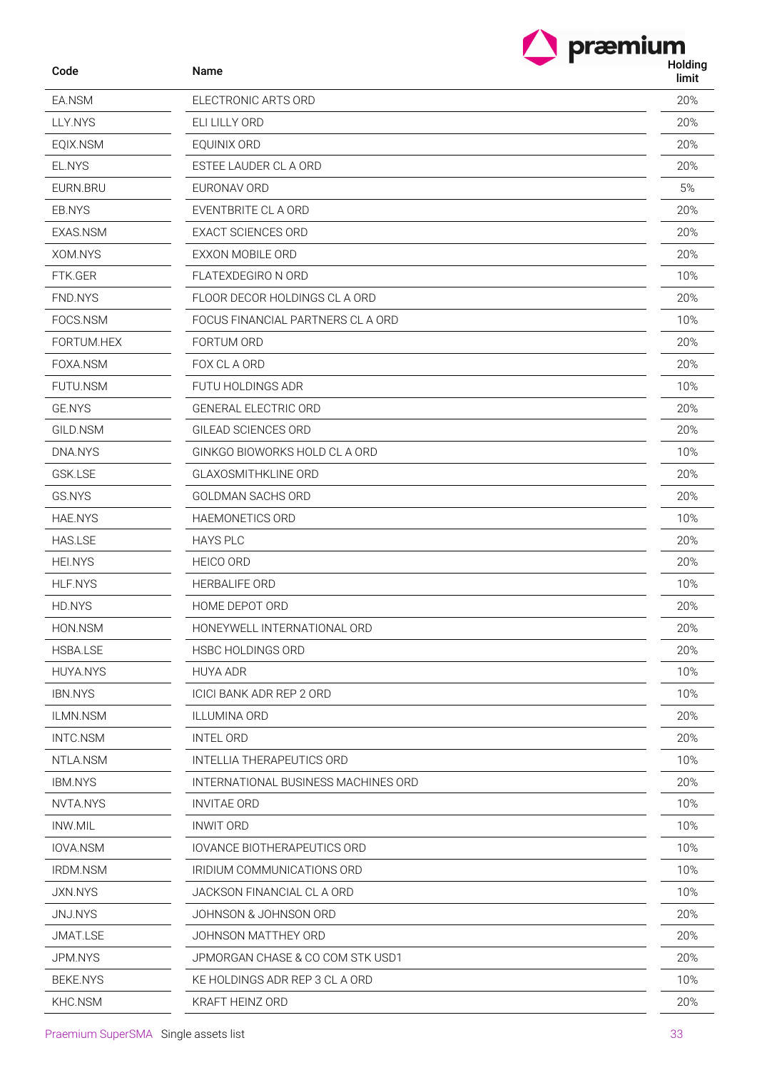| Name |  |  |
|------|--|--|

| Code            | Name              |
|-----------------|-------------------|
| EA.NSM          | ELEC <sub>1</sub> |
| LLY.NYS         | ELI LII           |
| EQIX.NSM        | <b>EQUIN</b>      |
| EL.NYS          | <b>ESTEE</b>      |
| EURN.BRU        | <b>EURO</b>       |
| EB.NYS          | <b>EVEN</b>       |
| EXAS.NSM        | EXAC <sup>®</sup> |
| XOM.NYS         | <b>EXXO</b>       |
| FTK.GER         | <b>FLATE</b>      |
| FND.NYS         | <b>FLOOI</b>      |
| FOCS.NSM        | <b>FOCU</b>       |
| FORTUM.HEX      | <b>FORTI</b>      |
| FOXA.NSM        | FOX C             |
| <b>FUTU.NSM</b> | <b>FUTU</b>       |
| <b>GE.NYS</b>   | <b>GENE</b>       |
| GILD.NSM        | <b>GILEA</b>      |
| DNA.NYS         | <b>GINK</b>       |
| <b>GSK.LSE</b>  | <b>GLAX</b>       |
| GS.NYS          | GOLD              |
| <b>HAE.NYS</b>  | <b>HAEM</b>       |
| <b>HAS.LSE</b>  | <b>HAYS</b>       |
| <b>HEI.NYS</b>  | <b>HEICC</b>      |
| <b>HLF.NYS</b>  | HERB.             |
| HD.NYS          | <b>HOME</b>       |
| HON.NSM         | <b>HONE</b>       |
| <b>HSBA.LSE</b> | <b>HSBC</b>       |
| <b>HUYA.NYS</b> | <b>HUYA</b>       |
| <b>IBN.NYS</b>  | <b>ICICIE</b>     |
| <b>ILMN.NSM</b> | ILLUM             |
| INTC.NSM        | INTEL             |
| NTLA.NSM        | INTEL             |
| <b>IBM.NYS</b>  | INTER             |
| NVTA.NYS        | <b>INVIT</b>      |
| <b>INW.MIL</b>  | <b>INWIT</b>      |
| IOVA.NSM        | <b>IOVAN</b>      |
| <b>IRDM.NSM</b> | <b>IRIDIU</b>     |
| <b>JXN.NYS</b>  | JACK:             |
| JNJ.NYS         | <b>JOHN</b>       |
| <b>JMAT.LSE</b> | JOHN              |
| JPM.NYS         | <b>JPMO</b>       |
| <b>BEKE.NYS</b> | KE HC             |
| KHU VICIN       | KRAF <sup>-</sup> |

| coue            | ivanie                              | limit |
|-----------------|-------------------------------------|-------|
| EA.NSM          | ELECTRONIC ARTS ORD                 | 20%   |
| LLY.NYS         | ELI LILLY ORD                       | 20%   |
| EQIX.NSM        | EOUINIX ORD                         | 20%   |
| EL.NYS          | ESTEE LAUDER CL A ORD               | 20%   |
| EURN.BRU        | EURONAV ORD                         | 5%    |
| EB.NYS          | EVENTBRITE CL A ORD                 | 20%   |
| EXAS.NSM        | <b>EXACT SCIENCES ORD</b>           | 20%   |
| XOM.NYS         | EXXON MOBILE ORD                    | 20%   |
| FTK.GER         | FLATEXDEGIRO N ORD                  | 10%   |
| FND.NYS         | FLOOR DECOR HOLDINGS CL A ORD       | 20%   |
| FOCS.NSM        | FOCUS FINANCIAL PARTNERS CL A ORD   | 10%   |
| FORTUM.HEX      | FORTUM ORD                          | 20%   |
| FOXA.NSM        | FOX CL A ORD                        | 20%   |
| FUTU.NSM        | FUTU HOLDINGS ADR                   | 10%   |
| <b>GE.NYS</b>   | <b>GENERAL ELECTRIC ORD</b>         | 20%   |
| GILD.NSM        | GILEAD SCIENCES ORD                 | 20%   |
| DNA.NYS         | GINKGO BIOWORKS HOLD CL A ORD       | 10%   |
| <b>GSK.LSE</b>  | <b>GLAXOSMITHKLINE ORD</b>          | 20%   |
| GS.NYS          | GOLDMAN SACHS ORD                   | 20%   |
| <b>HAE.NYS</b>  | HAEMONETICS ORD                     | 10%   |
| <b>HAS.LSE</b>  | <b>HAYS PLC</b>                     | 20%   |
| <b>HEI.NYS</b>  | HEICO ORD                           | 20%   |
| <b>HLF.NYS</b>  | HERBALIFE ORD                       | 10%   |
| HD.NYS          | HOME DEPOT ORD                      | 20%   |
| HON.NSM         | HONEYWELL INTERNATIONAL ORD         | 20%   |
| HSBA.LSE        | HSBC HOLDINGS ORD                   | 20%   |
| <b>HUYA.NYS</b> | <b>HUYA ADR</b>                     | 10%   |
| <b>IBN.NYS</b>  | <b>ICICI BANK ADR REP 2 ORD</b>     | 10%   |
| ILMN.NSM        | <b>ILLUMINA ORD</b>                 | 20%   |
| INTC.NSM        | <b>INTEL ORD</b>                    | 20%   |
| NTLA.NSM        | <b>INTELLIA THERAPEUTICS ORD</b>    | 10%   |
| <b>IBM.NYS</b>  | INTERNATIONAL BUSINESS MACHINES ORD | 20%   |
| NVTA.NYS        | <b>INVITAE ORD</b>                  | 10%   |
| INW.MIL         | <b>INWIT ORD</b>                    | 10%   |
| <b>IOVA.NSM</b> | <b>IOVANCE BIOTHERAPEUTICS ORD</b>  | 10%   |
| <b>IRDM.NSM</b> | IRIDIUM COMMUNICATIONS ORD          | 10%   |
| JXN.NYS         | JACKSON FINANCIAL CL A ORD          | 10%   |
| JNJ.NYS         | JOHNSON & JOHNSON ORD               | 20%   |
| JMAT.LSE        | JOHNSON MATTHEY ORD                 | 20%   |
| JPM.NYS         | JPMORGAN CHASE & CO COM STK USD1    | 20%   |
| <b>BEKE.NYS</b> | KE HOLDINGS ADR REP 3 CL A ORD      | 10%   |
| KHC.NSM         | KRAFT HEINZ ORD                     | 20%   |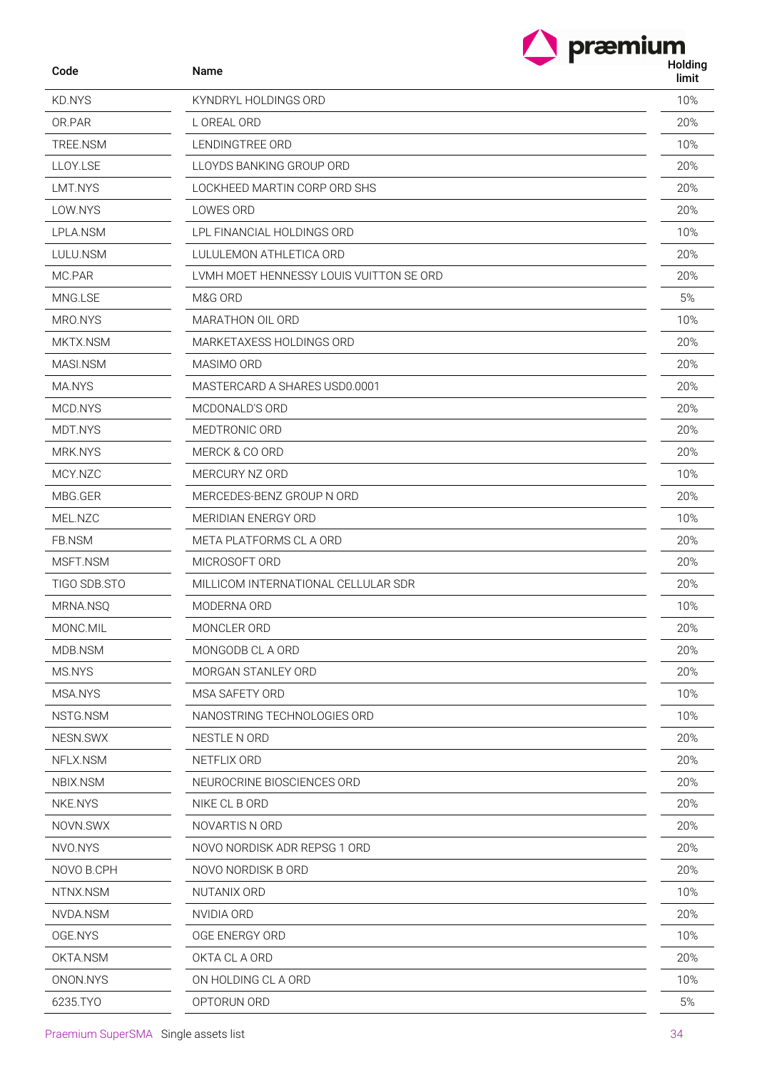| Code         | Name                                    | Holding<br>limit |
|--------------|-----------------------------------------|------------------|
| KD.NYS       | KYNDRYL HOLDINGS ORD                    | 10%              |
| OR.PAR       | L OREAL ORD                             | 20%              |
| TREE.NSM     | LENDINGTREE ORD                         | 10%              |
| LLOY.LSE     | LLOYDS BANKING GROUP ORD                | 20%              |
| LMT.NYS      | LOCKHEED MARTIN CORP ORD SHS            | 20%              |
| LOW.NYS      | LOWES ORD                               | 20%              |
| LPLA.NSM     | LPL FINANCIAL HOLDINGS ORD              | 10%              |
| LULU.NSM     | LULULEMON ATHLETICA ORD                 | 20%              |
| MC.PAR       | LVMH MOET HENNESSY LOUIS VUITTON SE ORD | 20%              |
| MNG.LSE      | M&G ORD                                 | 5%               |
| MRO.NYS      | MARATHON OIL ORD                        | 10%              |
| MKTX.NSM     | MARKETAXESS HOLDINGS ORD                | 20%              |
| MASI.NSM     | MASIMO ORD                              | 20%              |
| MA.NYS       | MASTERCARD A SHARES USD0.0001           | 20%              |
| MCD.NYS      | MCDONALD'S ORD                          | 20%              |
| MDT.NYS      | MEDTRONIC ORD                           | 20%              |
| MRK.NYS      | MERCK & CO ORD                          | 20%              |
| MCY.NZC      | MERCURY NZ ORD                          | 10%              |
| MBG.GER      | MERCEDES-BENZ GROUP N ORD               | 20%              |
| MEL.NZC      | MERIDIAN ENERGY ORD                     | 10%              |
| FB.NSM       | META PLATFORMS CL A ORD                 | 20%              |
| MSFT.NSM     | MICROSOFT ORD                           | 20%              |
| TIGO SDB.STO | MILLICOM INTERNATIONAL CELLULAR SDR     | 20%              |
| MRNA.NSQ     | MODERNA ORD                             | 10%              |
| MONC.MIL     | MONCLER ORD                             | 20%              |
| MDB.NSM      | MONGODB CL A ORD                        | 20%              |
| MS.NYS       | MORGAN STANLEY ORD                      | 20%              |
| MSA.NYS      | MSA SAFETY ORD                          | 10%              |
| NSTG.NSM     | NANOSTRING TECHNOLOGIES ORD             | 10%              |
| NESN.SWX     | NESTLE N ORD                            | 20%              |
| NFLX.NSM     | NETFLIX ORD                             | 20%              |
| NBIX.NSM     | NEUROCRINE BIOSCIENCES ORD              | 20%              |
| NKE.NYS      | NIKE CL B ORD                           | 20%              |
| NOVN.SWX     | NOVARTIS N ORD                          | 20%              |
| NVO.NYS      | NOVO NORDISK ADR REPSG 1 ORD            | 20%              |
| NOVO B.CPH   | NOVO NORDISK B ORD                      | 20%              |
| NTNX.NSM     | NUTANIX ORD                             | 10%              |
| NVDA.NSM     | NVIDIA ORD                              | 20%              |
| OGE.NYS      | OGE ENERGY ORD                          | 10%              |
| OKTA.NSM     | OKTA CL A ORD                           | 20%              |
| ONON.NYS     | ON HOLDING CL A ORD                     | 10%              |
| 6235.TYO     | OPTORUN ORD                             | 5%               |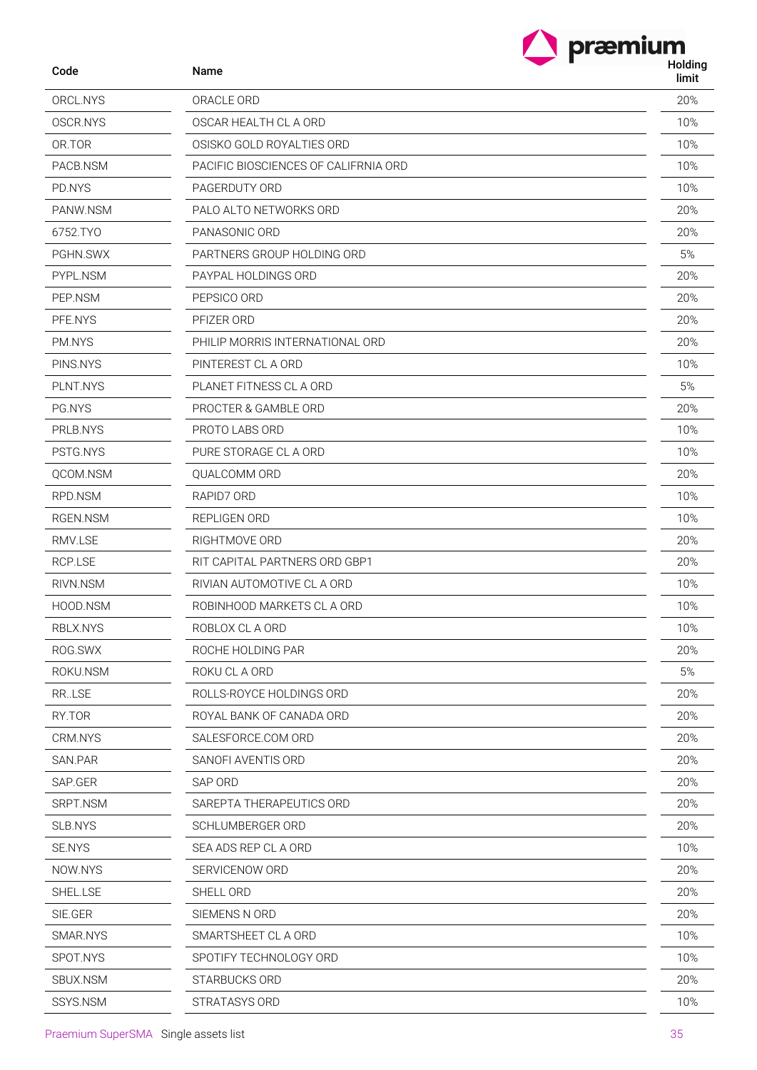| Code     | Name                                 | Ш<br>Holding<br>limit |
|----------|--------------------------------------|-----------------------|
| ORCL.NYS | ORACLE ORD                           | 20%                   |
| OSCR.NYS | OSCAR HEALTH CL A ORD                | 10%                   |
| OR.TOR   | OSISKO GOLD ROYALTIES ORD            | 10%                   |
| PACB.NSM | PACIFIC BIOSCIENCES OF CALIFRNIA ORD | 10%                   |
| PD.NYS   | PAGERDUTY ORD                        | 10%                   |
| PANW.NSM | PALO ALTO NETWORKS ORD               | 20%                   |
| 6752.TYO | PANASONIC ORD                        | 20%                   |
| PGHN.SWX | PARTNERS GROUP HOLDING ORD           | 5%                    |
| PYPL.NSM | PAYPAL HOLDINGS ORD                  | 20%                   |
| PEP.NSM  | PEPSICO ORD                          | 20%                   |
| PFE.NYS  | PFIZER ORD                           | 20%                   |
| PM.NYS   | PHILIP MORRIS INTERNATIONAL ORD      | 20%                   |
| PINS.NYS | PINTEREST CL A ORD                   | 10%                   |
| PLNT.NYS | PLANET FITNESS CL A ORD              | 5%                    |
| PG.NYS   | PROCTER & GAMBLE ORD                 | 20%                   |
| PRLB.NYS | PROTO LABS ORD                       | 10%                   |
| PSTG.NYS | PURE STORAGE CL A ORD                | 10%                   |
| QCOM.NSM | QUALCOMM ORD                         | 20%                   |
| RPD.NSM  | RAPID7 ORD                           | 10%                   |
| RGEN.NSM | REPLIGEN ORD                         | 10%                   |
| RMV.LSE  | RIGHTMOVE ORD                        | 20%                   |
| RCP.LSE  | RIT CAPITAL PARTNERS ORD GBP1        | 20%                   |
| RIVN.NSM | RIVIAN AUTOMOTIVE CL A ORD           | 10%                   |
| HOOD.NSM | ROBINHOOD MARKETS CL A ORD           | 10%                   |
| RBLX.NYS | ROBLOX CL A ORD                      | 10%                   |
| ROG.SWX  | ROCHE HOLDING PAR                    | 20%                   |
| ROKU.NSM | ROKU CL A ORD                        | 5%                    |
| RR.LSE   | ROLLS-ROYCE HOLDINGS ORD             | 20%                   |
| RY.TOR   | ROYAL BANK OF CANADA ORD             | 20%                   |
| CRM.NYS  | SALESFORCE.COM ORD                   | 20%                   |
| SAN.PAR  | SANOFI AVENTIS ORD                   | 20%                   |
| SAP.GER  | SAP ORD                              | 20%                   |
| SRPT.NSM | SAREPTA THERAPEUTICS ORD             | 20%                   |
| SLB.NYS  | SCHLUMBERGER ORD                     | 20%                   |
| SE.NYS   | SEA ADS REP CL A ORD                 | 10%                   |
| NOW.NYS  | SERVICENOW ORD                       | 20%                   |
| SHEL.LSE | SHELL ORD                            | 20%                   |
| SIE.GER  | SIEMENS N ORD                        | 20%                   |
| SMAR.NYS | SMARTSHEET CL A ORD                  | 10%                   |
| SPOT.NYS | SPOTIFY TECHNOLOGY ORD               | 10%                   |

SBUX.NSM STARBUCKS ORD 20% SSYS.NSM STRATASYS ORD 30 NONE CONSUMING THE SERVER OF A STRATASYS ORD 30 NONE CONSUMING THE STRATEGY OF A STR

**The praemium**